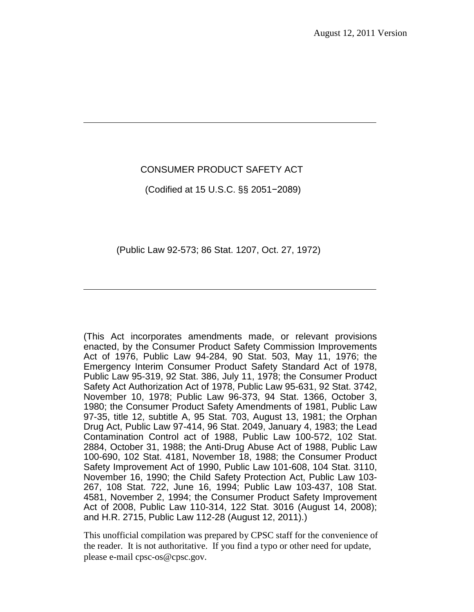(Codified at 15 U.S.C. §§ 2051−2089)

(Public Law 92-573; 86 Stat. 1207, Oct. 27, 1972)

(This Act incorporates amendments made, or relevant provisions enacted, by the Consumer Product Safety Commission Improvements Act of 1976, Public Law 94-284, 90 Stat. 503, May 11, 1976; the Emergency Interim Consumer Product Safety Standard Act of 1978, Public Law 95-319, 92 Stat. 386, July 11, 1978; the Consumer Product Safety Act Authorization Act of 1978, Public Law 95-631, 92 Stat. 3742, November 10, 1978; Public Law 96-373, 94 Stat. 1366, October 3, 1980; the Consumer Product Safety Amendments of 1981, Public Law 97-35, title 12, subtitle A, 95 Stat. 703, August 13, 1981; the Orphan Drug Act, Public Law 97-414, 96 Stat. 2049, January 4, 1983; the Lead Contamination Control act of 1988, Public Law 100-572, 102 Stat. 2884, October 31, 1988; the Anti-Drug Abuse Act of 1988, Public Law 100-690, 102 Stat. 4181, November 18, 1988; the Consumer Product Safety Improvement Act of 1990, Public Law 101-608, 104 Stat. 3110, November 16, 1990; the Child Safety Protection Act, Public Law 103- 267, 108 Stat. 722, June 16, 1994; Public Law 103-437, 108 Stat. 4581, November 2, 1994; the Consumer Product Safety Improvement Act of 2008, Public Law 110-314, 122 Stat. 3016 (August 14, 2008); and H.R. 2715, Public Law 112-28 (August 12, 2011).)

This unofficial compilation was prepared by CPSC staff for the convenience of the reader. It is not authoritative. If you find a typo or other need for update, please e-mail cpsc-os@cpsc.gov.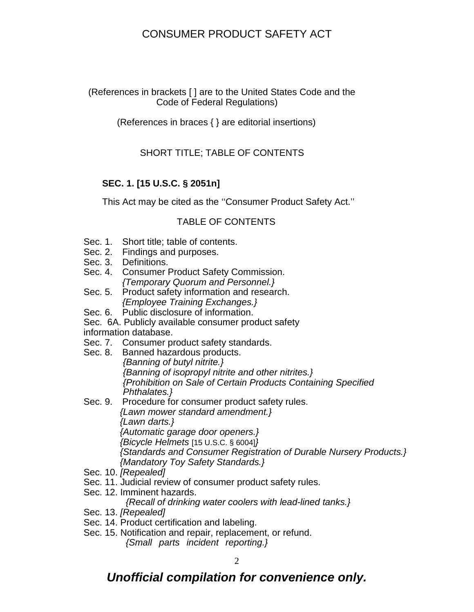(References in brackets [ ] are to the United States Code and the Code of Federal Regulations)

(References in braces { } are editorial insertions)

SHORT TITLE; TABLE OF CONTENTS

### **SEC. 1. [15 U.S.C. § 2051n]**

This Act may be cited as the ''Consumer Product Safety Act.''

#### TABLE OF CONTENTS

- Sec. 1. Short title; table of contents.
- Sec. 2. Findings and purposes.
- Sec. 3. Definitions.
- Sec. 4. Consumer Product Safety Commission. *{Temporary Quorum and Personnel.}*
- Sec. 5. Product safety information and research. *{Employee Training Exchanges.}*
- Sec. 6. Public disclosure of information.

Sec. 6A. Publicly available consumer product safety

- information database.
- Sec. 7. Consumer product safety standards.
- Sec. 8. Banned hazardous products. *{Banning of butyl nitrite.} {Banning of isopropyl nitrite and other nitrites.} {Prohibition on Sale of Certain Products Containing Specified Phthalates.}*
- Sec. 9. Procedure for consumer product safety rules. *{Lawn mower standard amendment.} {Lawn darts.} {Automatic garage door openers.} {Bicycle Helmets* [15 U.S.C. § 6004]*} {Standards and Consumer Registration of Durable Nursery Products.} {Mandatory Toy Safety Standards.}*
- Sec. 10. *[Repealed]*
- Sec. 11. Judicial review of consumer product safety rules.
- Sec. 12. Imminent hazards. *{Recall of drinking water coolers with lead-lined tanks.}*
- Sec. 13. *[Repealed]*
- Sec. 14. Product certification and labeling.
- Sec. 15. Notification and repair, replacement, or refund. *{Small parts incident reporting.}*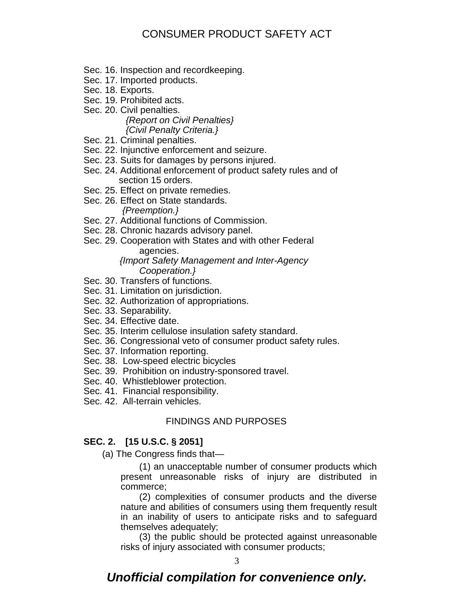- Sec. 16. Inspection and recordkeeping.
- Sec. 17. Imported products.
- Sec. 18. Exports.
- Sec. 19. Prohibited acts.
- Sec. 20. Civil penalties. *{Report on Civil Penalties} {Civil Penalty Criteria.}*
- Sec. 21. Criminal penalties.
- Sec. 22. Injunctive enforcement and seizure.
- Sec. 23. Suits for damages by persons injured.
- Sec. 24. Additional enforcement of product safety rules and of section 15 orders.
- Sec. 25. Effect on private remedies.
- Sec. 26. Effect on State standards. *{Preemption.}*
- Sec. 27. Additional functions of Commission.
- Sec. 28. Chronic hazards advisory panel.
- Sec. 29. Cooperation with States and with other Federal agencies. *{Import Safety Management and Inter-Agency* 
	- *Cooperation.}*
- Sec. 30. Transfers of functions.
- Sec. 31. Limitation on jurisdiction.
- Sec. 32. Authorization of appropriations.
- Sec. 33. Separability.
- Sec. 34. Effective date.
- Sec. 35. Interim cellulose insulation safety standard.
- Sec. 36. Congressional veto of consumer product safety rules.
- Sec. 37. Information reporting.
- Sec. 38. Low-speed electric bicycles
- Sec. 39. Prohibition on industry-sponsored travel.
- Sec. 40. Whistleblower protection.
- Sec. 41. Financial responsibility.
- Sec. 42. All-terrain vehicles.

#### FINDINGS AND PURPOSES

#### **SEC. 2. [15 U.S.C. § 2051]**

(a) The Congress finds that—

(1) an unacceptable number of consumer products which present unreasonable risks of injury are distributed in commerce;

(2) complexities of consumer products and the diverse nature and abilities of consumers using them frequently result in an inability of users to anticipate risks and to safeguard themselves adequately;

(3) the public should be protected against unreasonable risks of injury associated with consumer products;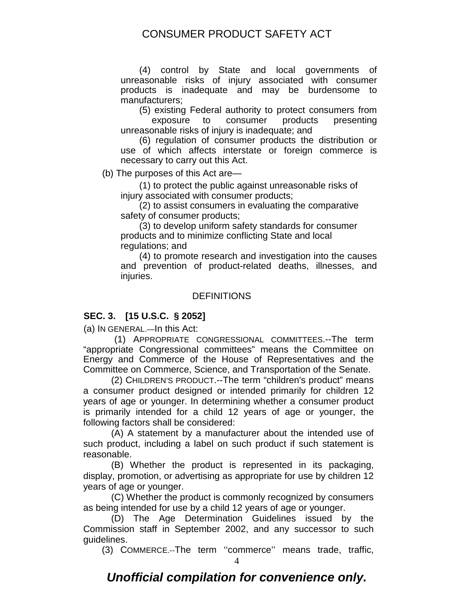(4) control by State and local governments of unreasonable risks of injury associated with consumer products is inadequate and may be burdensome to manufacturers;

(5) existing Federal authority to protect consumers from

exposure to consumer products presenting unreasonable risks of injury is inadequate; and

(6) regulation of consumer products the distribution or use of which affects interstate or foreign commerce is necessary to carry out this Act.

(b) The purposes of this Act are—

(1) to protect the public against unreasonable risks of injury associated with consumer products;

(2) to assist consumers in evaluating the comparative safety of consumer products;

(3) to develop uniform safety standards for consumer products and to minimize conflicting State and local regulations; and

(4) to promote research and investigation into the causes and prevention of product-related deaths, illnesses, and injuries.

#### **DEFINITIONS**

#### **SEC. 3. [15 U.S.C. § 2052]**

(a) IN GENERAL.—In this Act:

 (1) APPROPRIATE CONGRESSIONAL COMMITTEES.--The term "appropriate Congressional committees" means the Committee on Energy and Commerce of the House of Representatives and the Committee on Commerce, Science, and Transportation of the Senate.

(2) CHILDREN'S PRODUCT.--The term "children's product" means a consumer product designed or intended primarily for children 12 years of age or younger. In determining whether a consumer product is primarily intended for a child 12 years of age or younger, the following factors shall be considered:

(A) A statement by a manufacturer about the intended use of such product, including a label on such product if such statement is reasonable.

(B) Whether the product is represented in its packaging, display, promotion, or advertising as appropriate for use by children 12 years of age or younger.

(C) Whether the product is commonly recognized by consumers as being intended for use by a child 12 years of age or younger.

(D) The Age Determination Guidelines issued by the Commission staff in September 2002, and any successor to such guidelines.

(3) COMMERCE.--The term ''commerce'' means trade, traffic,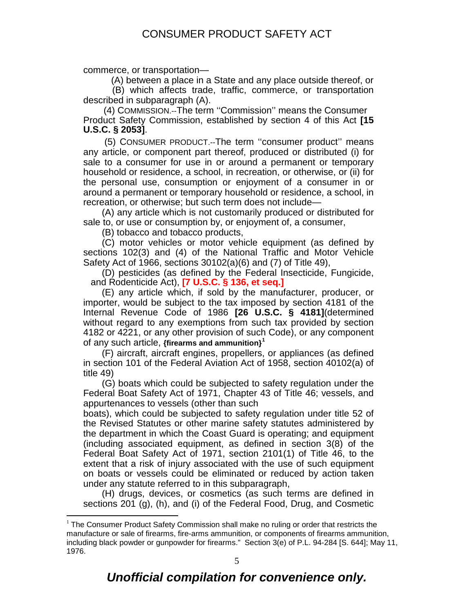commerce, or transportation—

(A) between a place in a State and any place outside thereof, or (B) which affects trade, traffic, commerce, or transportation described in subparagraph (A).

 (4) COMMISSION.--The term ''Commission'' means the Consumer Product Safety Commission, established by section 4 of this Act **[15 U.S.C. § 2053]**.

(5) CONSUMER PRODUCT.--The term ''consumer product'' means any article, or component part thereof, produced or distributed (i) for sale to a consumer for use in or around a permanent or temporary household or residence, a school, in recreation, or otherwise, or (ii) for the personal use, consumption or enjoyment of a consumer in or around a permanent or temporary household or residence, a school, in recreation, or otherwise; but such term does not include—

(A) any article which is not customarily produced or distributed for sale to, or use or consumption by, or enjoyment of, a consumer,

(B) tobacco and tobacco products,

(C) motor vehicles or motor vehicle equipment (as defined by sections 102(3) and (4) of the National Traffic and Motor Vehicle Safety Act of 1966, sections 30102(a)(6) and (7) of Title 49),

(D) pesticides (as defined by the Federal Insecticide, Fungicide, and Rodenticide Act), **[7 U.S.C. § 136, et seq.]**

(E) any article which, if sold by the manufacturer, producer, or importer, would be subject to the tax imposed by section 4181 of the Internal Revenue Code of 1986 **[26 U.S.C. § 4181]**(determined without regard to any exemptions from such tax provided by section 4182 or 4221, or any other provision of such Code), or any component of any such article, **{firearms and ammunition}[1](#page-4-0)**

(F) aircraft, aircraft engines, propellers, or appliances (as defined in section 101 of the Federal Aviation Act of 1958, section 40102(a) of title 49)

(G) boats which could be subjected to safety regulation under the Federal Boat Safety Act of 1971, Chapter 43 of Title 46; vessels, and appurtenances to vessels (other than such

boats), which could be subjected to safety regulation under title 52 of the Revised Statutes or other marine safety statutes administered by the department in which the Coast Guard is operating; and equipment (including associated equipment, as defined in section 3(8) of the Federal Boat Safety Act of 1971, section 2101(1) of Title 46, to the extent that a risk of injury associated with the use of such equipment on boats or vessels could be eliminated or reduced by action taken under any statute referred to in this subparagraph,

(H) drugs, devices, or cosmetics (as such terms are defined in sections 201 (g), (h), and (i) of the Federal Food, Drug, and Cosmetic

<span id="page-4-0"></span> $<sup>1</sup>$  The Consumer Product Safety Commission shall make no ruling or order that restricts the</sup> manufacture or sale of firearms, fire-arms ammunition, or components of firearms ammunition, including black powder or gunpowder for firearms." Section 3(e) of P.L. 94-284 [S. 644]; May 11, 1976.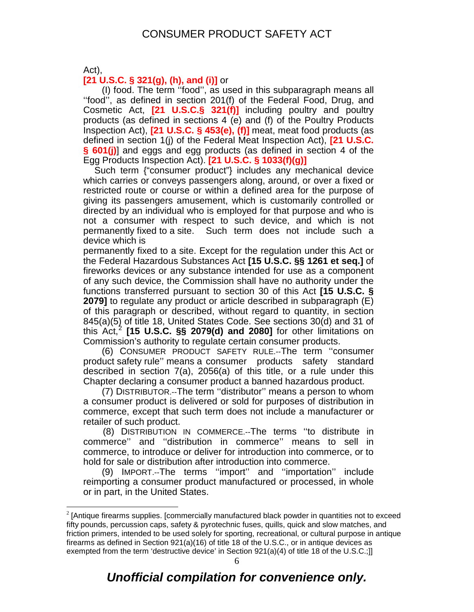Act),

#### **[21 U.S.C. § 321(g), (h), and (i)]** or

(I) food. The term ''food'', as used in this subparagraph means all ''food'', as defined in section 201(f) of the Federal Food, Drug, and Cosmetic Act, **[21 U.S.C.§ 321(f)]** including poultry and poultry products (as defined in sections 4 (e) and (f) of the Poultry Products Inspection Act), **[21 U.S.C. § 453(e), (f)]** meat, meat food products (as defined in section 1(j) of the Federal Meat Inspection Act), **[21 U.S.C. § 601(j)**] and eggs and egg products (as defined in section 4 of the Egg Products Inspection Act). **[21 U.S.C. § 1033(f)(g)]**

Such term {"consumer product"} includes any mechanical device which carries or conveys passengers along, around, or over a fixed or restricted route or course or within a defined area for the purpose of giving its passengers amusement, which is customarily controlled or directed by an individual who is employed for that purpose and who is not a consumer with respect to such device, and which is not permanently fixed to a site. Such term does not include such a device which is

permanently fixed to a site. Except for the regulation under this Act or the Federal Hazardous Substances Act **[15 U.S.C. §§ 1261 et seq.]** of fireworks devices or any substance intended for use as a component of any such device, the Commission shall have no authority under the functions transferred pursuant to section 30 of this Act **[15 U.S.C. § 2079]** to regulate any product or article described in subparagraph (E) of this paragraph or described, without regard to quantity, in section 845(a)(5) of title 18, United States Code. See sections 30(d) and 31 of this Act,<sup>[2](#page-5-0)</sup> [15 U.S.C. §§ 2079(d) and 2080] for other limitations on Commission's authority to regulate certain consumer products.

(6) CONSUMER PRODUCT SAFETY RULE.--The term ''consumer product safety rule'' means a consumer products safety standard described in section 7(a), 2056(a) of this title, or a rule under this Chapter declaring a consumer product a banned hazardous product.

(7) DISTRIBUTOR.--The term ''distributor'' means a person to whom a consumer product is delivered or sold for purposes of distribution in commerce, except that such term does not include a manufacturer or retailer of such product.

(8) DISTRIBUTION IN COMMERCE.--The terms ''to distribute in commerce'' and ''distribution in commerce'' means to sell in commerce, to introduce or deliver for introduction into commerce, or to hold for sale or distribution after introduction into commerce.

(9) IMPORT.--The terms ''import'' and ''importation'' include reimporting a consumer product manufactured or processed, in whole or in part, in the United States.

<span id="page-5-0"></span> $2$  [Antique firearms supplies. [commercially manufactured black powder in quantities not to exceed fifty pounds, percussion caps, safety & pyrotechnic fuses, quills, quick and slow matches, and friction primers, intended to be used solely for sporting, recreational, or cultural purpose in antique firearms as defined in Section 921(a)(16) of title 18 of the U.S.C., or in antique devices as exempted from the term 'destructive device' in Section 921(a)(4) of title 18 of the U.S.C.;]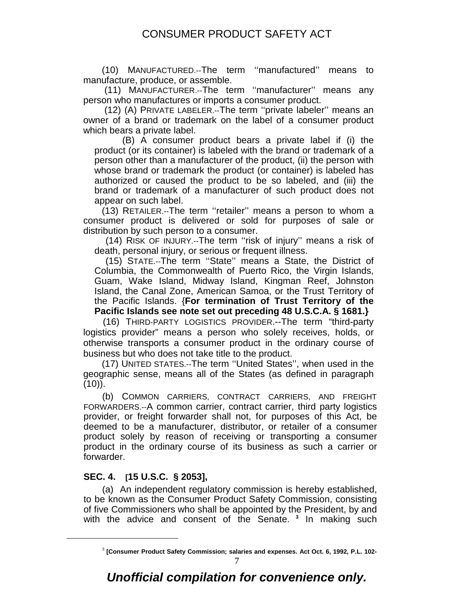(10) MANUFACTURED.--The term ''manufactured'' means to manufacture, produce, or assemble.

(11) MANUFACTURER.--The term ''manufacturer'' means any person who manufactures or imports a consumer product.

(12) (A) PRIVATE LABELER.--The term ''private labeler'' means an owner of a brand or trademark on the label of a consumer product which bears a private label.

(B) A consumer product bears a private label if (i) the product (or its container) is labeled with the brand or trademark of a person other than a manufacturer of the product, (ii) the person with whose brand or trademark the product (or container) is labeled has authorized or caused the product to be so labeled, and (iii) the brand or trademark of a manufacturer of such product does not appear on such label.

(13) RETAILER.--The term ''retailer'' means a person to whom a consumer product is delivered or sold for purposes of sale or distribution by such person to a consumer.

(14) RISK OF INJURY.--The term ''risk of injury'' means a risk of death, personal injury, or serious or frequent illness.

(15) STATE.--The term ''State'' means a State, the District of Columbia, the Commonwealth of Puerto Rico, the Virgin Islands, Guam, Wake Island, Midway Island, Kingman Reef, Johnston Island, the Canal Zone, American Samoa, or the Trust Territory of the Pacific Islands. {**For termination of Trust Territory of the Pacific Islands see note set out preceding 48 U.S.C.A. § 1681.}**

(16) THIRD-PARTY LOGISTICS PROVIDER.--The term "third-party logistics provider" means a person who solely receives, holds, or otherwise transports a consumer product in the ordinary course of business but who does not take title to the product.

(17) UNITED STATES.--The term ''United States'', when used in the geographic sense, means all of the States (as defined in paragraph  $(10)$ ).

(b) COMMON CARRIERS, CONTRACT CARRIERS, AND FREIGHT FORWARDERS.--A common carrier, contract carrier, third party logistics provider, or freight forwarder shall not, for purposes of this Act, be deemed to be a manufacturer, distributor, or retailer of a consumer product solely by reason of receiving or transporting a consumer product in the ordinary course of its business as such a carrier or forwarder.

#### **SEC. 4. [15 U.S.C. § 2053],**

<span id="page-6-0"></span> $\overline{a}$ 

(a) An independent regulatory commission is hereby established, to be known as the Consumer Product Safety Commission, consisting of five Commissioners who shall be appointed by the President, by and with the advice and consent of the Senate. **[3](#page-6-0)** In making such

<sup>7</sup> <sup>3</sup> **[Consumer Product Safety Commission; salaries and expenses. Act Oct. 6, 1992, P.L. 102-**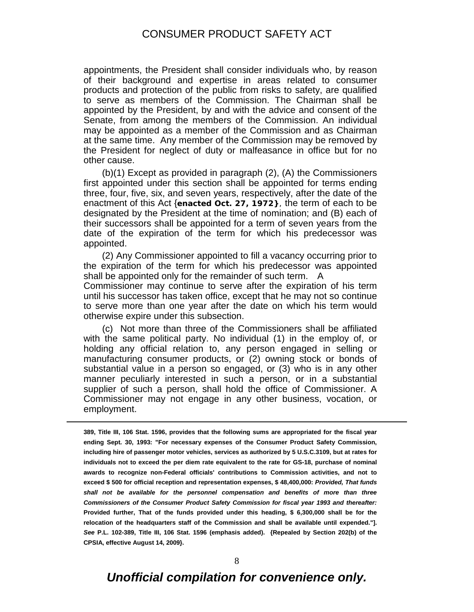appointments, the President shall consider individuals who, by reason of their background and expertise in areas related to consumer products and protection of the public from risks to safety, are qualified to serve as members of the Commission. The Chairman shall be appointed by the President, by and with the advice and consent of the Senate, from among the members of the Commission. An individual may be appointed as a member of the Commission and as Chairman at the same time. Any member of the Commission may be removed by the President for neglect of duty or malfeasance in office but for no other cause.

(b)(1) Except as provided in paragraph (2), (A) the Commissioners first appointed under this section shall be appointed for terms ending three, four, five, six, and seven years, respectively, after the date of the enactment of this Act {**enacted Oct. 27, 1972}**, the term of each to be designated by the President at the time of nomination; and (B) each of their successors shall be appointed for a term of seven years from the date of the expiration of the term for which his predecessor was appointed.

(2) Any Commissioner appointed to fill a vacancy occurring prior to the expiration of the term for which his predecessor was appointed shall be appointed only for the remainder of such term. A

Commissioner may continue to serve after the expiration of his term until his successor has taken office, except that he may not so continue to serve more than one year after the date on which his term would otherwise expire under this subsection.

(c) Not more than three of the Commissioners shall be affiliated with the same political party. No individual (1) in the employ of, or holding any official relation to, any person engaged in selling or manufacturing consumer products, or (2) owning stock or bonds of substantial value in a person so engaged, or (3) who is in any other manner peculiarly interested in such a person, or in a substantial supplier of such a person, shall hold the office of Commissioner. A Commissioner may not engage in any other business, vocation, or employment.

 $\overline{a}$ 

**389, Title III, 106 Stat. 1596, provides that the following sums are appropriated for the fiscal year ending Sept. 30, 1993: "For necessary expenses of the Consumer Product Safety Commission, including hire of passenger motor vehicles, services as authorized b[y 5 U.S.C.3109,](http://www.lexis.com/research/buttonTFLink?_m=4cec63f4fce5378d9ba17f7e37adf6e2&_xfercite=%3ccite%20cc%3d%22USA%22%3e%3c%21%5bCDATA%5b15%20USCS%20%a7%202053%5d%5d%3e%3c%2fcite%3e&_butType=4&_butStat=0&_butNum=5&_butInline=1&_butinfo=5%20USC%203109&_fmtstr=FULL&docnum=12&_startdoc=11&wchp=dGLbVzb-zSkAk&_md5=126f3517124cd35f5484042e16f604db) but at rates for individuals not to exceed the per diem rate equivalent to the rate for GS-18, purchase of nominal awards to recognize non-Federal officials' contributions to Commission activities, and not to exceed \$ 500 for official reception and representation expenses, \$ 48,400,000:** *Provided, That funds shall not be available for the personnel compensation and benefits of more than three Commissioners of the Consumer Product Safety Commission for fiscal year 1993 and thereafter:* **Provided further, That of the funds provided under this heading, \$ 6,300,000 shall be for the relocation of the headquarters staff of the Commission and shall be available until expended."].**  *See* **P.L. 102-389, Title III, 106 Stat. 1596 (emphasis added). {Repealed by Section 202(b) of the CPSIA, effective August 14, 2009}.**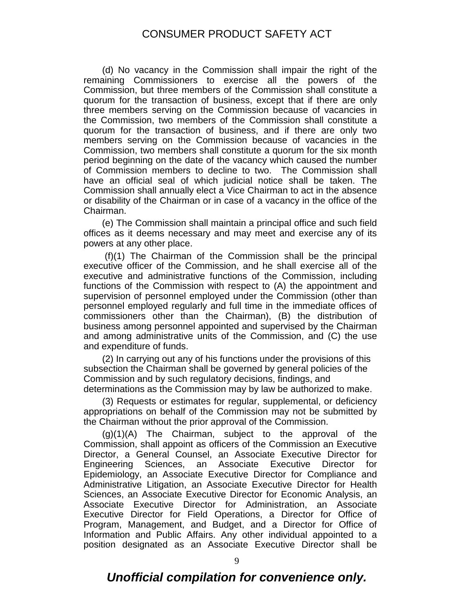(d) No vacancy in the Commission shall impair the right of the remaining Commissioners to exercise all the powers of the Commission, but three members of the Commission shall constitute a quorum for the transaction of business, except that if there are only three members serving on the Commission because of vacancies in the Commission, two members of the Commission shall constitute a quorum for the transaction of business, and if there are only two members serving on the Commission because of vacancies in the Commission, two members shall constitute a quorum for the six month period beginning on the date of the vacancy which caused the number of Commission members to decline to two. The Commission shall have an official seal of which judicial notice shall be taken. The Commission shall annually elect a Vice Chairman to act in the absence or disability of the Chairman or in case of a vacancy in the office of the Chairman.

(e) The Commission shall maintain a principal office and such field offices as it deems necessary and may meet and exercise any of its powers at any other place.

(f)(1) The Chairman of the Commission shall be the principal executive officer of the Commission, and he shall exercise all of the executive and administrative functions of the Commission, including functions of the Commission with respect to (A) the appointment and supervision of personnel employed under the Commission (other than personnel employed regularly and full time in the immediate offices of commissioners other than the Chairman), (B) the distribution of business among personnel appointed and supervised by the Chairman and among administrative units of the Commission, and (C) the use and expenditure of funds.

(2) In carrying out any of his functions under the provisions of this subsection the Chairman shall be governed by general policies of the Commission and by such regulatory decisions, findings, and determinations as the Commission may by law be authorized to make.

(3) Requests or estimates for regular, supplemental, or deficiency appropriations on behalf of the Commission may not be submitted by the Chairman without the prior approval of the Commission.

(g)(1)(A) The Chairman, subject to the approval of the Commission, shall appoint as officers of the Commission an Executive Director, a General Counsel, an Associate Executive Director for Engineering Sciences, an Associate Executive Director for Epidemiology, an Associate Executive Director for Compliance and Administrative Litigation, an Associate Executive Director for Health Sciences, an Associate Executive Director for Economic Analysis, an Associate Executive Director for Administration, an Associate Executive Director for Field Operations, a Director for Office of Program, Management, and Budget, and a Director for Office of Information and Public Affairs. Any other individual appointed to a position designated as an Associate Executive Director shall be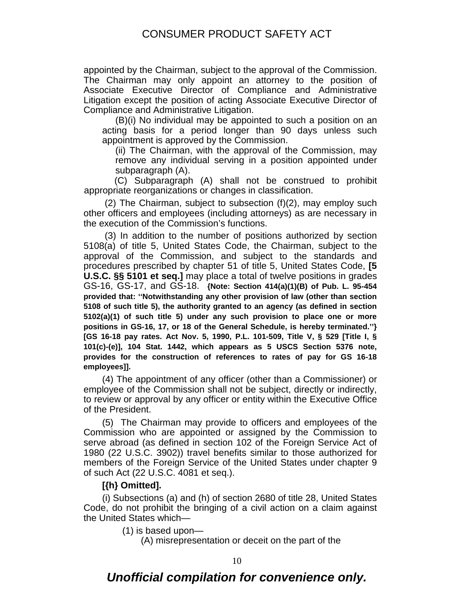appointed by the Chairman, subject to the approval of the Commission. The Chairman may only appoint an attorney to the position of Associate Executive Director of Compliance and Administrative Litigation except the position of acting Associate Executive Director of Compliance and Administrative Litigation.

(B)(i) No individual may be appointed to such a position on an acting basis for a period longer than 90 days unless such appointment is approved by the Commission.

(ii) The Chairman, with the approval of the Commission, may remove any individual serving in a position appointed under subparagraph (A).

 (C) Subparagraph (A) shall not be construed to prohibit appropriate reorganizations or changes in classification.

(2) The Chairman, subject to subsection (f)(2), may employ such other officers and employees (including attorneys) as are necessary in the execution of the Commission's functions.

(3) In addition to the number of positions authorized by section 5108(a) of title 5, United States Code, the Chairman, subject to the approval of the Commission, and subject to the standards and procedures prescribed by chapter 51 of title 5, United States Code, **[5 U.S.C. §§ 5101 et seq.]** may place a total of twelve positions in grades GS-16, GS-17, and GS-18. **{Note: Section 414(a)(1)(B) of Pub. L. 95-454 provided that: ''Notwithstanding any other provision of law (other than section 5108 of such title 5), the authority granted to an agency (as defined in section 5102(a)(1) of such title 5) under any such provision to place one or more positions in GS-16, 17, or 18 of the General Schedule, is hereby terminated.''} [GS 16-18 pay rates. Act Nov. 5, 1990, P.L. 101-509, Title V, § 529 [Title I, § 101(c)-(e)], 104 Stat. 1442, which appears as 5 USCS Section 5376 note, provides for the construction of references to rates of pay for GS 16-18 employees]].**

(4) The appointment of any officer (other than a Commissioner) or employee of the Commission shall not be subject, directly or indirectly, to review or approval by any officer or entity within the Executive Office of the President.

(5) The Chairman may provide to officers and employees of the Commission who are appointed or assigned by the Commission to serve abroad (as defined in section 102 of the Foreign Service Act of 1980 (22 U.S.C. 3902)) travel benefits similar to those authorized for members of the Foreign Service of the United States under chapter 9 of such Act (22 U.S.C. 4081 et seq.).

#### **[{h} Omitted].**

(i) Subsections (a) and (h) of section 2680 of title 28, United States Code, do not prohibit the bringing of a civil action on a claim against the United States which—

(1) is based upon—

(A) misrepresentation or deceit on the part of the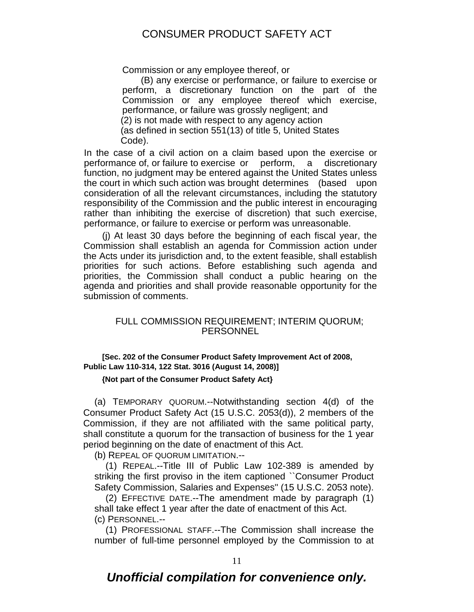Commission or any employee thereof, or

(B) any exercise or performance, or failure to exercise or perform, a discretionary function on the part of the Commission or any employee thereof which exercise, performance, or failure was grossly negligent; and (2) is not made with respect to any agency action (as defined in section 551(13) of title 5, United States Code).

In the case of a civil action on a claim based upon the exercise or performance of, or failure to exercise or perform, a discretionary function, no judgment may be entered against the United States unless the court in which such action was brought determines (based upon consideration of all the relevant circumstances, including the statutory responsibility of the Commission and the public interest in encouraging rather than inhibiting the exercise of discretion) that such exercise, performance, or failure to exercise or perform was unreasonable.

(j) At least 30 days before the beginning of each fiscal year, the Commission shall establish an agenda for Commission action under the Acts under its jurisdiction and, to the extent feasible, shall establish priorities for such actions. Before establishing such agenda and priorities, the Commission shall conduct a public hearing on the agenda and priorities and shall provide reasonable opportunity for the submission of comments.

#### FULL COMMISSION REQUIREMENT; INTERIM QUORUM; **PERSONNEL**

### **[Sec. 202 of the Consumer Product Safety Improvement Act of 2008, Public Law 110-314, 122 Stat. 3016 (August 14, 2008)]**

**{Not part of the Consumer Product Safety Act}**

(a) TEMPORARY QUORUM.--Notwithstanding section 4(d) of the Consumer Product Safety Act (15 U.S.C. 2053(d)), 2 members of the Commission, if they are not affiliated with the same political party, shall constitute a quorum for the transaction of business for the 1 year period beginning on the date of enactment of this Act.

(b) REPEAL OF QUORUM LIMITATION.--

(1) REPEAL.--Title III of Public Law 102-389 is amended by striking the first proviso in the item captioned ``Consumer Product Safety Commission, Salaries and Expenses'' (15 U.S.C. 2053 note).

(2) EFFECTIVE DATE.--The amendment made by paragraph (1) shall take effect 1 year after the date of enactment of this Act. (c) PERSONNEL.--

(1) PROFESSIONAL STAFF.--The Commission shall increase the number of full-time personnel employed by the Commission to at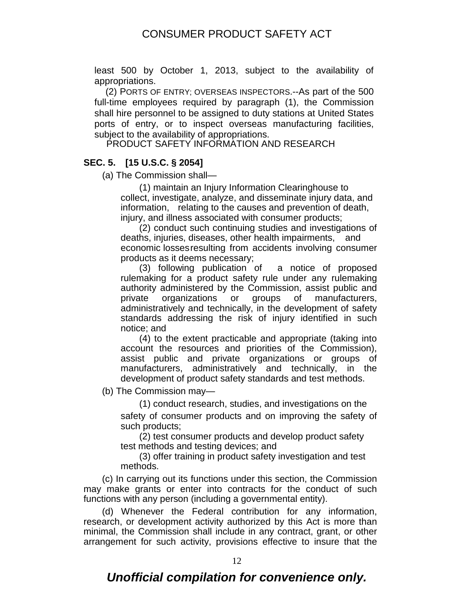least 500 by October 1, 2013, subject to the availability of appropriations.

(2) PORTS OF ENTRY; OVERSEAS INSPECTORS.--As part of the 500 full-time employees required by paragraph (1), the Commission shall hire personnel to be assigned to duty stations at United States ports of entry, or to inspect overseas manufacturing facilities, subject to the availability of appropriations.

PRODUCT SAFETY INFORMATION AND RESEARCH

#### **SEC. 5. [15 U.S.C. § 2054]**

(a) The Commission shall—

(1) maintain an Injury Information Clearinghouse to collect, investigate, analyze, and disseminate injury data, and information, relating to the causes and prevention of death, injury, and illness associated with consumer products;

(2) conduct such continuing studies and investigations of deaths, injuries, diseases, other health impairments, and economic lossesresulting from accidents involving consumer products as it deems necessary;

(3) following publication of a notice of proposed rulemaking for a product safety rule under any rulemaking authority administered by the Commission, assist public and private organizations or groups of manufacturers, administratively and technically, in the development of safety standards addressing the risk of injury identified in such notice; and

(4) to the extent practicable and appropriate (taking into account the resources and priorities of the Commission), assist public and private organizations or groups of manufacturers, administratively and technically, in the development of product safety standards and test methods.

(b) The Commission may—

(1) conduct research, studies, and investigations on the

safety of consumer products and on improving the safety of such products;

(2) test consumer products and develop product safety test methods and testing devices; and

(3) offer training in product safety investigation and test methods.

(c) In carrying out its functions under this section, the Commission may make grants or enter into contracts for the conduct of such functions with any person (including a governmental entity).

(d) Whenever the Federal contribution for any information, research, or development activity authorized by this Act is more than minimal, the Commission shall include in any contract, grant, or other arrangement for such activity, provisions effective to insure that the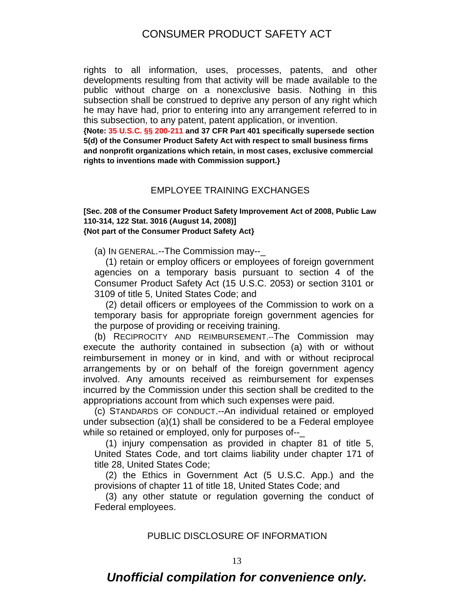rights to all information, uses, processes, patents, and other developments resulting from that activity will be made available to the public without charge on a nonexclusive basis. Nothing in this subsection shall be construed to deprive any person of any right which he may have had, prior to entering into any arrangement referred to in this subsection, to any patent, patent application, or invention.

**{Note: 35 U.S.C. §§ 200-211 and 37 CFR Part 401 specifically supersede section 5(d) of the Consumer Product Safety Act with respect to small business firms and nonprofit organizations which retain, in most cases, exclusive commercial rights to inventions made with Commission support.}**

#### EMPLOYEE TRAINING EXCHANGES

#### **[Sec. 208 of the Consumer Product Safety Improvement Act of 2008, Public Law 110-314, 122 Stat. 3016 (August 14, 2008)] {Not part of the Consumer Product Safety Act}**

(a) IN GENERAL.--The Commission may--

(1) retain or employ officers or employees of foreign government agencies on a temporary basis pursuant to section 4 of the Consumer Product Safety Act (15 U.S.C. 2053) or section 3101 or 3109 of title 5, United States Code; and

(2) detail officers or employees of the Commission to work on a temporary basis for appropriate foreign government agencies for the purpose of providing or receiving training.

(b) RECIPROCITY AND REIMBURSEMENT.--The Commission may execute the authority contained in subsection (a) with or without reimbursement in money or in kind, and with or without reciprocal arrangements by or on behalf of the foreign government agency involved. Any amounts received as reimbursement for expenses incurred by the Commission under this section shall be credited to the appropriations account from which such expenses were paid.

(c) STANDARDS OF CONDUCT.--An individual retained or employed under subsection (a)(1) shall be considered to be a Federal employee while so retained or employed, only for purposes of--

(1) injury compensation as provided in chapter 81 of title 5, United States Code, and tort claims liability under chapter 171 of title 28, United States Code;

(2) the Ethics in Government Act (5 U.S.C. App.) and the provisions of chapter 11 of title 18, United States Code; and

(3) any other statute or regulation governing the conduct of Federal employees.

#### PUBLIC DISCLOSURE OF INFORMATION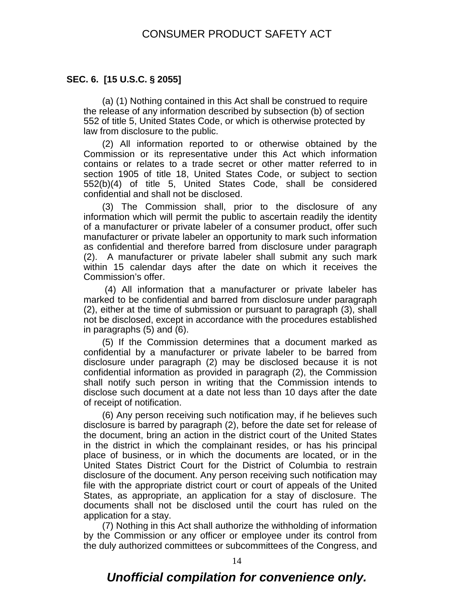#### **SEC. 6. [15 U.S.C. § 2055]**

(a) (1) Nothing contained in this Act shall be construed to require the release of any information described by subsection (b) of section 552 of title 5, United States Code, or which is otherwise protected by law from disclosure to the public.

(2) All information reported to or otherwise obtained by the Commission or its representative under this Act which information contains or relates to a trade secret or other matter referred to in section 1905 of title 18, United States Code, or subject to section 552(b)(4) of title 5, United States Code, shall be considered confidential and shall not be disclosed.

(3) The Commission shall, prior to the disclosure of any information which will permit the public to ascertain readily the identity of a manufacturer or private labeler of a consumer product, offer such manufacturer or private labeler an opportunity to mark such information as confidential and therefore barred from disclosure under paragraph (2). A manufacturer or private labeler shall submit any such mark within 15 calendar days after the date on which it receives the Commission's offer.

(4) All information that a manufacturer or private labeler has marked to be confidential and barred from disclosure under paragraph (2), either at the time of submission or pursuant to paragraph (3), shall not be disclosed, except in accordance with the procedures established in paragraphs (5) and (6).

(5) If the Commission determines that a document marked as confidential by a manufacturer or private labeler to be barred from disclosure under paragraph (2) may be disclosed because it is not confidential information as provided in paragraph (2), the Commission shall notify such person in writing that the Commission intends to disclose such document at a date not less than 10 days after the date of receipt of notification.

(6) Any person receiving such notification may, if he believes such disclosure is barred by paragraph (2), before the date set for release of the document, bring an action in the district court of the United States in the district in which the complainant resides, or has his principal place of business, or in which the documents are located, or in the United States District Court for the District of Columbia to restrain disclosure of the document. Any person receiving such notification may file with the appropriate district court or court of appeals of the United States, as appropriate, an application for a stay of disclosure. The documents shall not be disclosed until the court has ruled on the application for a stay.

(7) Nothing in this Act shall authorize the withholding of information by the Commission or any officer or employee under its control from the duly authorized committees or subcommittees of the Congress, and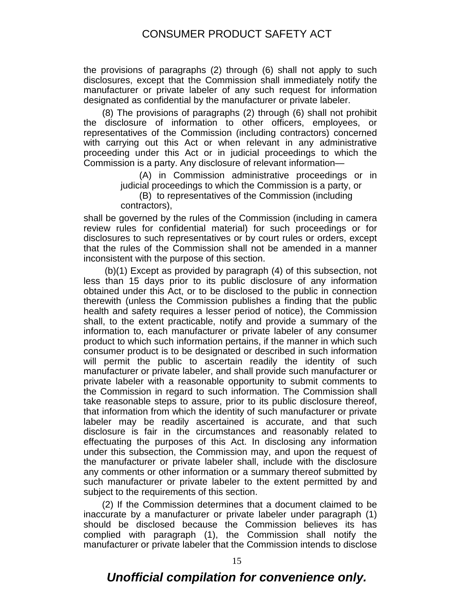the provisions of paragraphs (2) through (6) shall not apply to such disclosures, except that the Commission shall immediately notify the manufacturer or private labeler of any such request for information designated as confidential by the manufacturer or private labeler.

(8) The provisions of paragraphs (2) through (6) shall not prohibit the disclosure of information to other officers, employees, or representatives of the Commission (including contractors) concerned with carrying out this Act or when relevant in any administrative proceeding under this Act or in judicial proceedings to which the Commission is a party. Any disclosure of relevant information—

> (A) in Commission administrative proceedings or in judicial proceedings to which the Commission is a party, or

(B) to representatives of the Commission (including contractors),

shall be governed by the rules of the Commission (including in camera review rules for confidential material) for such proceedings or for disclosures to such representatives or by court rules or orders, except that the rules of the Commission shall not be amended in a manner inconsistent with the purpose of this section.

(b)(1) Except as provided by paragraph (4) of this subsection, not less than 15 days prior to its public disclosure of any information obtained under this Act, or to be disclosed to the public in connection therewith (unless the Commission publishes a finding that the public health and safety requires a lesser period of notice), the Commission shall, to the extent practicable, notify and provide a summary of the information to, each manufacturer or private labeler of any consumer product to which such information pertains, if the manner in which such consumer product is to be designated or described in such information will permit the public to ascertain readily the identity of such manufacturer or private labeler, and shall provide such manufacturer or private labeler with a reasonable opportunity to submit comments to the Commission in regard to such information. The Commission shall take reasonable steps to assure, prior to its public disclosure thereof, that information from which the identity of such manufacturer or private labeler may be readily ascertained is accurate, and that such disclosure is fair in the circumstances and reasonably related to effectuating the purposes of this Act. In disclosing any information under this subsection, the Commission may, and upon the request of the manufacturer or private labeler shall, include with the disclosure any comments or other information or a summary thereof submitted by such manufacturer or private labeler to the extent permitted by and subject to the requirements of this section.

(2) If the Commission determines that a document claimed to be inaccurate by a manufacturer or private labeler under paragraph (1) should be disclosed because the Commission believes its has complied with paragraph (1), the Commission shall notify the manufacturer or private labeler that the Commission intends to disclose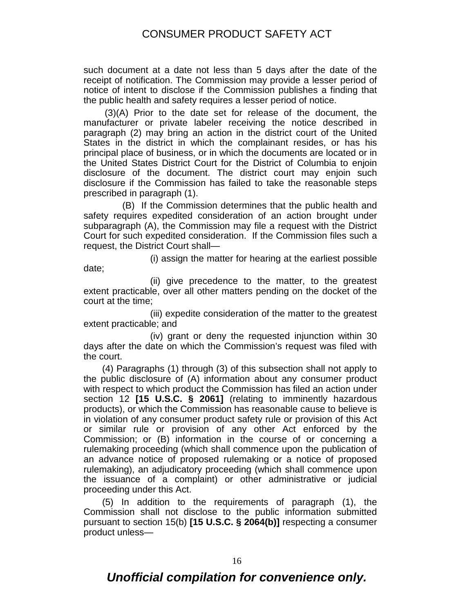such document at a date not less than 5 days after the date of the receipt of notification. The Commission may provide a lesser period of notice of intent to disclose if the Commission publishes a finding that the public health and safety requires a lesser period of notice.

(3)(A) Prior to the date set for release of the document, the manufacturer or private labeler receiving the notice described in paragraph (2) may bring an action in the district court of the United States in the district in which the complainant resides, or has his principal place of business, or in which the documents are located or in the United States District Court for the District of Columbia to enjoin disclosure of the document. The district court may enjoin such disclosure if the Commission has failed to take the reasonable steps prescribed in paragraph (1).

(B) If the Commission determines that the public health and safety requires expedited consideration of an action brought under subparagraph (A), the Commission may file a request with the District Court for such expedited consideration. If the Commission files such a request, the District Court shall—

(i) assign the matter for hearing at the earliest possible date;

(ii) give precedence to the matter, to the greatest extent practicable, over all other matters pending on the docket of the court at the time;

(iii) expedite consideration of the matter to the greatest extent practicable; and

(iv) grant or deny the requested injunction within 30 days after the date on which the Commission's request was filed with the court.

(4) Paragraphs (1) through (3) of this subsection shall not apply to the public disclosure of (A) information about any consumer product with respect to which product the Commission has filed an action under section 12 **[15 U.S.C. § 2061]** (relating to imminently hazardous products), or which the Commission has reasonable cause to believe is in violation of any consumer product safety rule or provision of this Act or similar rule or provision of any other Act enforced by the Commission; or (B) information in the course of or concerning a rulemaking proceeding (which shall commence upon the publication of an advance notice of proposed rulemaking or a notice of proposed rulemaking), an adjudicatory proceeding (which shall commence upon the issuance of a complaint) or other administrative or judicial proceeding under this Act.

(5) In addition to the requirements of paragraph (1), the Commission shall not disclose to the public information submitted pursuant to section 15(b) **[15 U.S.C. § 2064(b)]** respecting a consumer product unless—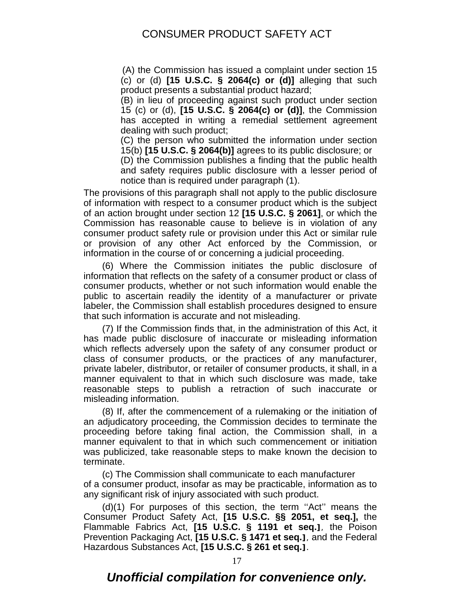(A) the Commission has issued a complaint under section 15 (c) or (d) **[15 U.S.C. § 2064(c) or (d)]** alleging that such product presents a substantial product hazard;

(B) in lieu of proceeding against such product under section 15 (c) or (d), **[15 U.S.C. § 2064(c) or (d)]**, the Commission has accepted in writing a remedial settlement agreement dealing with such product;

(C) the person who submitted the information under section 15(b) **[15 U.S.C. § 2064(b)]** agrees to its public disclosure; or (D) the Commission publishes a finding that the public health and safety requires public disclosure with a lesser period of notice than is required under paragraph (1).

The provisions of this paragraph shall not apply to the public disclosure of information with respect to a consumer product which is the subject of an action brought under section 12 **[15 U.S.C. § 2061]**, or which the Commission has reasonable cause to believe is in violation of any consumer product safety rule or provision under this Act or similar rule or provision of any other Act enforced by the Commission, or information in the course of or concerning a judicial proceeding.

(6) Where the Commission initiates the public disclosure of information that reflects on the safety of a consumer product or class of consumer products, whether or not such information would enable the public to ascertain readily the identity of a manufacturer or private labeler, the Commission shall establish procedures designed to ensure that such information is accurate and not misleading.

(7) If the Commission finds that, in the administration of this Act, it has made public disclosure of inaccurate or misleading information which reflects adversely upon the safety of any consumer product or class of consumer products, or the practices of any manufacturer, private labeler, distributor, or retailer of consumer products, it shall, in a manner equivalent to that in which such disclosure was made, take reasonable steps to publish a retraction of such inaccurate or misleading information.

(8) If, after the commencement of a rulemaking or the initiation of an adjudicatory proceeding, the Commission decides to terminate the proceeding before taking final action, the Commission shall, in a manner equivalent to that in which such commencement or initiation was publicized, take reasonable steps to make known the decision to terminate.

(c) The Commission shall communicate to each manufacturer of a consumer product, insofar as may be practicable, information as to any significant risk of injury associated with such product.

(d)(1) For purposes of this section, the term ''Act'' means the Consumer Product Safety Act, **[15 U.S.C. §§ 2051, et seq.],** the Flammable Fabrics Act, **[15 U.S.C. § 1191 et seq.]**, the Poison Prevention Packaging Act, **[15 U.S.C. § 1471 et seq.]**, and the Federal Hazardous Substances Act, **[15 U.S.C. § 261 et seq.]**.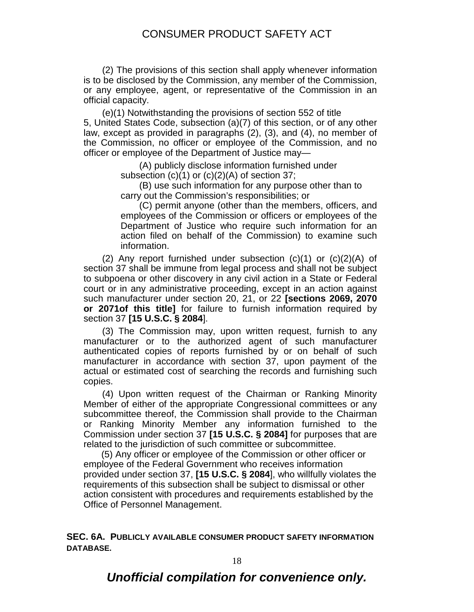(2) The provisions of this section shall apply whenever information is to be disclosed by the Commission, any member of the Commission, or any employee, agent, or representative of the Commission in an official capacity.

(e)(1) Notwithstanding the provisions of section 552 of title 5, United States Code, subsection (a)(7) of this section, or of any other law, except as provided in paragraphs (2), (3), and (4), no member of the Commission, no officer or employee of the Commission, and no officer or employee of the Department of Justice may—

> (A) publicly disclose information furnished under subsection (c)(1) or (c)(2)(A) of section 37;

(B) use such information for any purpose other than to carry out the Commission's responsibilities; or

(C) permit anyone (other than the members, officers, and employees of the Commission or officers or employees of the Department of Justice who require such information for an action filed on behalf of the Commission) to examine such information.

(2) Any report furnished under subsection (c)(1) or (c)(2)(A) of section 37 shall be immune from legal process and shall not be subject to subpoena or other discovery in any civil action in a State or Federal court or in any administrative proceeding, except in an action against such manufacturer under section 20, 21, or 22 **[sections 2069, 2070 or 2071of this title]** for failure to furnish information required by section 37 **[15 U.S.C. § 2084**].

(3) The Commission may, upon written request, furnish to any manufacturer or to the authorized agent of such manufacturer authenticated copies of reports furnished by or on behalf of such manufacturer in accordance with section 37, upon payment of the actual or estimated cost of searching the records and furnishing such copies.

(4) Upon written request of the Chairman or Ranking Minority Member of either of the appropriate Congressional committees or any subcommittee thereof, the Commission shall provide to the Chairman or Ranking Minority Member any information furnished to the Commission under section 37 **[15 U.S.C. § 2084]** for purposes that are related to the jurisdiction of such committee or subcommittee.

(5) Any officer or employee of the Commission or other officer or employee of the Federal Government who receives information provided under section 37, **[15 U.S.C. § 2084**], who willfully violates the requirements of this subsection shall be subject to dismissal or other action consistent with procedures and requirements established by the Office of Personnel Management.

**SEC. 6A. PUBLICLY AVAILABLE CONSUMER PRODUCT SAFETY INFORMATION DATABASE.**

18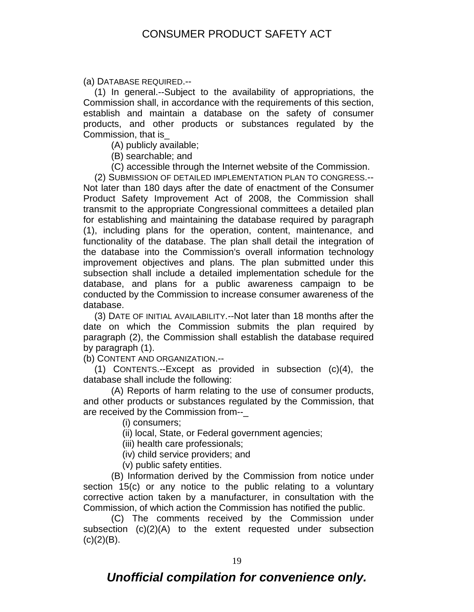#### (a) DATABASE REQUIRED.--

(1) In general.--Subject to the availability of appropriations, the Commission shall, in accordance with the requirements of this section, establish and maintain a database on the safety of consumer products, and other products or substances regulated by the Commission, that is\_

(A) publicly available;

(B) searchable; and

(C) accessible through the Internet website of the Commission.

(2) SUBMISSION OF DETAILED IMPLEMENTATION PLAN TO CONGRESS.--

Not later than 180 days after the date of enactment of the Consumer Product Safety Improvement Act of 2008, the Commission shall transmit to the appropriate Congressional committees a detailed plan for establishing and maintaining the database required by paragraph (1), including plans for the operation, content, maintenance, and functionality of the database. The plan shall detail the integration of the database into the Commission's overall information technology improvement objectives and plans. The plan submitted under this subsection shall include a detailed implementation schedule for the database, and plans for a public awareness campaign to be conducted by the Commission to increase consumer awareness of the database.

(3) DATE OF INITIAL AVAILABILITY.--Not later than 18 months after the date on which the Commission submits the plan required by paragraph (2), the Commission shall establish the database required by paragraph (1).

(b) CONTENT AND ORGANIZATION.--

(1) CONTENTS.--Except as provided in subsection (c)(4), the database shall include the following:

(A) Reports of harm relating to the use of consumer products, and other products or substances regulated by the Commission, that are received by the Commission from--

(i) consumers;

(ii) local, State, or Federal government agencies;

(iii) health care professionals;

(iv) child service providers; and

(v) public safety entities.

(B) Information derived by the Commission from notice under section 15(c) or any notice to the public relating to a voluntary corrective action taken by a manufacturer, in consultation with the Commission, of which action the Commission has notified the public.

(C) The comments received by the Commission under subsection (c)(2)(A) to the extent requested under subsection  $(c)(2)(B)$ .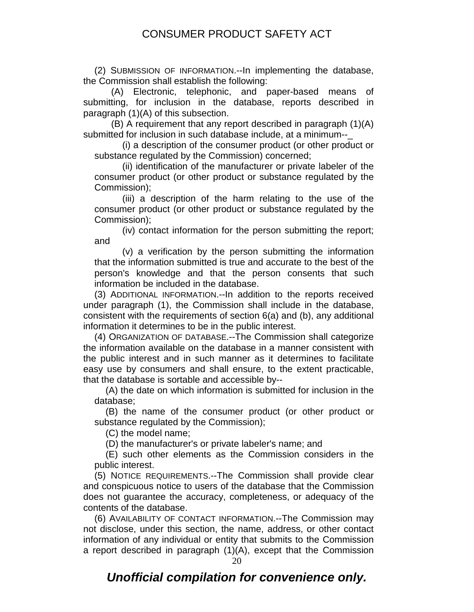(2) SUBMISSION OF INFORMATION.--In implementing the database, the Commission shall establish the following:

(A) Electronic, telephonic, and paper-based means of submitting, for inclusion in the database, reports described in paragraph (1)(A) of this subsection.

(B) A requirement that any report described in paragraph (1)(A) submitted for inclusion in such database include, at a minimum--

(i) a description of the consumer product (or other product or substance regulated by the Commission) concerned;

(ii) identification of the manufacturer or private labeler of the consumer product (or other product or substance regulated by the Commission);

(iii) a description of the harm relating to the use of the consumer product (or other product or substance regulated by the Commission);

(iv) contact information for the person submitting the report; and

(v) a verification by the person submitting the information that the information submitted is true and accurate to the best of the person's knowledge and that the person consents that such information be included in the database.

(3) ADDITIONAL INFORMATION.--In addition to the reports received under paragraph (1), the Commission shall include in the database, consistent with the requirements of section 6(a) and (b), any additional information it determines to be in the public interest.

(4) ORGANIZATION OF DATABASE.--The Commission shall categorize the information available on the database in a manner consistent with the public interest and in such manner as it determines to facilitate easy use by consumers and shall ensure, to the extent practicable, that the database is sortable and accessible by--

(A) the date on which information is submitted for inclusion in the database;

(B) the name of the consumer product (or other product or substance regulated by the Commission);

(C) the model name;

(D) the manufacturer's or private labeler's name; and

(E) such other elements as the Commission considers in the public interest.

(5) NOTICE REQUIREMENTS.--The Commission shall provide clear and conspicuous notice to users of the database that the Commission does not guarantee the accuracy, completeness, or adequacy of the contents of the database.

(6) AVAILABILITY OF CONTACT INFORMATION.--The Commission may not disclose, under this section, the name, address, or other contact information of any individual or entity that submits to the Commission a report described in paragraph (1)(A), except that the Commission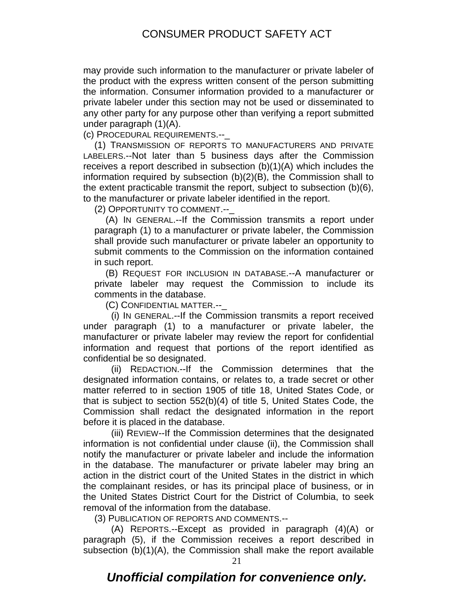may provide such information to the manufacturer or private labeler of the product with the express written consent of the person submitting the information. Consumer information provided to a manufacturer or private labeler under this section may not be used or disseminated to any other party for any purpose other than verifying a report submitted under paragraph (1)(A).

(c) PROCEDURAL REQUIREMENTS.--\_

(1) TRANSMISSION OF REPORTS TO MANUFACTURERS AND PRIVATE LABELERS.--Not later than 5 business days after the Commission receives a report described in subsection  $(b)(1)(A)$  which includes the information required by subsection (b)(2)(B), the Commission shall to the extent practicable transmit the report, subject to subsection (b)(6), to the manufacturer or private labeler identified in the report.

(2) OPPORTUNITY TO COMMENT.--\_

(A) IN GENERAL.--If the Commission transmits a report under paragraph (1) to a manufacturer or private labeler, the Commission shall provide such manufacturer or private labeler an opportunity to submit comments to the Commission on the information contained in such report.

(B) REQUEST FOR INCLUSION IN DATABASE.--A manufacturer or private labeler may request the Commission to include its comments in the database.

(C) CONFIDENTIAL MATTER.--\_

(i) IN GENERAL.--If the Commission transmits a report received under paragraph (1) to a manufacturer or private labeler, the manufacturer or private labeler may review the report for confidential information and request that portions of the report identified as confidential be so designated.

(ii) REDACTION.--If the Commission determines that the designated information contains, or relates to, a trade secret or other matter referred to in section 1905 of title 18, United States Code, or that is subject to section 552(b)(4) of title 5, United States Code, the Commission shall redact the designated information in the report before it is placed in the database.

(iii) REVIEW--If the Commission determines that the designated information is not confidential under clause (ii), the Commission shall notify the manufacturer or private labeler and include the information in the database. The manufacturer or private labeler may bring an action in the district court of the United States in the district in which the complainant resides, or has its principal place of business, or in the United States District Court for the District of Columbia, to seek removal of the information from the database.

(3) PUBLICATION OF REPORTS AND COMMENTS.--

(A) REPORTS.--Except as provided in paragraph (4)(A) or paragraph (5), if the Commission receives a report described in subsection (b)(1)(A), the Commission shall make the report available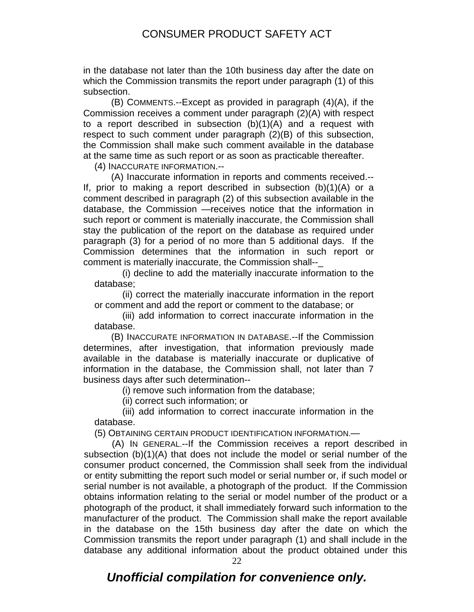in the database not later than the 10th business day after the date on which the Commission transmits the report under paragraph (1) of this subsection.

(B) COMMENTS.--Except as provided in paragraph (4)(A), if the Commission receives a comment under paragraph (2)(A) with respect to a report described in subsection (b)(1)(A) and a request with respect to such comment under paragraph (2)(B) of this subsection, the Commission shall make such comment available in the database at the same time as such report or as soon as practicable thereafter.

(4) INACCURATE INFORMATION.--

(A) Inaccurate information in reports and comments received.-- If, prior to making a report described in subsection (b)(1)(A) or a comment described in paragraph (2) of this subsection available in the database, the Commission —receives notice that the information in such report or comment is materially inaccurate, the Commission shall stay the publication of the report on the database as required under paragraph (3) for a period of no more than 5 additional days. If the Commission determines that the information in such report or comment is materially inaccurate, the Commission shall--\_

(i) decline to add the materially inaccurate information to the database;

(ii) correct the materially inaccurate information in the report or comment and add the report or comment to the database; or

(iii) add information to correct inaccurate information in the database.

(B) INACCURATE INFORMATION IN DATABASE.--If the Commission determines, after investigation, that information previously made available in the database is materially inaccurate or duplicative of information in the database, the Commission shall, not later than 7 business days after such determination--

(i) remove such information from the database;

(ii) correct such information; or

(iii) add information to correct inaccurate information in the database.

(5) OBTAINING CERTAIN PRODUCT IDENTIFICATION INFORMATION.—

(A) IN GENERAL.--If the Commission receives a report described in subsection (b)(1)(A) that does not include the model or serial number of the consumer product concerned, the Commission shall seek from the individual or entity submitting the report such model or serial number or, if such model or serial number is not available, a photograph of the product. If the Commission obtains information relating to the serial or model number of the product or a photograph of the product, it shall immediately forward such information to the manufacturer of the product. The Commission shall make the report available in the database on the 15th business day after the date on which the Commission transmits the report under paragraph (1) and shall include in the database any additional information about the product obtained under this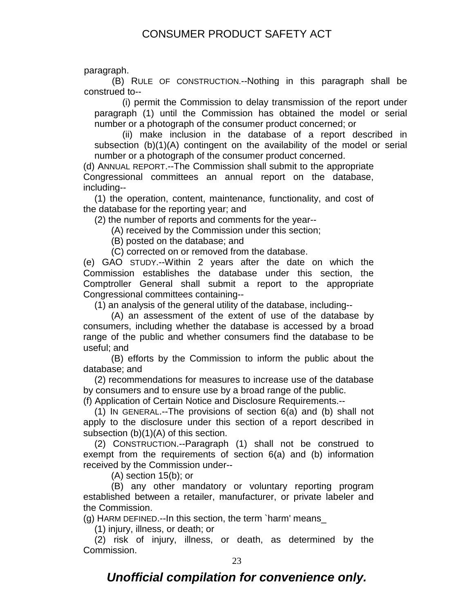paragraph.

(B) RULE OF CONSTRUCTION.--Nothing in this paragraph shall be construed to--

(i) permit the Commission to delay transmission of the report under paragraph (1) until the Commission has obtained the model or serial number or a photograph of the consumer product concerned; or

(ii) make inclusion in the database of a report described in subsection  $(b)(1)(A)$  contingent on the availability of the model or serial number or a photograph of the consumer product concerned.

(d) ANNUAL REPORT.--The Commission shall submit to the appropriate Congressional committees an annual report on the database, including--

(1) the operation, content, maintenance, functionality, and cost of the database for the reporting year; and

(2) the number of reports and comments for the year--

(A) received by the Commission under this section;

(B) posted on the database; and

(C) corrected on or removed from the database.

(e) GAO STUDY.--Within 2 years after the date on which the Commission establishes the database under this section, the Comptroller General shall submit a report to the appropriate Congressional committees containing--

(1) an analysis of the general utility of the database, including--

(A) an assessment of the extent of use of the database by consumers, including whether the database is accessed by a broad range of the public and whether consumers find the database to be useful; and

(B) efforts by the Commission to inform the public about the database; and

(2) recommendations for measures to increase use of the database by consumers and to ensure use by a broad range of the public.

(f) Application of Certain Notice and Disclosure Requirements.--

(1) IN GENERAL.--The provisions of section 6(a) and (b) shall not apply to the disclosure under this section of a report described in subsection (b)(1)(A) of this section.

(2) CONSTRUCTION.--Paragraph (1) shall not be construed to exempt from the requirements of section 6(a) and (b) information received by the Commission under--

(A) section 15(b); or

(B) any other mandatory or voluntary reporting program established between a retailer, manufacturer, or private labeler and the Commission.

(g) HARM DEFINED.--In this section, the term `harm' means\_

(1) injury, illness, or death; or

(2) risk of injury, illness, or death, as determined by the Commission.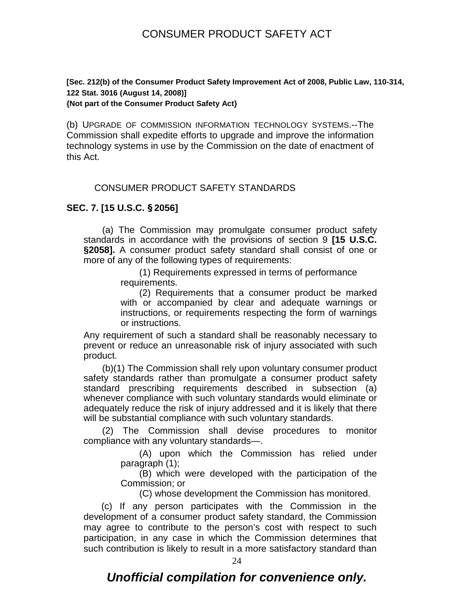**[Sec. 212(b) of the Consumer Product Safety Improvement Act of 2008, Public Law, 110-314, 122 Stat. 3016 (August 14, 2008)]**

**{Not part of the Consumer Product Safety Act}**

(b) UPGRADE OF COMMISSION INFORMATION TECHNOLOGY SYSTEMS.--The Commission shall expedite efforts to upgrade and improve the information technology systems in use by the Commission on the date of enactment of this Act.

#### CONSUMER PRODUCT SAFETY STANDARDS

#### **SEC. 7. [15 U.S.C. §2056]**

(a) The Commission may promulgate consumer product safety standards in accordance with the provisions of section 9 **[15 U.S.C. §2058].** A consumer product safety standard shall consist of one or more of any of the following types of requirements:

> (1) Requirements expressed in terms of performance requirements.

(2) Requirements that a consumer product be marked with or accompanied by clear and adequate warnings or instructions, or requirements respecting the form of warnings or instructions.

Any requirement of such a standard shall be reasonably necessary to prevent or reduce an unreasonable risk of injury associated with such product.

(b)(1) The Commission shall rely upon voluntary consumer product safety standards rather than promulgate a consumer product safety standard prescribing requirements described in subsection (a) whenever compliance with such voluntary standards would eliminate or adequately reduce the risk of injury addressed and it is likely that there will be substantial compliance with such voluntary standards.

(2) The Commission shall devise procedures to monitor compliance with any voluntary standards—.

> (A) upon which the Commission has relied under paragraph (1);

> (B) which were developed with the participation of the Commission; or

(C) whose development the Commission has monitored.

(c) If any person participates with the Commission in the development of a consumer product safety standard, the Commission may agree to contribute to the person's cost with respect to such participation, in any case in which the Commission determines that such contribution is likely to result in a more satisfactory standard than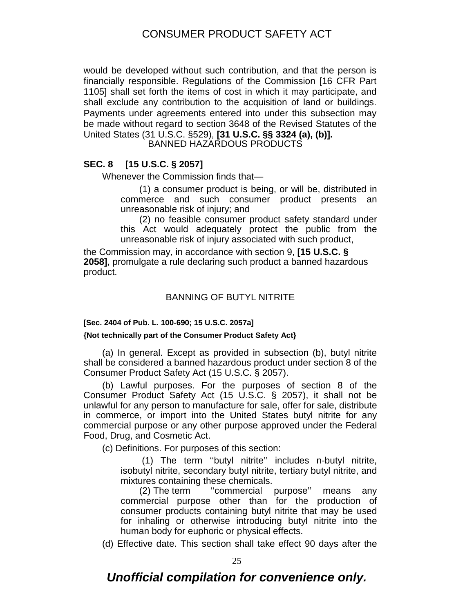would be developed without such contribution, and that the person is financially responsible. Regulations of the Commission [16 CFR Part 1105] shall set forth the items of cost in which it may participate, and shall exclude any contribution to the acquisition of land or buildings. Payments under agreements entered into under this subsection may be made without regard to section 3648 of the Revised Statutes of the United States (31 U.S.C. §529), **[31 U.S.C. §§ 3324 (a), (b)].**

BANNED HAZARDOUS PRODUCTS

#### **SEC. 8 [15 U.S.C. § 2057]**

Whenever the Commission finds that—

(1) a consumer product is being, or will be, distributed in commerce and such consumer product presents an unreasonable risk of injury; and

(2) no feasible consumer product safety standard under this Act would adequately protect the public from the unreasonable risk of injury associated with such product,

the Commission may, in accordance with section 9, **[15 U.S.C. § 2058]**, promulgate a rule declaring such product a banned hazardous product.

#### BANNING OF BUTYL NITRITE

# **[Sec. 2404 of Pub. L. 100-690; 15 U.S.C. 2057a]**

#### **{Not technically part of the Consumer Product Safety Act}**

(a) In general. Except as provided in subsection (b), butyl nitrite shall be considered a banned hazardous product under section 8 of the Consumer Product Safety Act (15 U.S.C. § 2057).

(b) Lawful purposes. For the purposes of section 8 of the Consumer Product Safety Act (15 U.S.C. § 2057), it shall not be unlawful for any person to manufacture for sale, offer for sale, distribute in commerce, or import into the United States butyl nitrite for any commercial purpose or any other purpose approved under the Federal Food, Drug, and Cosmetic Act.

(c) Definitions. For purposes of this section:

(1) The term ''butyl nitrite'' includes n-butyl nitrite, isobutyl nitrite, secondary butyl nitrite, tertiary butyl nitrite, and mixtures containing these chemicals.

(2) The term ''commercial purpose'' means any commercial purpose other than for the production of consumer products containing butyl nitrite that may be used for inhaling or otherwise introducing butyl nitrite into the human body for euphoric or physical effects.

(d) Effective date. This section shall take effect 90 days after the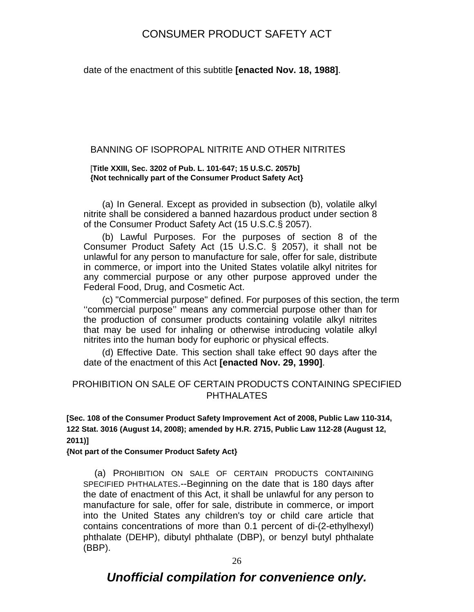date of the enactment of this subtitle **[enacted Nov. 18, 1988]**.

BANNING OF ISOPROPAL NITRITE AND OTHER NITRITES

#### [**Title XXIII, Sec. 3202 of Pub. L. 101-647; 15 U.S.C. 2057b] {Not technically part of the Consumer Product Safety Act}**

(a) In General. Except as provided in subsection (b), volatile alkyl nitrite shall be considered a banned hazardous product under section 8 of the Consumer Product Safety Act (15 U.S.C.§ 2057).

(b) Lawful Purposes. For the purposes of section 8 of the Consumer Product Safety Act (15 U.S.C. § 2057), it shall not be unlawful for any person to manufacture for sale, offer for sale, distribute in commerce, or import into the United States volatile alkyl nitrites for any commercial purpose or any other purpose approved under the Federal Food, Drug, and Cosmetic Act.

(c) "Commercial purpose" defined. For purposes of this section, the term ''commercial purpose'' means any commercial purpose other than for the production of consumer products containing volatile alkyl nitrites that may be used for inhaling or otherwise introducing volatile alkyl nitrites into the human body for euphoric or physical effects.

(d) Effective Date. This section shall take effect 90 days after the date of the enactment of this Act **[enacted Nov. 29, 1990]**.

#### PROHIBITION ON SALE OF CERTAIN PRODUCTS CONTAINING SPECIFIED PHTHALATES

**[Sec. 108 of the Consumer Product Safety Improvement Act of 2008, Public Law 110-314, 122 Stat. 3016 (August 14, 2008); amended by H.R. 2715, Public Law 112-28 (August 12, 2011)]**

**{Not part of the Consumer Product Safety Act}**

(a) PROHIBITION ON SALE OF CERTAIN PRODUCTS CONTAINING SPECIFIED PHTHALATES.--Beginning on the date that is 180 days after the date of enactment of this Act, it shall be unlawful for any person to manufacture for sale, offer for sale, distribute in commerce, or import into the United States any children's toy or child care article that contains concentrations of more than 0.1 percent of di-(2-ethylhexyl) phthalate (DEHP), dibutyl phthalate (DBP), or benzyl butyl phthalate (BBP).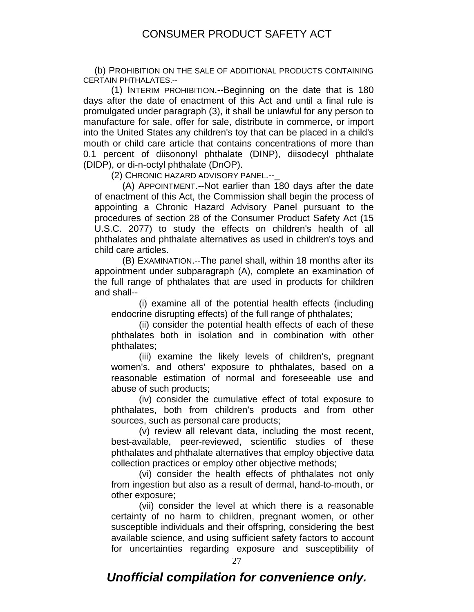(b) PROHIBITION ON THE SALE OF ADDITIONAL PRODUCTS CONTAINING CERTAIN PHTHALATES.--

(1) INTERIM PROHIBITION.--Beginning on the date that is 180 days after the date of enactment of this Act and until a final rule is promulgated under paragraph (3), it shall be unlawful for any person to manufacture for sale, offer for sale, distribute in commerce, or import into the United States any children's toy that can be placed in a child's mouth or child care article that contains concentrations of more than 0.1 percent of diisononyl phthalate (DINP), diisodecyl phthalate (DIDP), or di-n-octyl phthalate (DnOP).

(2) CHRONIC HAZARD ADVISORY PANEL.--\_

(A) APPOINTMENT.--Not earlier than 180 days after the date of enactment of this Act, the Commission shall begin the process of appointing a Chronic Hazard Advisory Panel pursuant to the procedures of section 28 of the Consumer Product Safety Act (15 U.S.C. 2077) to study the effects on children's health of all phthalates and phthalate alternatives as used in children's toys and child care articles.

(B) EXAMINATION.--The panel shall, within 18 months after its appointment under subparagraph (A), complete an examination of the full range of phthalates that are used in products for children and shall--

(i) examine all of the potential health effects (including endocrine disrupting effects) of the full range of phthalates;

(ii) consider the potential health effects of each of these phthalates both in isolation and in combination with other phthalates;

(iii) examine the likely levels of children's, pregnant women's, and others' exposure to phthalates, based on a reasonable estimation of normal and foreseeable use and abuse of such products;

(iv) consider the cumulative effect of total exposure to phthalates, both from children's products and from other sources, such as personal care products;

(v) review all relevant data, including the most recent, best-available, peer-reviewed, scientific studies of these phthalates and phthalate alternatives that employ objective data collection practices or employ other objective methods;

(vi) consider the health effects of phthalates not only from ingestion but also as a result of dermal, hand-to-mouth, or other exposure;

(vii) consider the level at which there is a reasonable certainty of no harm to children, pregnant women, or other susceptible individuals and their offspring, considering the best available science, and using sufficient safety factors to account for uncertainties regarding exposure and susceptibility of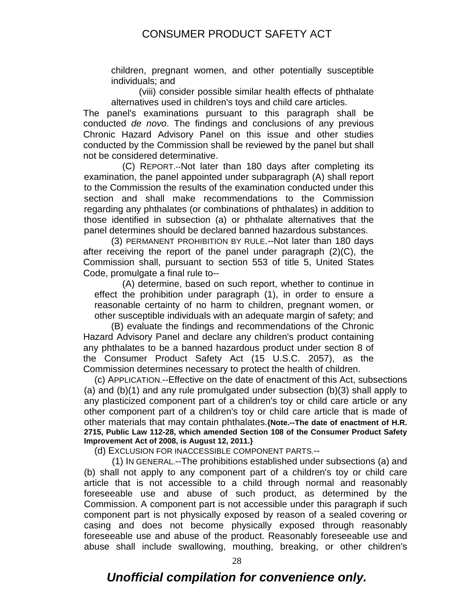children, pregnant women, and other potentially susceptible individuals; and

(viii) consider possible similar health effects of phthalate alternatives used in children's toys and child care articles.

The panel's examinations pursuant to this paragraph shall be conducted *de novo*. The findings and conclusions of any previous Chronic Hazard Advisory Panel on this issue and other studies conducted by the Commission shall be reviewed by the panel but shall not be considered determinative.

(C) REPORT.--Not later than 180 days after completing its examination, the panel appointed under subparagraph (A) shall report to the Commission the results of the examination conducted under this section and shall make recommendations to the Commission regarding any phthalates (or combinations of phthalates) in addition to those identified in subsection (a) or phthalate alternatives that the panel determines should be declared banned hazardous substances.

(3) PERMANENT PROHIBITION BY RULE.--Not later than 180 days after receiving the report of the panel under paragraph (2)(C), the Commission shall, pursuant to section 553 of title 5, United States Code, promulgate a final rule to--

(A) determine, based on such report, whether to continue in effect the prohibition under paragraph (1), in order to ensure a reasonable certainty of no harm to children, pregnant women, or other susceptible individuals with an adequate margin of safety; and

(B) evaluate the findings and recommendations of the Chronic Hazard Advisory Panel and declare any children's product containing any phthalates to be a banned hazardous product under section 8 of the Consumer Product Safety Act (15 U.S.C. 2057), as the Commission determines necessary to protect the health of children.

(c) APPLICATION.--Effective on the date of enactment of this Act, subsections (a) and (b)(1) and any rule promulgated under subsection (b)(3) shall apply to any plasticized component part of a children's toy or child care article or any other component part of a children's toy or child care article that is made of other materials that may contain phthalates.**{Note.--The date of enactment of H.R. 2715, Public Law 112-28, which amended Section 108 of the Consumer Product Safety Improvement Act of 2008, is August 12, 2011.}**

(d) EXCLUSION FOR INACCESSIBLE COMPONENT PARTS.--

(1) IN GENERAL.--The prohibitions established under subsections (a) and (b) shall not apply to any component part of a children's toy or child care article that is not accessible to a child through normal and reasonably foreseeable use and abuse of such product, as determined by the Commission. A component part is not accessible under this paragraph if such component part is not physically exposed by reason of a sealed covering or casing and does not become physically exposed through reasonably foreseeable use and abuse of the product. Reasonably foreseeable use and abuse shall include swallowing, mouthing, breaking, or other children's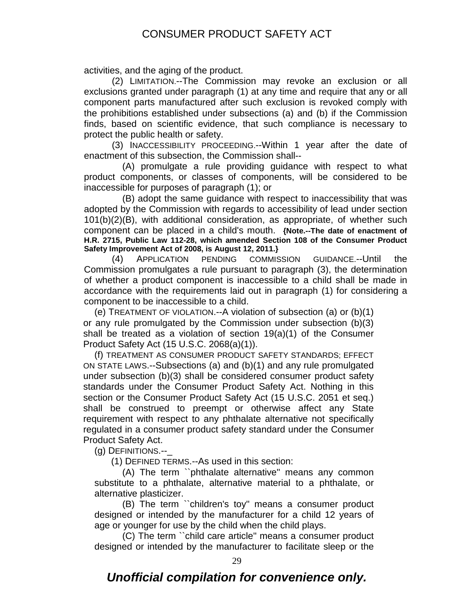activities, and the aging of the product.

(2) LIMITATION.--The Commission may revoke an exclusion or all exclusions granted under paragraph (1) at any time and require that any or all component parts manufactured after such exclusion is revoked comply with the prohibitions established under subsections (a) and (b) if the Commission finds, based on scientific evidence, that such compliance is necessary to protect the public health or safety.

(3) INACCESSIBILITY PROCEEDING.--Within 1 year after the date of enactment of this subsection, the Commission shall--

(A) promulgate a rule providing guidance with respect to what product components, or classes of components, will be considered to be inaccessible for purposes of paragraph (1); or

(B) adopt the same guidance with respect to inaccessibility that was adopted by the Commission with regards to accessibility of lead under section 101(b)(2)(B), with additional consideration, as appropriate, of whether such component can be placed in a child's mouth. **{Note.--The date of enactment of H.R. 2715, Public Law 112-28, which amended Section 108 of the Consumer Product Safety Improvement Act of 2008, is August 12, 2011.}**

(4) APPLICATION PENDING COMMISSION GUIDANCE.--Until the Commission promulgates a rule pursuant to paragraph (3), the determination of whether a product component is inaccessible to a child shall be made in accordance with the requirements laid out in paragraph (1) for considering a component to be inaccessible to a child.

(e) TREATMENT OF VIOLATION.--A violation of subsection (a) or (b)(1) or any rule promulgated by the Commission under subsection (b)(3) shall be treated as a violation of section  $19(a)(1)$  of the Consumer Product Safety Act (15 U.S.C. 2068(a)(1)).

(f) TREATMENT AS CONSUMER PRODUCT SAFETY STANDARDS; EFFECT ON STATE LAWS.--Subsections (a) and (b)(1) and any rule promulgated under subsection (b)(3) shall be considered consumer product safety standards under the Consumer Product Safety Act. Nothing in this section or the Consumer Product Safety Act (15 U.S.C. 2051 et seq.) shall be construed to preempt or otherwise affect any State requirement with respect to any phthalate alternative not specifically regulated in a consumer product safety standard under the Consumer Product Safety Act.

(g) DEFINITIONS.--\_

(1) DEFINED TERMS.--As used in this section:

(A) The term ``phthalate alternative'' means any common substitute to a phthalate, alternative material to a phthalate, or alternative plasticizer.

(B) The term ``children's toy'' means a consumer product designed or intended by the manufacturer for a child 12 years of age or younger for use by the child when the child plays.

(C) The term ``child care article'' means a consumer product designed or intended by the manufacturer to facilitate sleep or the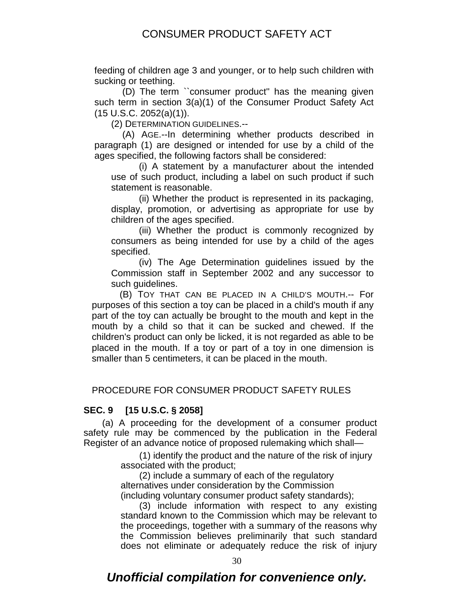feeding of children age 3 and younger, or to help such children with sucking or teething.

(D) The term ``consumer product'' has the meaning given such term in section 3(a)(1) of the Consumer Product Safety Act (15 U.S.C. 2052(a)(1)).

(2) DETERMINATION GUIDELINES.--

(A) AGE.--In determining whether products described in paragraph (1) are designed or intended for use by a child of the ages specified, the following factors shall be considered:

(i) A statement by a manufacturer about the intended use of such product, including a label on such product if such statement is reasonable.

(ii) Whether the product is represented in its packaging, display, promotion, or advertising as appropriate for use by children of the ages specified.

(iii) Whether the product is commonly recognized by consumers as being intended for use by a child of the ages specified.

(iv) The Age Determination guidelines issued by the Commission staff in September 2002 and any successor to such guidelines.

(B) TOY THAT CAN BE PLACED IN A CHILD'S MOUTH.-- For purposes of this section a toy can be placed in a child's mouth if any part of the toy can actually be brought to the mouth and kept in the mouth by a child so that it can be sucked and chewed. If the children's product can only be licked, it is not regarded as able to be placed in the mouth. If a toy or part of a toy in one dimension is smaller than 5 centimeters, it can be placed in the mouth.

PROCEDURE FOR CONSUMER PRODUCT SAFETY RULES

#### **SEC. 9 [15 U.S.C. § 2058]**

(a) A proceeding for the development of a consumer product safety rule may be commenced by the publication in the Federal Register of an advance notice of proposed rulemaking which shall—

> (1) identify the product and the nature of the risk of injury associated with the product;

(2) include a summary of each of the regulatory alternatives under consideration by the Commission (including voluntary consumer product safety standards);

(3) include information with respect to any existing standard known to the Commission which may be relevant to the proceedings, together with a summary of the reasons why the Commission believes preliminarily that such standard does not eliminate or adequately reduce the risk of injury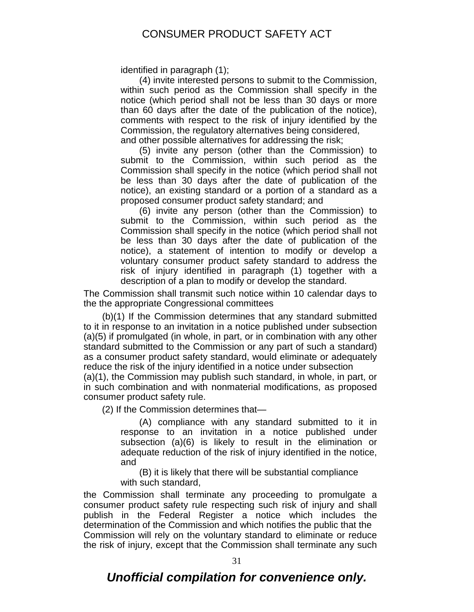identified in paragraph (1);

(4) invite interested persons to submit to the Commission, within such period as the Commission shall specify in the notice (which period shall not be less than 30 days or more than 60 days after the date of the publication of the notice), comments with respect to the risk of injury identified by the Commission, the regulatory alternatives being considered, and other possible alternatives for addressing the risk;

(5) invite any person (other than the Commission) to submit to the Commission, within such period as the Commission shall specify in the notice (which period shall not be less than 30 days after the date of publication of the notice), an existing standard or a portion of a standard as a proposed consumer product safety standard; and

(6) invite any person (other than the Commission) to submit to the Commission, within such period as the Commission shall specify in the notice (which period shall not be less than 30 days after the date of publication of the notice), a statement of intention to modify or develop a voluntary consumer product safety standard to address the risk of injury identified in paragraph (1) together with a description of a plan to modify or develop the standard.

The Commission shall transmit such notice within 10 calendar days to the the appropriate Congressional committees

(b)(1) If the Commission determines that any standard submitted to it in response to an invitation in a notice published under subsection (a)(5) if promulgated (in whole, in part, or in combination with any other standard submitted to the Commission or any part of such a standard) as a consumer product safety standard, would eliminate or adequately reduce the risk of the injury identified in a notice under subsection

(a)(1), the Commission may publish such standard, in whole, in part, or in such combination and with nonmaterial modifications, as proposed consumer product safety rule.

(2) If the Commission determines that—

(A) compliance with any standard submitted to it in response to an invitation in a notice published under subsection (a)(6) is likely to result in the elimination or adequate reduction of the risk of injury identified in the notice, and

(B) it is likely that there will be substantial compliance with such standard,

the Commission shall terminate any proceeding to promulgate a consumer product safety rule respecting such risk of injury and shall publish in the Federal Register a notice which includes the determination of the Commission and which notifies the public that the Commission will rely on the voluntary standard to eliminate or reduce the risk of injury, except that the Commission shall terminate any such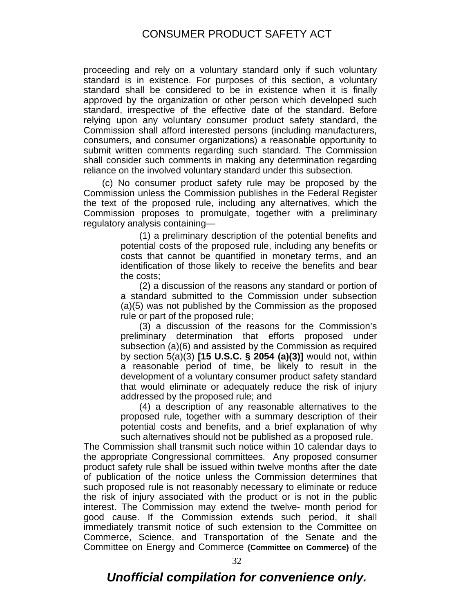proceeding and rely on a voluntary standard only if such voluntary standard is in existence. For purposes of this section, a voluntary standard shall be considered to be in existence when it is finally approved by the organization or other person which developed such standard, irrespective of the effective date of the standard. Before relying upon any voluntary consumer product safety standard, the Commission shall afford interested persons (including manufacturers, consumers, and consumer organizations) a reasonable opportunity to submit written comments regarding such standard. The Commission shall consider such comments in making any determination regarding reliance on the involved voluntary standard under this subsection.

(c) No consumer product safety rule may be proposed by the Commission unless the Commission publishes in the Federal Register the text of the proposed rule, including any alternatives, which the Commission proposes to promulgate, together with a preliminary regulatory analysis containing—

> (1) a preliminary description of the potential benefits and potential costs of the proposed rule, including any benefits or costs that cannot be quantified in monetary terms, and an identification of those likely to receive the benefits and bear the costs;

> (2) a discussion of the reasons any standard or portion of a standard submitted to the Commission under subsection (a)(5) was not published by the Commission as the proposed rule or part of the proposed rule;

> (3) a discussion of the reasons for the Commission's preliminary determination that efforts proposed under subsection (a)(6) and assisted by the Commission as required by section 5(a)(3) **[15 U.S.C. § 2054 (a)(3)]** would not, within a reasonable period of time, be likely to result in the development of a voluntary consumer product safety standard that would eliminate or adequately reduce the risk of injury addressed by the proposed rule; and

> (4) a description of any reasonable alternatives to the proposed rule, together with a summary description of their potential costs and benefits, and a brief explanation of why such alternatives should not be published as a proposed rule.

The Commission shall transmit such notice within 10 calendar days to the appropriate Congressional committees. Any proposed consumer product safety rule shall be issued within twelve months after the date of publication of the notice unless the Commission determines that such proposed rule is not reasonably necessary to eliminate or reduce the risk of injury associated with the product or is not in the public interest. The Commission may extend the twelve- month period for good cause. If the Commission extends such period, it shall immediately transmit notice of such extension to the Committee on Commerce, Science, and Transportation of the Senate and the Committee on Energy and Commerce **{Committee on Commerce}** of the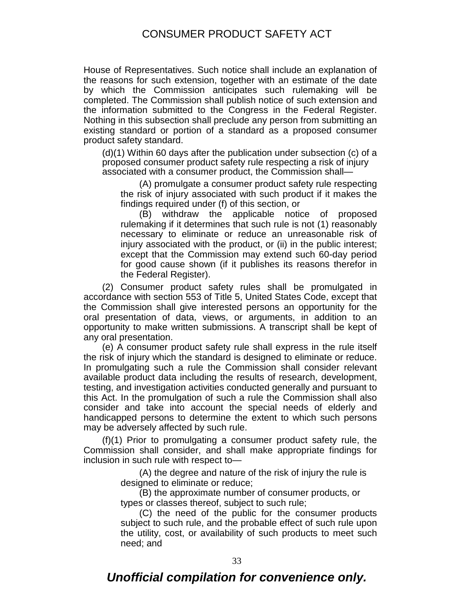House of Representatives. Such notice shall include an explanation of the reasons for such extension, together with an estimate of the date by which the Commission anticipates such rulemaking will be completed. The Commission shall publish notice of such extension and the information submitted to the Congress in the Federal Register. Nothing in this subsection shall preclude any person from submitting an existing standard or portion of a standard as a proposed consumer product safety standard.

(d)(1) Within 60 days after the publication under subsection (c) of a proposed consumer product safety rule respecting a risk of injury associated with a consumer product, the Commission shall—

(A) promulgate a consumer product safety rule respecting the risk of injury associated with such product if it makes the findings required under (f) of this section, or

(B) withdraw the applicable notice of proposed rulemaking if it determines that such rule is not (1) reasonably necessary to eliminate or reduce an unreasonable risk of injury associated with the product, or (ii) in the public interest; except that the Commission may extend such 60-day period for good cause shown (if it publishes its reasons therefor in the Federal Register).

(2) Consumer product safety rules shall be promulgated in accordance with section 553 of Title 5, United States Code, except that the Commission shall give interested persons an opportunity for the oral presentation of data, views, or arguments, in addition to an opportunity to make written submissions. A transcript shall be kept of any oral presentation.

(e) A consumer product safety rule shall express in the rule itself the risk of injury which the standard is designed to eliminate or reduce. In promulgating such a rule the Commission shall consider relevant available product data including the results of research, development, testing, and investigation activities conducted generally and pursuant to this Act. In the promulgation of such a rule the Commission shall also consider and take into account the special needs of elderly and handicapped persons to determine the extent to which such persons may be adversely affected by such rule.

(f)(1) Prior to promulgating a consumer product safety rule, the Commission shall consider, and shall make appropriate findings for inclusion in such rule with respect to—

> (A) the degree and nature of the risk of injury the rule is designed to eliminate or reduce;

(B) the approximate number of consumer products, or types or classes thereof, subject to such rule;

(C) the need of the public for the consumer products subject to such rule, and the probable effect of such rule upon the utility, cost, or availability of such products to meet such need; and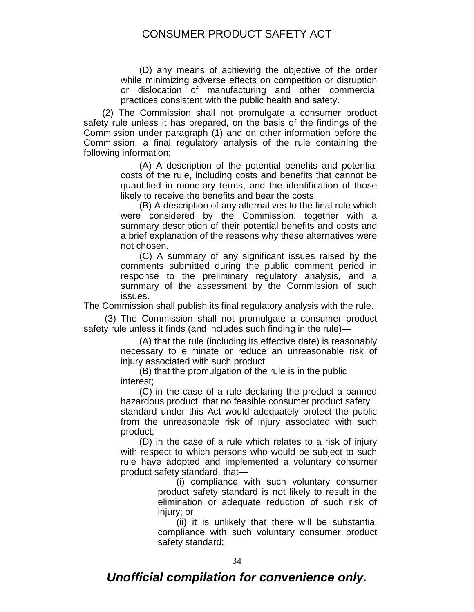(D) any means of achieving the objective of the order while minimizing adverse effects on competition or disruption or dislocation of manufacturing and other commercial practices consistent with the public health and safety.

(2) The Commission shall not promulgate a consumer product safety rule unless it has prepared, on the basis of the findings of the Commission under paragraph (1) and on other information before the Commission, a final regulatory analysis of the rule containing the following information:

> (A) A description of the potential benefits and potential costs of the rule, including costs and benefits that cannot be quantified in monetary terms, and the identification of those likely to receive the benefits and bear the costs.

> (B) A description of any alternatives to the final rule which were considered by the Commission, together with a summary description of their potential benefits and costs and a brief explanation of the reasons why these alternatives were not chosen.

> (C) A summary of any significant issues raised by the comments submitted during the public comment period in response to the preliminary regulatory analysis, and a summary of the assessment by the Commission of such issues.

The Commission shall publish its final regulatory analysis with the rule.

(3) The Commission shall not promulgate a consumer product safety rule unless it finds (and includes such finding in the rule)—

> (A) that the rule (including its effective date) is reasonably necessary to eliminate or reduce an unreasonable risk of injury associated with such product;

(B) that the promulgation of the rule is in the public interest;

(C) in the case of a rule declaring the product a banned hazardous product, that no feasible consumer product safety standard under this Act would adequately protect the public from the unreasonable risk of injury associated with such product;

(D) in the case of a rule which relates to a risk of injury with respect to which persons who would be subject to such rule have adopted and implemented a voluntary consumer product safety standard, that—

> (i) compliance with such voluntary consumer product safety standard is not likely to result in the elimination or adequate reduction of such risk of injury; or

> (ii) it is unlikely that there will be substantial compliance with such voluntary consumer product safety standard;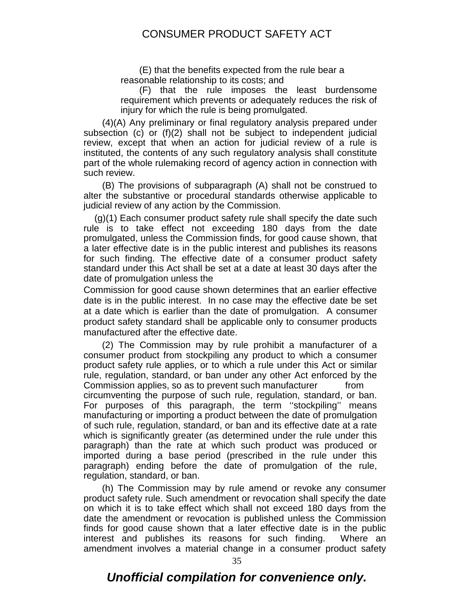(E) that the benefits expected from the rule bear a reasonable relationship to its costs; and

(F) that the rule imposes the least burdensome requirement which prevents or adequately reduces the risk of injury for which the rule is being promulgated.

(4)(A) Any preliminary or final regulatory analysis prepared under subsection (c) or (f)(2) shall not be subject to independent judicial review, except that when an action for judicial review of a rule is instituted, the contents of any such regulatory analysis shall constitute part of the whole rulemaking record of agency action in connection with such review.

(B) The provisions of subparagraph (A) shall not be construed to alter the substantive or procedural standards otherwise applicable to judicial review of any action by the Commission.

(g)(1) Each consumer product safety rule shall specify the date such rule is to take effect not exceeding 180 days from the date promulgated, unless the Commission finds, for good cause shown, that a later effective date is in the public interest and publishes its reasons for such finding. The effective date of a consumer product safety standard under this Act shall be set at a date at least 30 days after the date of promulgation unless the

Commission for good cause shown determines that an earlier effective date is in the public interest. In no case may the effective date be set at a date which is earlier than the date of promulgation. A consumer product safety standard shall be applicable only to consumer products manufactured after the effective date.

(2) The Commission may by rule prohibit a manufacturer of a consumer product from stockpiling any product to which a consumer product safety rule applies, or to which a rule under this Act or similar rule, regulation, standard, or ban under any other Act enforced by the Commission applies, so as to prevent such manufacturer from circumventing the purpose of such rule, regulation, standard, or ban. For purposes of this paragraph, the term ''stockpiling'' means manufacturing or importing a product between the date of promulgation of such rule, regulation, standard, or ban and its effective date at a rate which is significantly greater (as determined under the rule under this paragraph) than the rate at which such product was produced or imported during a base period (prescribed in the rule under this paragraph) ending before the date of promulgation of the rule, regulation, standard, or ban.

(h) The Commission may by rule amend or revoke any consumer product safety rule. Such amendment or revocation shall specify the date on which it is to take effect which shall not exceed 180 days from the date the amendment or revocation is published unless the Commission finds for good cause shown that a later effective date is in the public interest and publishes its reasons for such finding. Where an amendment involves a material change in a consumer product safety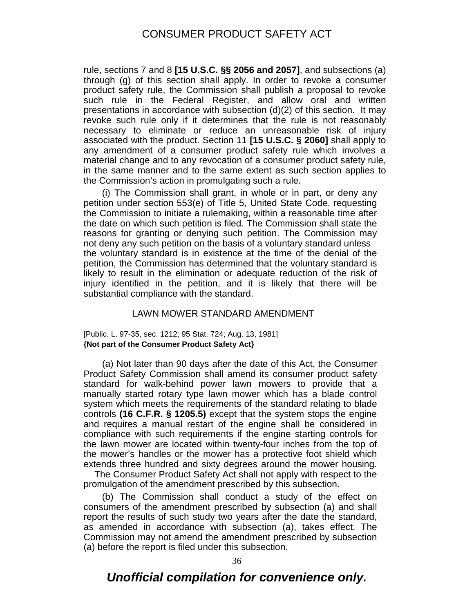rule, sections 7 and 8 **[15 U.S.C. §§ 2056 and 2057]**, and subsections (a) through (g) of this section shall apply. In order to revoke a consumer product safety rule, the Commission shall publish a proposal to revoke such rule in the Federal Register, and allow oral and written presentations in accordance with subsection (d)(2) of this section. It may revoke such rule only if it determines that the rule is not reasonably necessary to eliminate or reduce an unreasonable risk of injury associated with the product. Section 11 **[15 U.S.C. § 2060]** shall apply to any amendment of a consumer product safety rule which involves a material change and to any revocation of a consumer product safety rule, in the same manner and to the same extent as such section applies to the Commission's action in promulgating such a rule.

(i) The Commission shall grant, in whole or in part, or deny any petition under section 553(e) of Title 5, United State Code, requesting the Commission to initiate a rulemaking, within a reasonable time after the date on which such petition is filed. The Commission shall state the reasons for granting or denying such petition. The Commission may not deny any such petition on the basis of a voluntary standard unless the voluntary standard is in existence at the time of the denial of the petition, the Commission has determined that the voluntary standard is likely to result in the elimination or adequate reduction of the risk of injury identified in the petition, and it is likely that there will be substantial compliance with the standard.

#### LAWN MOWER STANDARD AMENDMENT

#### [Public. L. 97-35, sec. 1212; 95 Stat. 724; Aug. 13, 1981] **{Not part of the Consumer Product Safety Act}**

(a) Not later than 90 days after the date of this Act, the Consumer Product Safety Commission shall amend its consumer product safety standard for walk-behind power lawn mowers to provide that a manually started rotary type lawn mower which has a blade control system which meets the requirements of the standard relating to blade controls **(16 C.F.R. § 1205.5)** except that the system stops the engine and requires a manual restart of the engine shall be considered in compliance with such requirements if the engine starting controls for the lawn mower are located within twenty-four inches from the top of the mower's handles or the mower has a protective foot shield which extends three hundred and sixty degrees around the mower housing.

The Consumer Product Safety Act shall not apply with respect to the promulgation of the amendment prescribed by this subsection.

(b) The Commission shall conduct a study of the effect on consumers of the amendment prescribed by subsection (a) and shall report the results of such study two years after the date the standard, as amended in accordance with subsection (a), takes effect. The Commission may not amend the amendment prescribed by subsection (a) before the report is filed under this subsection.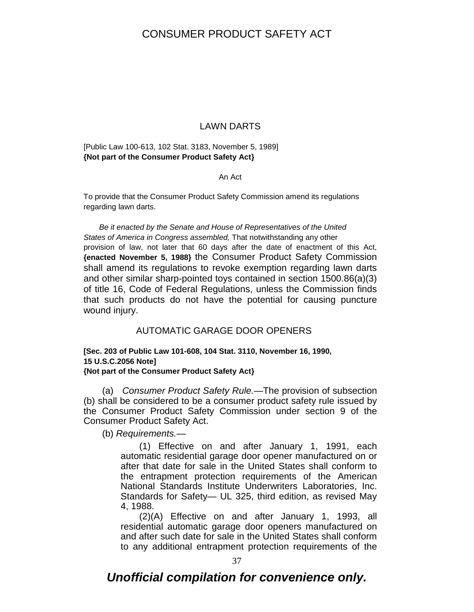#### LAWN DARTS

[Public Law 100-613, 102 Stat. 3183, November 5, 1989] **{Not part of the Consumer Product Safety Act}**

#### An Act

To provide that the Consumer Product Safety Commission amend its regulations regarding lawn darts.

*Be it enacted by the Senate and House of Representatives of the United States of America in Congress assembled,* That notwithstanding any other provision of law, not later that 60 days after the date of enactment of this Act, **{enacted November 5, 1988}** the Consumer Product Safety Commission shall amend its regulations to revoke exemption regarding lawn darts and other similar sharp-pointed toys contained in section 1500.86(a)(3) of title 16, Code of Federal Regulations, unless the Commission finds that such products do not have the potential for causing puncture wound injury.

#### AUTOMATIC GARAGE DOOR OPENERS

## **[Sec. 203 of Public Law 101-608, 104 Stat. 3110, November 16, 1990, 15 U.S.C.2056 Note]**

**{Not part of the Consumer Product Safety Act}**

(a) *Consumer Product Safety Rule.*—The provision of subsection (b) shall be considered to be a consumer product safety rule issued by the Consumer Product Safety Commission under section 9 of the Consumer Product Safety Act.

(b) *Requirements.*—

(1) Effective on and after January 1, 1991, each automatic residential garage door opener manufactured on or after that date for sale in the United States shall conform to the entrapment protection requirements of the American National Standards Institute Underwriters Laboratories, Inc. Standards for Safety— UL 325, third edition, as revised May 4, 1988.

(2)(A) Effective on and after January 1, 1993, all residential automatic garage door openers manufactured on and after such date for sale in the United States shall conform to any additional entrapment protection requirements of the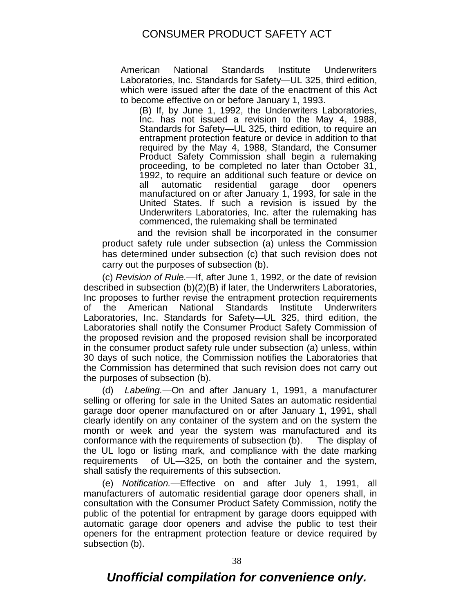American National Standards Institute Underwriters Laboratories, Inc. Standards for Safety—UL 325, third edition, which were issued after the date of the enactment of this Act to become effective on or before January 1, 1993.

(B) If, by June 1, 1992, the Underwriters Laboratories, Inc. has not issued a revision to the May 4, 1988, Standards for Safety—UL 325, third edition, to require an entrapment protection feature or device in addition to that required by the May 4, 1988, Standard, the Consumer Product Safety Commission shall begin a rulemaking proceeding, to be completed no later than October 31, 1992, to require an additional such feature or device on all automatic residential garage door openers manufactured on or after January 1, 1993, for sale in the United States. If such a revision is issued by the Underwriters Laboratories, Inc. after the rulemaking has commenced, the rulemaking shall be terminated

 and the revision shall be incorporated in the consumer product safety rule under subsection (a) unless the Commission has determined under subsection (c) that such revision does not carry out the purposes of subsection (b).

(c) *Revision of Rule.*—If, after June 1, 1992, or the date of revision described in subsection (b)(2)(B) if later, the Underwriters Laboratories, Inc proposes to further revise the entrapment protection requirements of the American National Standards Institute Underwriters Laboratories, Inc. Standards for Safety—UL 325, third edition, the Laboratories shall notify the Consumer Product Safety Commission of the proposed revision and the proposed revision shall be incorporated in the consumer product safety rule under subsection (a) unless, within 30 days of such notice, the Commission notifies the Laboratories that the Commission has determined that such revision does not carry out the purposes of subsection (b).

(d) *Labeling.*—On and after January 1, 1991, a manufacturer selling or offering for sale in the United Sates an automatic residential garage door opener manufactured on or after January 1, 1991, shall clearly identify on any container of the system and on the system the month or week and year the system was manufactured and its conformance with the requirements of subsection (b). The display of the UL logo or listing mark, and compliance with the date marking requirements of UL—325, on both the container and the system, shall satisfy the requirements of this subsection.

(e) *Notification.*—Effective on and after July 1, 1991, all manufacturers of automatic residential garage door openers shall, in consultation with the Consumer Product Safety Commission, notify the public of the potential for entrapment by garage doors equipped with automatic garage door openers and advise the public to test their openers for the entrapment protection feature or device required by subsection (b).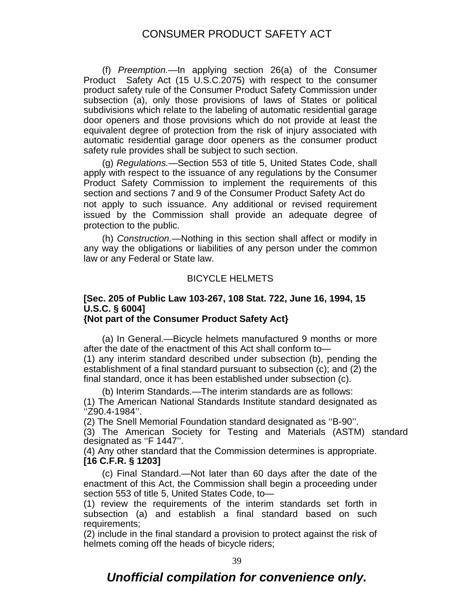(f) *Preemption.*—In applying section 26(a) of the Consumer Product Safety Act (15 U.S.C.2075) with respect to the consumer product safety rule of the Consumer Product Safety Commission under subsection (a), only those provisions of laws of States or political subdivisions which relate to the labeling of automatic residential garage door openers and those provisions which do not provide at least the equivalent degree of protection from the risk of injury associated with automatic residential garage door openers as the consumer product safety rule provides shall be subject to such section.

(g) *Regulations.*—Section 553 of title 5, United States Code, shall apply with respect to the issuance of any regulations by the Consumer Product Safety Commission to implement the requirements of this section and sections 7 and 9 of the Consumer Product Safety Act do not apply to such issuance. Any additional or revised requirement issued by the Commission shall provide an adequate degree of protection to the public.

(h) *Construction.*—Nothing in this section shall affect or modify in any way the obligations or liabilities of any person under the common law or any Federal or State law.

#### BICYCLE HELMETS

### **[Sec. 205 of Public Law 103-267, 108 Stat. 722, June 16, 1994, 15 U.S.C. § 6004]**

#### **{Not part of the Consumer Product Safety Act}**

(a) In General.—Bicycle helmets manufactured 9 months or more after the date of the enactment of this Act shall conform to— (1) any interim standard described under subsection (b), pending the establishment of a final standard pursuant to subsection (c); and (2) the final standard, once it has been established under subsection (c).

(b) Interim Standards.—The interim standards are as follows: (1) The American National Standards Institute standard designated as ''Z90.4-1984''.

(2) The Snell Memorial Foundation standard designated as ''B-90''.

(3) The American Society for Testing and Materials (ASTM) standard designated as ''F 1447''.

(4) Any other standard that the Commission determines is appropriate. **[16 C.F.R. § 1203]**

(c) Final Standard.—Not later than 60 days after the date of the enactment of this Act, the Commission shall begin a proceeding under section 553 of title 5, United States Code, to—

(1) review the requirements of the interim standards set forth in subsection (a) and establish a final standard based on such requirements;

(2) include in the final standard a provision to protect against the risk of helmets coming off the heads of bicycle riders;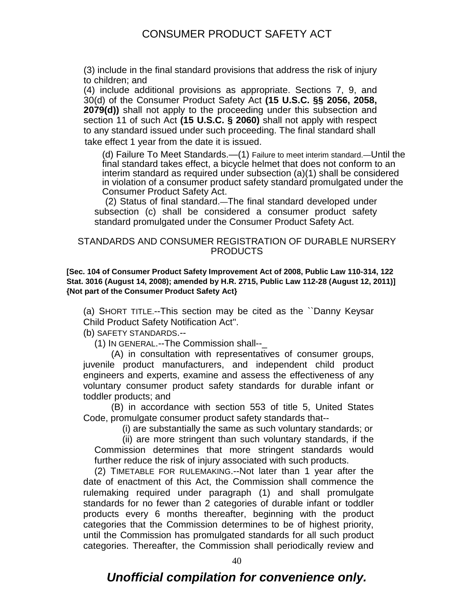(3) include in the final standard provisions that address the risk of injury to children; and

(4) include additional provisions as appropriate. Sections 7, 9, and 30(d) of the Consumer Product Safety Act **(15 U.S.C. §§ 2056, 2058, 2079(d))** shall not apply to the proceeding under this subsection and section 11 of such Act **(15 U.S.C. § 2060)** shall not apply with respect to any standard issued under such proceeding. The final standard shall take effect 1 year from the date it is issued.

(d) Failure To Meet Standards.—(1) Failure to meet interim standard.—Until the final standard takes effect, a bicycle helmet that does not conform to an interim standard as required under subsection (a)(1) shall be considered in violation of a consumer product safety standard promulgated under the Consumer Product Safety Act.

(2) Status of final standard.—The final standard developed under subsection (c) shall be considered a consumer product safety standard promulgated under the Consumer Product Safety Act.

#### STANDARDS AND CONSUMER REGISTRATION OF DURABLE NURSERY PRODUCTS

**[Sec. 104 of Consumer Product Safety Improvement Act of 2008, Public Law 110-314, 122 Stat. 3016 (August 14, 2008); amended by H.R. 2715, Public Law 112-28 (August 12, 2011)] {Not part of the Consumer Product Safety Act}**

(a) SHORT TITLE.--This section may be cited as the ``Danny Keysar Child Product Safety Notification Act''.

(b) SAFETY STANDARDS.--

(1) IN GENERAL.--The Commission shall--\_

(A) in consultation with representatives of consumer groups, juvenile product manufacturers, and independent child product engineers and experts, examine and assess the effectiveness of any voluntary consumer product safety standards for durable infant or toddler products; and

(B) in accordance with section 553 of title 5, United States Code, promulgate consumer product safety standards that--

(i) are substantially the same as such voluntary standards; or

(ii) are more stringent than such voluntary standards, if the Commission determines that more stringent standards would further reduce the risk of injury associated with such products.

(2) TIMETABLE FOR RULEMAKING.--Not later than 1 year after the date of enactment of this Act, the Commission shall commence the rulemaking required under paragraph (1) and shall promulgate standards for no fewer than 2 categories of durable infant or toddler products every 6 months thereafter, beginning with the product categories that the Commission determines to be of highest priority, until the Commission has promulgated standards for all such product categories. Thereafter, the Commission shall periodically review and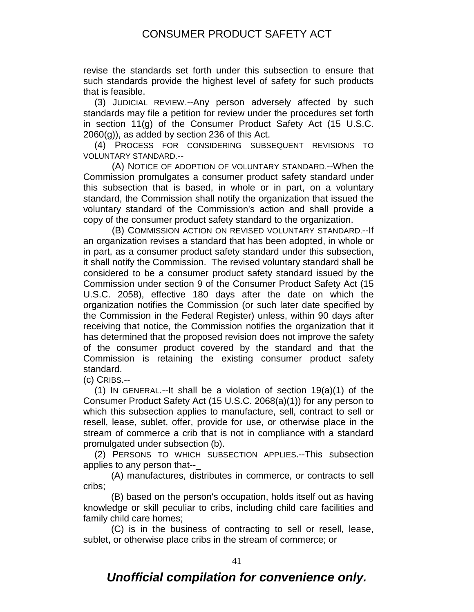revise the standards set forth under this subsection to ensure that such standards provide the highest level of safety for such products that is feasible.

(3) JUDICIAL REVIEW.--Any person adversely affected by such standards may file a petition for review under the procedures set forth in section 11(g) of the Consumer Product Safety Act (15 U.S.C.  $2060(q)$ , as added by section 236 of this Act.

(4) PROCESS FOR CONSIDERING SUBSEQUENT REVISIONS TO VOLUNTARY STANDARD.--

(A) NOTICE OF ADOPTION OF VOLUNTARY STANDARD.--When the Commission promulgates a consumer product safety standard under this subsection that is based, in whole or in part, on a voluntary standard, the Commission shall notify the organization that issued the voluntary standard of the Commission's action and shall provide a copy of the consumer product safety standard to the organization.

(B) COMMISSION ACTION ON REVISED VOLUNTARY STANDARD.--If an organization revises a standard that has been adopted, in whole or in part, as a consumer product safety standard under this subsection, it shall notify the Commission. The revised voluntary standard shall be considered to be a consumer product safety standard issued by the Commission under section 9 of the Consumer Product Safety Act (15 U.S.C. 2058), effective 180 days after the date on which the organization notifies the Commission (or such later date specified by the Commission in the Federal Register) unless, within 90 days after receiving that notice, the Commission notifies the organization that it has determined that the proposed revision does not improve the safety of the consumer product covered by the standard and that the Commission is retaining the existing consumer product safety standard.

(c) CRIBS.--

(1) IN GENERAL.--It shall be a violation of section 19(a)(1) of the Consumer Product Safety Act (15 U.S.C. 2068(a)(1)) for any person to which this subsection applies to manufacture, sell, contract to sell or resell, lease, sublet, offer, provide for use, or otherwise place in the stream of commerce a crib that is not in compliance with a standard promulgated under subsection (b).

(2) PERSONS TO WHICH SUBSECTION APPLIES.--This subsection applies to any person that--\_

(A) manufactures, distributes in commerce, or contracts to sell cribs;

(B) based on the person's occupation, holds itself out as having knowledge or skill peculiar to cribs, including child care facilities and family child care homes;

(C) is in the business of contracting to sell or resell, lease, sublet, or otherwise place cribs in the stream of commerce; or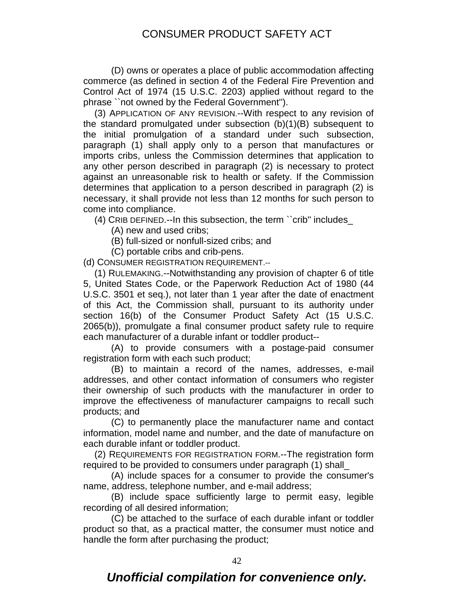(D) owns or operates a place of public accommodation affecting commerce (as defined in section 4 of the Federal Fire Prevention and Control Act of 1974 (15 U.S.C. 2203) applied without regard to the phrase ``not owned by the Federal Government'').

(3) APPLICATION OF ANY REVISION.--With respect to any revision of the standard promulgated under subsection (b)(1)(B) subsequent to the initial promulgation of a standard under such subsection, paragraph (1) shall apply only to a person that manufactures or imports cribs, unless the Commission determines that application to any other person described in paragraph (2) is necessary to protect against an unreasonable risk to health or safety. If the Commission determines that application to a person described in paragraph (2) is necessary, it shall provide not less than 12 months for such person to come into compliance.

- (4) CRIB DEFINED.--In this subsection, the term ``crib'' includes\_
	- (A) new and used cribs;

(B) full-sized or nonfull-sized cribs; and

(C) portable cribs and crib-pens.

(d) CONSUMER REGISTRATION REQUIREMENT.--

(1) RULEMAKING.--Notwithstanding any provision of chapter 6 of title 5, United States Code, or the Paperwork Reduction Act of 1980 (44 U.S.C. 3501 et seq.), not later than 1 year after the date of enactment of this Act, the Commission shall, pursuant to its authority under section 16(b) of the Consumer Product Safety Act (15 U.S.C. 2065(b)), promulgate a final consumer product safety rule to require each manufacturer of a durable infant or toddler product--

(A) to provide consumers with a postage-paid consumer registration form with each such product;

(B) to maintain a record of the names, addresses, e-mail addresses, and other contact information of consumers who register their ownership of such products with the manufacturer in order to improve the effectiveness of manufacturer campaigns to recall such products; and

(C) to permanently place the manufacturer name and contact information, model name and number, and the date of manufacture on each durable infant or toddler product.

(2) REQUIREMENTS FOR REGISTRATION FORM.--The registration form required to be provided to consumers under paragraph (1) shall\_

(A) include spaces for a consumer to provide the consumer's name, address, telephone number, and e-mail address;

(B) include space sufficiently large to permit easy, legible recording of all desired information;

(C) be attached to the surface of each durable infant or toddler product so that, as a practical matter, the consumer must notice and handle the form after purchasing the product;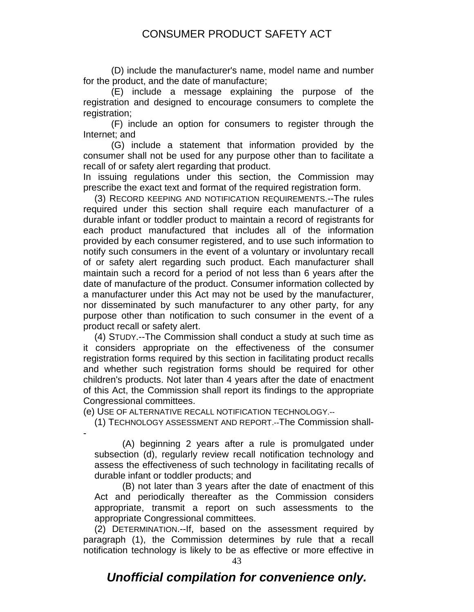(D) include the manufacturer's name, model name and number for the product, and the date of manufacture;

(E) include a message explaining the purpose of the registration and designed to encourage consumers to complete the registration;

(F) include an option for consumers to register through the Internet; and

(G) include a statement that information provided by the consumer shall not be used for any purpose other than to facilitate a recall of or safety alert regarding that product.

In issuing regulations under this section, the Commission may prescribe the exact text and format of the required registration form.

(3) RECORD KEEPING AND NOTIFICATION REQUIREMENTS.--The rules required under this section shall require each manufacturer of a durable infant or toddler product to maintain a record of registrants for each product manufactured that includes all of the information provided by each consumer registered, and to use such information to notify such consumers in the event of a voluntary or involuntary recall of or safety alert regarding such product. Each manufacturer shall maintain such a record for a period of not less than 6 years after the date of manufacture of the product. Consumer information collected by a manufacturer under this Act may not be used by the manufacturer, nor disseminated by such manufacturer to any other party, for any purpose other than notification to such consumer in the event of a product recall or safety alert.

(4) STUDY.--The Commission shall conduct a study at such time as it considers appropriate on the effectiveness of the consumer registration forms required by this section in facilitating product recalls and whether such registration forms should be required for other children's products. Not later than 4 years after the date of enactment of this Act, the Commission shall report its findings to the appropriate Congressional committees.

(e) USE OF ALTERNATIVE RECALL NOTIFICATION TECHNOLOGY.--

-

(1) TECHNOLOGY ASSESSMENT AND REPORT.--The Commission shall-

(A) beginning 2 years after a rule is promulgated under subsection (d), regularly review recall notification technology and assess the effectiveness of such technology in facilitating recalls of durable infant or toddler products; and

(B) not later than 3 years after the date of enactment of this Act and periodically thereafter as the Commission considers appropriate, transmit a report on such assessments to the appropriate Congressional committees.

(2) DETERMINATION.--If, based on the assessment required by paragraph (1), the Commission determines by rule that a recall notification technology is likely to be as effective or more effective in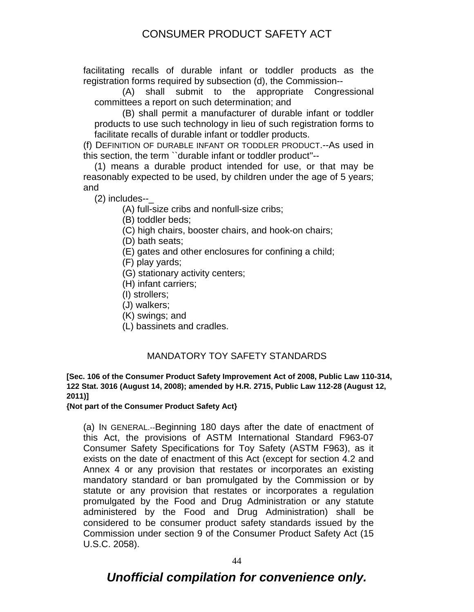facilitating recalls of durable infant or toddler products as the registration forms required by subsection (d), the Commission--

(A) shall submit to the appropriate Congressional committees a report on such determination; and

(B) shall permit a manufacturer of durable infant or toddler products to use such technology in lieu of such registration forms to facilitate recalls of durable infant or toddler products.

(f) DEFINITION OF DURABLE INFANT OR TODDLER PRODUCT.--As used in this section, the term ``durable infant or toddler product''--

(1) means a durable product intended for use, or that may be reasonably expected to be used, by children under the age of 5 years; and

(2) includes--\_

(A) full-size cribs and nonfull-size cribs;

(B) toddler beds;

(C) high chairs, booster chairs, and hook-on chairs;

(D) bath seats;

(E) gates and other enclosures for confining a child;

(F) play yards;

(G) stationary activity centers;

(H) infant carriers;

(I) strollers;

(J) walkers;

(K) swings; and

(L) bassinets and cradles.

#### MANDATORY TOY SAFETY STANDARDS

**[Sec. 106 of the Consumer Product Safety Improvement Act of 2008, Public Law 110-314, 122 Stat. 3016 (August 14, 2008); amended by H.R. 2715, Public Law 112-28 (August 12, 2011)]**

**{Not part of the Consumer Product Safety Act}**

(a) IN GENERAL.--Beginning 180 days after the date of enactment of this Act, the provisions of ASTM International Standard F963-07 Consumer Safety Specifications for Toy Safety (ASTM F963), as it exists on the date of enactment of this Act (except for section 4.2 and Annex 4 or any provision that restates or incorporates an existing mandatory standard or ban promulgated by the Commission or by statute or any provision that restates or incorporates a regulation promulgated by the Food and Drug Administration or any statute administered by the Food and Drug Administration) shall be considered to be consumer product safety standards issued by the Commission under section 9 of the Consumer Product Safety Act (15 U.S.C. 2058).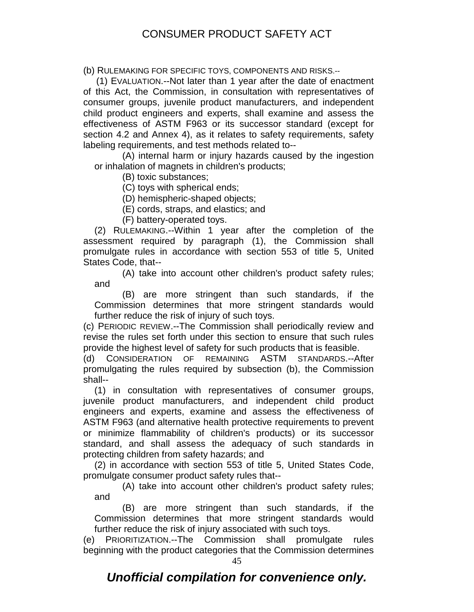(b) RULEMAKING FOR SPECIFIC TOYS, COMPONENTS AND RISKS.--

 (1) EVALUATION.--Not later than 1 year after the date of enactment of this Act, the Commission, in consultation with representatives of consumer groups, juvenile product manufacturers, and independent child product engineers and experts, shall examine and assess the effectiveness of ASTM F963 or its successor standard (except for section 4.2 and Annex 4), as it relates to safety requirements, safety labeling requirements, and test methods related to--

(A) internal harm or injury hazards caused by the ingestion or inhalation of magnets in children's products;

(B) toxic substances;

(C) toys with spherical ends;

(D) hemispheric-shaped objects;

(E) cords, straps, and elastics; and

(F) battery-operated toys.

(2) RULEMAKING.--Within 1 year after the completion of the assessment required by paragraph (1), the Commission shall promulgate rules in accordance with section 553 of title 5, United States Code, that--

(A) take into account other children's product safety rules; and

(B) are more stringent than such standards, if the Commission determines that more stringent standards would further reduce the risk of injury of such toys.

(c) PERIODIC REVIEW.--The Commission shall periodically review and revise the rules set forth under this section to ensure that such rules provide the highest level of safety for such products that is feasible.

(d) CONSIDERATION OF REMAINING ASTM STANDARDS.--After promulgating the rules required by subsection (b), the Commission shall--

(1) in consultation with representatives of consumer groups, juvenile product manufacturers, and independent child product engineers and experts, examine and assess the effectiveness of ASTM F963 (and alternative health protective requirements to prevent or minimize flammability of children's products) or its successor standard, and shall assess the adequacy of such standards in protecting children from safety hazards; and

(2) in accordance with section 553 of title 5, United States Code, promulgate consumer product safety rules that--

(A) take into account other children's product safety rules; and

(B) are more stringent than such standards, if the Commission determines that more stringent standards would further reduce the risk of injury associated with such toys.

(e) PRIORITIZATION.--The Commission shall promulgate rules beginning with the product categories that the Commission determines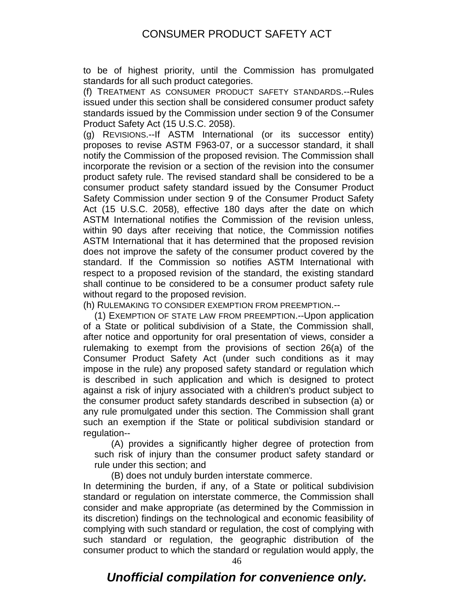to be of highest priority, until the Commission has promulgated standards for all such product categories.

(f) TREATMENT AS CONSUMER PRODUCT SAFETY STANDARDS.--Rules issued under this section shall be considered consumer product safety standards issued by the Commission under section 9 of the Consumer Product Safety Act (15 U.S.C. 2058).

(g) REVISIONS.--If ASTM International (or its successor entity) proposes to revise ASTM F963-07, or a successor standard, it shall notify the Commission of the proposed revision. The Commission shall incorporate the revision or a section of the revision into the consumer product safety rule. The revised standard shall be considered to be a consumer product safety standard issued by the Consumer Product Safety Commission under section 9 of the Consumer Product Safety Act (15 U.S.C. 2058), effective 180 days after the date on which ASTM International notifies the Commission of the revision unless, within 90 days after receiving that notice, the Commission notifies ASTM International that it has determined that the proposed revision does not improve the safety of the consumer product covered by the standard. If the Commission so notifies ASTM International with respect to a proposed revision of the standard, the existing standard shall continue to be considered to be a consumer product safety rule without regard to the proposed revision.

(h) RULEMAKING TO CONSIDER EXEMPTION FROM PREEMPTION.--

(1) EXEMPTION OF STATE LAW FROM PREEMPTION.--Upon application of a State or political subdivision of a State, the Commission shall, after notice and opportunity for oral presentation of views, consider a rulemaking to exempt from the provisions of section 26(a) of the Consumer Product Safety Act (under such conditions as it may impose in the rule) any proposed safety standard or regulation which is described in such application and which is designed to protect against a risk of injury associated with a children's product subject to the consumer product safety standards described in subsection (a) or any rule promulgated under this section. The Commission shall grant such an exemption if the State or political subdivision standard or regulation--

(A) provides a significantly higher degree of protection from such risk of injury than the consumer product safety standard or rule under this section; and

(B) does not unduly burden interstate commerce.

In determining the burden, if any, of a State or political subdivision standard or regulation on interstate commerce, the Commission shall consider and make appropriate (as determined by the Commission in its discretion) findings on the technological and economic feasibility of complying with such standard or regulation, the cost of complying with such standard or regulation, the geographic distribution of the consumer product to which the standard or regulation would apply, the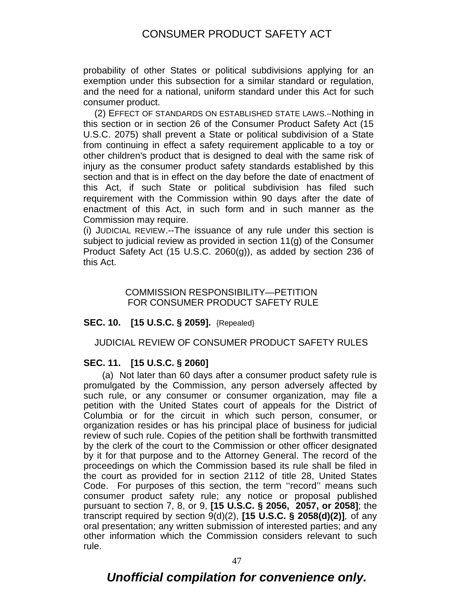probability of other States or political subdivisions applying for an exemption under this subsection for a similar standard or regulation, and the need for a national, uniform standard under this Act for such consumer product.

(2) EFFECT OF STANDARDS ON ESTABLISHED STATE LAWS.--Nothing in this section or in section 26 of the Consumer Product Safety Act (15 U.S.C. 2075) shall prevent a State or political subdivision of a State from continuing in effect a safety requirement applicable to a toy or other children's product that is designed to deal with the same risk of injury as the consumer product safety standards established by this section and that is in effect on the day before the date of enactment of this Act, if such State or political subdivision has filed such requirement with the Commission within 90 days after the date of enactment of this Act, in such form and in such manner as the Commission may require.

(i) JUDICIAL REVIEW.--The issuance of any rule under this section is subject to judicial review as provided in section 11(g) of the Consumer Product Safety Act (15 U.S.C. 2060(g)), as added by section 236 of this Act.

#### COMMISSION RESPONSIBILITY—PETITION FOR CONSUMER PRODUCT SAFETY RULE

#### **SEC. 10. [15 U.S.C. § 2059].** {Repealed}

#### JUDICIAL REVIEW OF CONSUMER PRODUCT SAFETY RULES

#### **SEC. 11. [15 U.S.C. § 2060]**

(a) Not later than 60 days after a consumer product safety rule is promulgated by the Commission, any person adversely affected by such rule, or any consumer or consumer organization, may file a petition with the United States court of appeals for the District of Columbia or for the circuit in which such person, consumer, or organization resides or has his principal place of business for judicial review of such rule. Copies of the petition shall be forthwith transmitted by the clerk of the court to the Commission or other officer designated by it for that purpose and to the Attorney General. The record of the proceedings on which the Commission based its rule shall be filed in the court as provided for in section 2112 of title 28, United States Code. For purposes of this section, the term ''record'' means such consumer product safety rule; any notice or proposal published pursuant to section 7, 8, or 9, **[15 U.S.C. § 2056, 2057, or 2058]**; the transcript required by section 9(d)(2), **[15 U.S.C. § 2058(d)(2)]**, of any oral presentation; any written submission of interested parties; and any other information which the Commission considers relevant to such rule.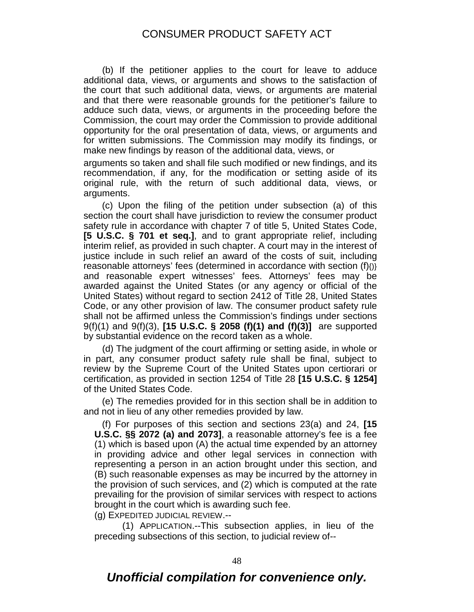(b) If the petitioner applies to the court for leave to adduce additional data, views, or arguments and shows to the satisfaction of the court that such additional data, views, or arguments are material and that there were reasonable grounds for the petitioner's failure to adduce such data, views, or arguments in the proceeding before the Commission, the court may order the Commission to provide additional opportunity for the oral presentation of data, views, or arguments and for written submissions. The Commission may modify its findings, or make new findings by reason of the additional data, views, or

arguments so taken and shall file such modified or new findings, and its recommendation, if any, for the modification or setting aside of its original rule, with the return of such additional data, views, or arguments.

(c) Upon the filing of the petition under subsection (a) of this section the court shall have jurisdiction to review the consumer product safety rule in accordance with chapter 7 of title 5, United States Code, **[5 U.S.C. § 701 et seq.]**, and to grant appropriate relief, including interim relief, as provided in such chapter. A court may in the interest of justice include in such relief an award of the costs of suit, including reasonable attorneys' fees (determined in accordance with section  $(f)_{\{i\}}$ ) and reasonable expert witnesses' fees. Attorneys' fees may be awarded against the United States (or any agency or official of the United States) without regard to section 2412 of Title 28, United States Code, or any other provision of law. The consumer product safety rule shall not be affirmed unless the Commission's findings under sections 9(f)(1) and 9(f)(3), **[15 U.S.C. § 2058 (f)(1) and (f)(3)]** are supported by substantial evidence on the record taken as a whole.

(d) The judgment of the court affirming or setting aside, in whole or in part, any consumer product safety rule shall be final, subject to review by the Supreme Court of the United States upon certiorari or certification, as provided in section 1254 of Title 28 **[15 U.S.C. § 1254]** of the United States Code.

(e) The remedies provided for in this section shall be in addition to and not in lieu of any other remedies provided by law.

(f) For purposes of this section and sections 23(a) and 24, **[15 U.S.C. §§ 2072 (a) and 2073]**, a reasonable attorney's fee is a fee (1) which is based upon (A) the actual time expended by an attorney in providing advice and other legal services in connection with representing a person in an action brought under this section, and (B) such reasonable expenses as may be incurred by the attorney in the provision of such services, and (2) which is computed at the rate prevailing for the provision of similar services with respect to actions brought in the court which is awarding such fee.

(g) EXPEDITED JUDICIAL REVIEW.--

(1) APPLICATION.--This subsection applies, in lieu of the preceding subsections of this section, to judicial review of--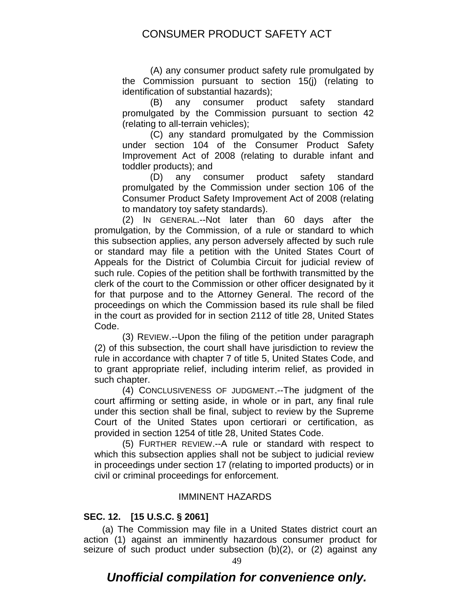(A) any consumer product safety rule promulgated by the Commission pursuant to section 15(j) (relating to identification of substantial hazards);

(B) any consumer product safety standard promulgated by the Commission pursuant to section 42 (relating to all-terrain vehicles);

(C) any standard promulgated by the Commission under section 104 of the Consumer Product Safety Improvement Act of 2008 (relating to durable infant and toddler products); and

(D) any consumer product safety standard promulgated by the Commission under section 106 of the Consumer Product Safety Improvement Act of 2008 (relating to mandatory toy safety standards).

(2) IN GENERAL.--Not later than 60 days after the promulgation, by the Commission, of a rule or standard to which this subsection applies, any person adversely affected by such rule or standard may file a petition with the United States Court of Appeals for the District of Columbia Circuit for judicial review of such rule. Copies of the petition shall be forthwith transmitted by the clerk of the court to the Commission or other officer designated by it for that purpose and to the Attorney General. The record of the proceedings on which the Commission based its rule shall be filed in the court as provided for in section 2112 of title 28, United States Code.

(3) REVIEW.--Upon the filing of the petition under paragraph (2) of this subsection, the court shall have jurisdiction to review the rule in accordance with chapter 7 of title 5, United States Code, and to grant appropriate relief, including interim relief, as provided in such chapter.

(4) CONCLUSIVENESS OF JUDGMENT.--The judgment of the court affirming or setting aside, in whole or in part, any final rule under this section shall be final, subject to review by the Supreme Court of the United States upon certiorari or certification, as provided in section 1254 of title 28, United States Code.

(5) FURTHER REVIEW.--A rule or standard with respect to which this subsection applies shall not be subject to judicial review in proceedings under section 17 (relating to imported products) or in civil or criminal proceedings for enforcement.

#### IMMINENT HAZARDS

#### **SEC. 12. [15 U.S.C. § 2061]**

(a) The Commission may file in a United States district court an action (1) against an imminently hazardous consumer product for seizure of such product under subsection (b)(2), or (2) against any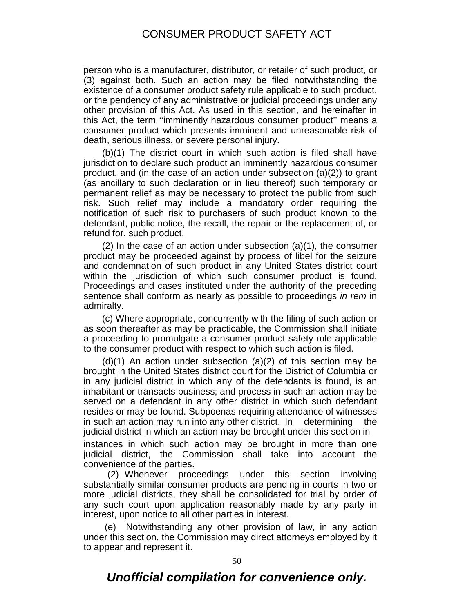person who is a manufacturer, distributor, or retailer of such product, or (3) against both. Such an action may be filed notwithstanding the existence of a consumer product safety rule applicable to such product, or the pendency of any administrative or judicial proceedings under any other provision of this Act. As used in this section, and hereinafter in this Act, the term ''imminently hazardous consumer product'' means a consumer product which presents imminent and unreasonable risk of death, serious illness, or severe personal injury.

(b)(1) The district court in which such action is filed shall have jurisdiction to declare such product an imminently hazardous consumer product, and (in the case of an action under subsection  $(a)(2)$ ) to grant (as ancillary to such declaration or in lieu thereof) such temporary or permanent relief as may be necessary to protect the public from such risk. Such relief may include a mandatory order requiring the notification of such risk to purchasers of such product known to the defendant, public notice, the recall, the repair or the replacement of, or refund for, such product.

(2) In the case of an action under subsection (a)(1), the consumer product may be proceeded against by process of libel for the seizure and condemnation of such product in any United States district court within the jurisdiction of which such consumer product is found. Proceedings and cases instituted under the authority of the preceding sentence shall conform as nearly as possible to proceedings *in rem* in admiralty.

(c) Where appropriate, concurrently with the filing of such action or as soon thereafter as may be practicable, the Commission shall initiate a proceeding to promulgate a consumer product safety rule applicable to the consumer product with respect to which such action is filed.

(d)(1) An action under subsection (a)(2) of this section may be brought in the United States district court for the District of Columbia or in any judicial district in which any of the defendants is found, is an inhabitant or transacts business; and process in such an action may be served on a defendant in any other district in which such defendant resides or may be found. Subpoenas requiring attendance of witnesses in such an action may run into any other district. In determining the judicial district in which an action may be brought under this section in instances in which such action may be brought in more than one judicial district, the Commission shall take into account the

convenience of the parties. (2) Whenever proceedings under this section involving substantially similar consumer products are pending in courts in two or more judicial districts, they shall be consolidated for trial by order of any such court upon application reasonably made by any party in interest, upon notice to all other parties in interest.

(e) Notwithstanding any other provision of law, in any action under this section, the Commission may direct attorneys employed by it to appear and represent it.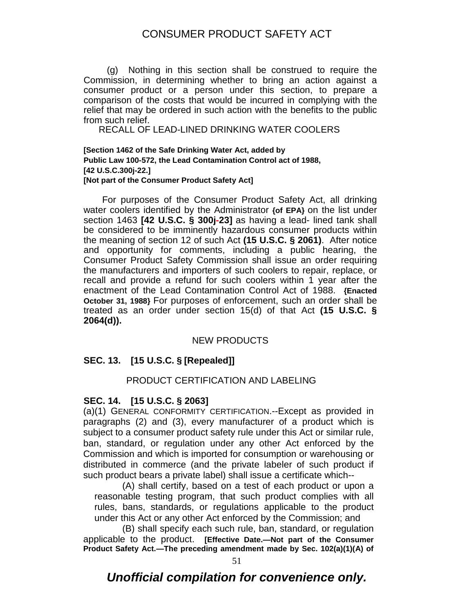(g) Nothing in this section shall be construed to require the Commission, in determining whether to bring an action against a consumer product or a person under this section, to prepare a comparison of the costs that would be incurred in complying with the relief that may be ordered in such action with the benefits to the public from such relief.

RECALL OF LEAD-LINED DRINKING WATER COOLERS

**[Section 1462 of the Safe Drinking Water Act, added by Public Law 100-572, the Lead Contamination Control act of 1988, [42 U.S.C.300j-22.] [Not part of the Consumer Product Safety Act]**

For purposes of the Consumer Product Safety Act, all drinking water coolers identified by the Administrator **{of EPA}** on the list under section 1463 **[42 U.S.C. § 300j-23]** as having a lead- lined tank shall be considered to be imminently hazardous consumer products within the meaning of section 12 of such Act **(15 U.S.C. § 2061)**. After notice and opportunity for comments, including a public hearing, the Consumer Product Safety Commission shall issue an order requiring the manufacturers and importers of such coolers to repair, replace, or recall and provide a refund for such coolers within 1 year after the enactment of the Lead Contamination Control Act of 1988. **{Enacted October 31, 1988}** For purposes of enforcement, such an order shall be treated as an order under section 15(d) of that Act **(15 U.S.C. § 2064(d)).**

#### NEW PRODUCTS

#### **SEC. 13. [15 U.S.C. § [Repealed]]**

#### PRODUCT CERTIFICATION AND LABELING

#### **SEC. 14. [15 U.S.C. § 2063]**

(a)(1) GENERAL CONFORMITY CERTIFICATION.--Except as provided in paragraphs (2) and (3), every manufacturer of a product which is subject to a consumer product safety rule under this Act or similar rule, ban, standard, or regulation under any other Act enforced by the Commission and which is imported for consumption or warehousing or distributed in commerce (and the private labeler of such product if such product bears a private label) shall issue a certificate which--

(A) shall certify, based on a test of each product or upon a reasonable testing program, that such product complies with all rules, bans, standards, or regulations applicable to the product under this Act or any other Act enforced by the Commission; and

(B) shall specify each such rule, ban, standard, or regulation applicable to the product. **[Effective Date.—Not part of the Consumer Product Safety Act.—The preceding amendment made by Sec. 102(a)(1)(A) of**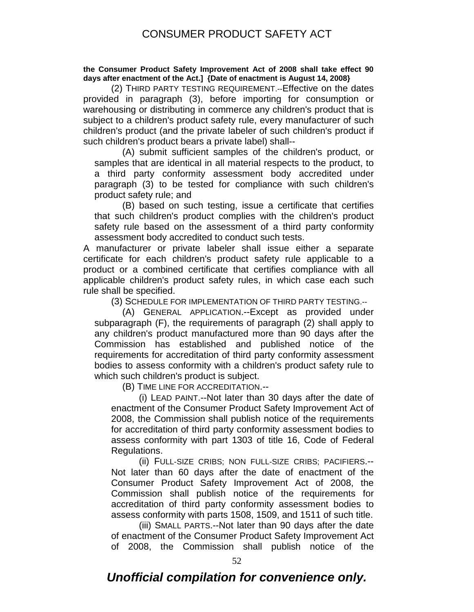**the Consumer Product Safety Improvement Act of 2008 shall take effect 90 days after enactment of the Act.] {Date of enactment is August 14, 2008}**

(2) THIRD PARTY TESTING REQUIREMENT.--Effective on the dates provided in paragraph (3), before importing for consumption or warehousing or distributing in commerce any children's product that is subject to a children's product safety rule, every manufacturer of such children's product (and the private labeler of such children's product if such children's product bears a private label) shall--

(A) submit sufficient samples of the children's product, or samples that are identical in all material respects to the product, to a third party conformity assessment body accredited under paragraph (3) to be tested for compliance with such children's product safety rule; and

(B) based on such testing, issue a certificate that certifies that such children's product complies with the children's product safety rule based on the assessment of a third party conformity assessment body accredited to conduct such tests.

A manufacturer or private labeler shall issue either a separate certificate for each children's product safety rule applicable to a product or a combined certificate that certifies compliance with all applicable children's product safety rules, in which case each such rule shall be specified.

(3) SCHEDULE FOR IMPLEMENTATION OF THIRD PARTY TESTING.--

(A) GENERAL APPLICATION.--Except as provided under subparagraph (F), the requirements of paragraph (2) shall apply to any children's product manufactured more than 90 days after the Commission has established and published notice of the requirements for accreditation of third party conformity assessment bodies to assess conformity with a children's product safety rule to which such children's product is subject.

(B) TIME LINE FOR ACCREDITATION.--

(i) LEAD PAINT.--Not later than 30 days after the date of enactment of the Consumer Product Safety Improvement Act of 2008, the Commission shall publish notice of the requirements for accreditation of third party conformity assessment bodies to assess conformity with part 1303 of title 16, Code of Federal Regulations.

(ii) FULL-SIZE CRIBS; NON FULL-SIZE CRIBS; PACIFIERS.-- Not later than 60 days after the date of enactment of the Consumer Product Safety Improvement Act of 2008, the Commission shall publish notice of the requirements for accreditation of third party conformity assessment bodies to assess conformity with parts 1508, 1509, and 1511 of such title.

(iii) SMALL PARTS.--Not later than 90 days after the date of enactment of the Consumer Product Safety Improvement Act of 2008, the Commission shall publish notice of the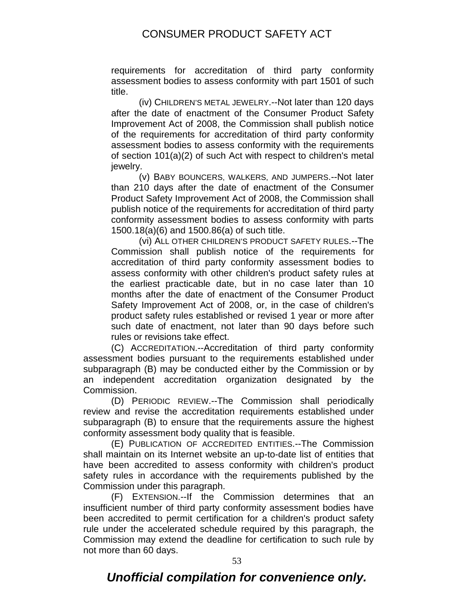requirements for accreditation of third party conformity assessment bodies to assess conformity with part 1501 of such title.

(iv) CHILDREN'S METAL JEWELRY.--Not later than 120 days after the date of enactment of the Consumer Product Safety Improvement Act of 2008, the Commission shall publish notice of the requirements for accreditation of third party conformity assessment bodies to assess conformity with the requirements of section 101(a)(2) of such Act with respect to children's metal jewelry.

(v) BABY BOUNCERS, WALKERS, AND JUMPERS.--Not later than 210 days after the date of enactment of the Consumer Product Safety Improvement Act of 2008, the Commission shall publish notice of the requirements for accreditation of third party conformity assessment bodies to assess conformity with parts 1500.18(a)(6) and 1500.86(a) of such title.

(vi) ALL OTHER CHILDREN'S PRODUCT SAFETY RULES.--The Commission shall publish notice of the requirements for accreditation of third party conformity assessment bodies to assess conformity with other children's product safety rules at the earliest practicable date, but in no case later than 10 months after the date of enactment of the Consumer Product Safety Improvement Act of 2008, or, in the case of children's product safety rules established or revised 1 year or more after such date of enactment, not later than 90 days before such rules or revisions take effect.

(C) ACCREDITATION.--Accreditation of third party conformity assessment bodies pursuant to the requirements established under subparagraph (B) may be conducted either by the Commission or by an independent accreditation organization designated by the Commission.

(D) PERIODIC REVIEW.--The Commission shall periodically review and revise the accreditation requirements established under subparagraph (B) to ensure that the requirements assure the highest conformity assessment body quality that is feasible.

(E) PUBLICATION OF ACCREDITED ENTITIES.--The Commission shall maintain on its Internet website an up-to-date list of entities that have been accredited to assess conformity with children's product safety rules in accordance with the requirements published by the Commission under this paragraph.

(F) EXTENSION.--If the Commission determines that an insufficient number of third party conformity assessment bodies have been accredited to permit certification for a children's product safety rule under the accelerated schedule required by this paragraph, the Commission may extend the deadline for certification to such rule by not more than 60 days.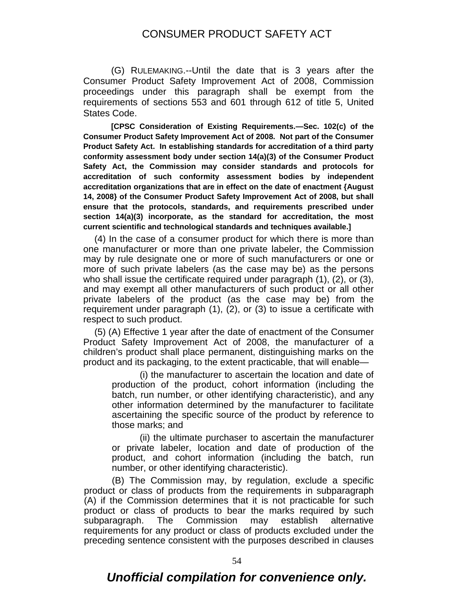(G) RULEMAKING.--Until the date that is 3 years after the Consumer Product Safety Improvement Act of 2008, Commission proceedings under this paragraph shall be exempt from the requirements of sections 553 and 601 through 612 of title 5, United States Code.

**[CPSC Consideration of Existing Requirements.—Sec. 102(c) of the Consumer Product Safety Improvement Act of 2008. Not part of the Consumer Product Safety Act. In establishing standards for accreditation of a third party conformity assessment body under section 14(a)(3) of the Consumer Product Safety Act, the Commission may consider standards and protocols for accreditation of such conformity assessment bodies by independent accreditation organizations that are in effect on the date of enactment {August 14, 2008} of the Consumer Product Safety Improvement Act of 2008, but shall ensure that the protocols, standards, and requirements prescribed under section 14(a)(3) incorporate, as the standard for accreditation, the most current scientific and technological standards and techniques available.]**

(4) In the case of a consumer product for which there is more than one manufacturer or more than one private labeler, the Commission may by rule designate one or more of such manufacturers or one or more of such private labelers (as the case may be) as the persons who shall issue the certificate required under paragraph (1), (2), or (3), and may exempt all other manufacturers of such product or all other private labelers of the product (as the case may be) from the requirement under paragraph (1), (2), or (3) to issue a certificate with respect to such product.

(5) (A) Effective 1 year after the date of enactment of the Consumer Product Safety Improvement Act of 2008, the manufacturer of a children's product shall place permanent, distinguishing marks on the product and its packaging, to the extent practicable, that will enable—

(i) the manufacturer to ascertain the location and date of production of the product, cohort information (including the batch, run number, or other identifying characteristic), and any other information determined by the manufacturer to facilitate ascertaining the specific source of the product by reference to those marks; and

(ii) the ultimate purchaser to ascertain the manufacturer or private labeler, location and date of production of the product, and cohort information (including the batch, run number, or other identifying characteristic).

(B) The Commission may, by regulation, exclude a specific product or class of products from the requirements in subparagraph (A) if the Commission determines that it is not practicable for such product or class of products to bear the marks required by such subparagraph. The Commission may establish alternative requirements for any product or class of products excluded under the preceding sentence consistent with the purposes described in clauses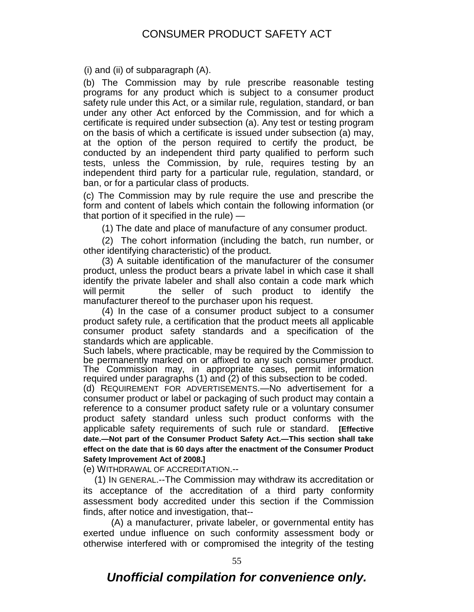(i) and (ii) of subparagraph (A).

(b) The Commission may by rule prescribe reasonable testing programs for any product which is subject to a consumer product safety rule under this Act, or a similar rule, regulation, standard, or ban under any other Act enforced by the Commission, and for which a certificate is required under subsection (a). Any test or testing program on the basis of which a certificate is issued under subsection (a) may, at the option of the person required to certify the product, be conducted by an independent third party qualified to perform such tests, unless the Commission, by rule, requires testing by an independent third party for a particular rule, regulation, standard, or ban, or for a particular class of products.

(c) The Commission may by rule require the use and prescribe the form and content of labels which contain the following information (or that portion of it specified in the rule) —

(1) The date and place of manufacture of any consumer product.

(2) The cohort information (including the batch, run number, or other identifying characteristic) of the product.

(3) A suitable identification of the manufacturer of the consumer product, unless the product bears a private label in which case it shall identify the private labeler and shall also contain a code mark which will permit the seller of such product to identify the manufacturer thereof to the purchaser upon his request.

(4) In the case of a consumer product subject to a consumer product safety rule, a certification that the product meets all applicable consumer product safety standards and a specification of the standards which are applicable.

Such labels, where practicable, may be required by the Commission to be permanently marked on or affixed to any such consumer product. The Commission may, in appropriate cases, permit information required under paragraphs (1) and (2) of this subsection to be coded.

(d) REQUIREMENT FOR ADVERTISEMENTS.—No advertisement for a consumer product or label or packaging of such product may contain a reference to a consumer product safety rule or a voluntary consumer product safety standard unless such product conforms with the applicable safety requirements of such rule or standard. **[Effective date.—Not part of the Consumer Product Safety Act.—This section shall take effect on the date that is 60 days after the enactment of the Consumer Product Safety Improvement Act of 2008.]**

(e) WITHDRAWAL OF ACCREDITATION.--

(1) IN GENERAL.--The Commission may withdraw its accreditation or its acceptance of the accreditation of a third party conformity assessment body accredited under this section if the Commission finds, after notice and investigation, that--

(A) a manufacturer, private labeler, or governmental entity has exerted undue influence on such conformity assessment body or otherwise interfered with or compromised the integrity of the testing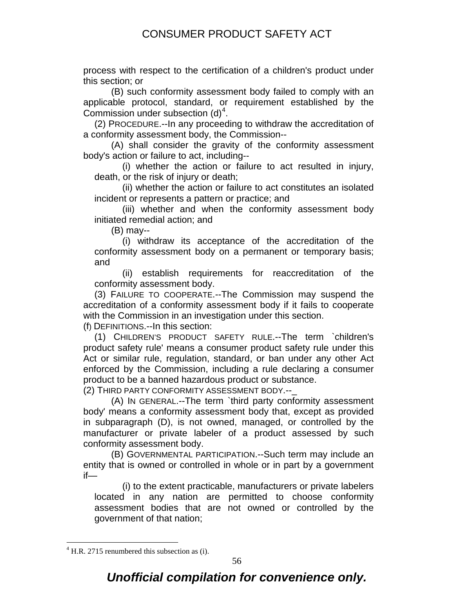process with respect to the certification of a children's product under this section; or

(B) such conformity assessment body failed to comply with an applicable protocol, standard, or requirement established by the Commission under subsection  $(d)^4$  $(d)^4$ .

(2) PROCEDURE.--In any proceeding to withdraw the accreditation of a conformity assessment body, the Commission--

(A) shall consider the gravity of the conformity assessment body's action or failure to act, including--

(i) whether the action or failure to act resulted in injury, death, or the risk of injury or death;

(ii) whether the action or failure to act constitutes an isolated incident or represents a pattern or practice; and

(iii) whether and when the conformity assessment body initiated remedial action; and

(B) may--

(i) withdraw its acceptance of the accreditation of the conformity assessment body on a permanent or temporary basis; and

(ii) establish requirements for reaccreditation of the conformity assessment body.

(3) FAILURE TO COOPERATE.--The Commission may suspend the accreditation of a conformity assessment body if it fails to cooperate with the Commission in an investigation under this section.

(f) DEFINITIONS.--In this section:

(1) CHILDREN'S PRODUCT SAFETY RULE.--The term `children's product safety rule' means a consumer product safety rule under this Act or similar rule, regulation, standard, or ban under any other Act enforced by the Commission, including a rule declaring a consumer product to be a banned hazardous product or substance.

(2) THIRD PARTY CONFORMITY ASSESSMENT BODY.--

(A) IN GENERAL.--The term `third party conformity assessment body' means a conformity assessment body that, except as provided in subparagraph (D), is not owned, managed, or controlled by the manufacturer or private labeler of a product assessed by such conformity assessment body.

(B) GOVERNMENTAL PARTICIPATION.--Such term may include an entity that is owned or controlled in whole or in part by a government if—

(i) to the extent practicable, manufacturers or private labelers located in any nation are permitted to choose conformity assessment bodies that are not owned or controlled by the government of that nation;

<span id="page-55-0"></span> $4$  H.R. 2715 renumbered this subsection as (i).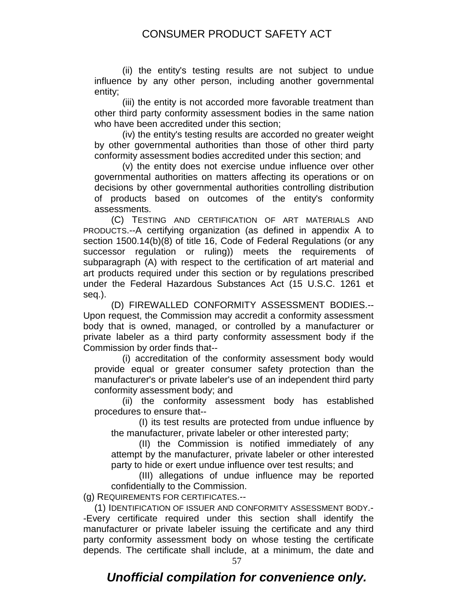(ii) the entity's testing results are not subject to undue influence by any other person, including another governmental entity;

(iii) the entity is not accorded more favorable treatment than other third party conformity assessment bodies in the same nation who have been accredited under this section;

(iv) the entity's testing results are accorded no greater weight by other governmental authorities than those of other third party conformity assessment bodies accredited under this section; and

(v) the entity does not exercise undue influence over other governmental authorities on matters affecting its operations or on decisions by other governmental authorities controlling distribution of products based on outcomes of the entity's conformity assessments.

(C) TESTING AND CERTIFICATION OF ART MATERIALS AND PRODUCTS.--A certifying organization (as defined in appendix A to section 1500.14(b)(8) of title 16, Code of Federal Regulations (or any successor regulation or ruling)) meets the requirements of subparagraph (A) with respect to the certification of art material and art products required under this section or by regulations prescribed under the Federal Hazardous Substances Act (15 U.S.C. 1261 et seq.).

(D) FIREWALLED CONFORMITY ASSESSMENT BODIES.-- Upon request, the Commission may accredit a conformity assessment body that is owned, managed, or controlled by a manufacturer or private labeler as a third party conformity assessment body if the Commission by order finds that--

(i) accreditation of the conformity assessment body would provide equal or greater consumer safety protection than the manufacturer's or private labeler's use of an independent third party conformity assessment body; and

(ii) the conformity assessment body has established procedures to ensure that--

(I) its test results are protected from undue influence by the manufacturer, private labeler or other interested party;

(II) the Commission is notified immediately of any attempt by the manufacturer, private labeler or other interested party to hide or exert undue influence over test results; and

(III) allegations of undue influence may be reported confidentially to the Commission.

(g) REQUIREMENTS FOR CERTIFICATES.--

(1) IDENTIFICATION OF ISSUER AND CONFORMITY ASSESSMENT BODY.- -Every certificate required under this section shall identify the manufacturer or private labeler issuing the certificate and any third party conformity assessment body on whose testing the certificate depends. The certificate shall include, at a minimum, the date and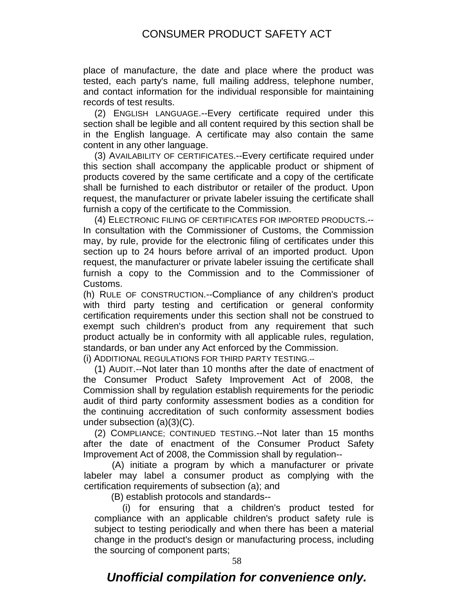place of manufacture, the date and place where the product was tested, each party's name, full mailing address, telephone number, and contact information for the individual responsible for maintaining records of test results.

(2) ENGLISH LANGUAGE.--Every certificate required under this section shall be legible and all content required by this section shall be in the English language. A certificate may also contain the same content in any other language.

(3) AVAILABILITY OF CERTIFICATES.--Every certificate required under this section shall accompany the applicable product or shipment of products covered by the same certificate and a copy of the certificate shall be furnished to each distributor or retailer of the product. Upon request, the manufacturer or private labeler issuing the certificate shall furnish a copy of the certificate to the Commission.

(4) ELECTRONIC FILING OF CERTIFICATES FOR IMPORTED PRODUCTS.-- In consultation with the Commissioner of Customs, the Commission may, by rule, provide for the electronic filing of certificates under this section up to 24 hours before arrival of an imported product. Upon request, the manufacturer or private labeler issuing the certificate shall furnish a copy to the Commission and to the Commissioner of Customs.

(h) RULE OF CONSTRUCTION.--Compliance of any children's product with third party testing and certification or general conformity certification requirements under this section shall not be construed to exempt such children's product from any requirement that such product actually be in conformity with all applicable rules, regulation, standards, or ban under any Act enforced by the Commission.

(i) ADDITIONAL REGULATIONS FOR THIRD PARTY TESTING.--

(1) AUDIT.--Not later than 10 months after the date of enactment of the Consumer Product Safety Improvement Act of 2008, the Commission shall by regulation establish requirements for the periodic audit of third party conformity assessment bodies as a condition for the continuing accreditation of such conformity assessment bodies under subsection (a)(3)(C).

(2) COMPLIANCE; CONTINUED TESTING.--Not later than 15 months after the date of enactment of the Consumer Product Safety Improvement Act of 2008, the Commission shall by regulation--

(A) initiate a program by which a manufacturer or private labeler may label a consumer product as complying with the certification requirements of subsection (a); and

(B) establish protocols and standards--

(i) for ensuring that a children's product tested for compliance with an applicable children's product safety rule is subject to testing periodically and when there has been a material change in the product's design or manufacturing process, including the sourcing of component parts;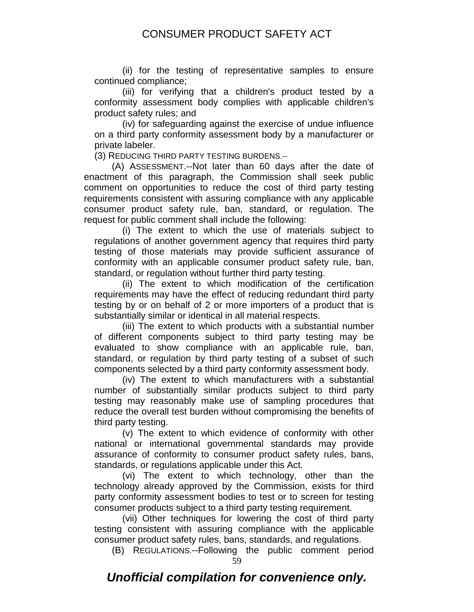(ii) for the testing of representative samples to ensure continued compliance;

(iii) for verifying that a children's product tested by a conformity assessment body complies with applicable children's product safety rules; and

(iv) for safeguarding against the exercise of undue influence on a third party conformity assessment body by a manufacturer or private labeler.

(3) REDUCING THIRD PARTY TESTING BURDENS.--

(A) ASSESSMENT.--Not later than 60 days after the date of enactment of this paragraph, the Commission shall seek public comment on opportunities to reduce the cost of third party testing requirements consistent with assuring compliance with any applicable consumer product safety rule, ban, standard, or regulation. The request for public comment shall include the following:

(i) The extent to which the use of materials subject to regulations of another government agency that requires third party testing of those materials may provide sufficient assurance of conformity with an applicable consumer product safety rule, ban, standard, or regulation without further third party testing.

(ii) The extent to which modification of the certification requirements may have the effect of reducing redundant third party testing by or on behalf of 2 or more importers of a product that is substantially similar or identical in all material respects.

(iii) The extent to which products with a substantial number of different components subject to third party testing may be evaluated to show compliance with an applicable rule, ban, standard, or regulation by third party testing of a subset of such components selected by a third party conformity assessment body.

(iv) The extent to which manufacturers with a substantial number of substantially similar products subject to third party testing may reasonably make use of sampling procedures that reduce the overall test burden without compromising the benefits of third party testing.

(v) The extent to which evidence of conformity with other national or international governmental standards may provide assurance of conformity to consumer product safety rules, bans, standards, or regulations applicable under this Act.

(vi) The extent to which technology, other than the technology already approved by the Commission, exists for third party conformity assessment bodies to test or to screen for testing consumer products subject to a third party testing requirement.

(vii) Other techniques for lowering the cost of third party testing consistent with assuring compliance with the applicable consumer product safety rules, bans, standards, and regulations.

59 (B) REGULATIONS.--Following the public comment period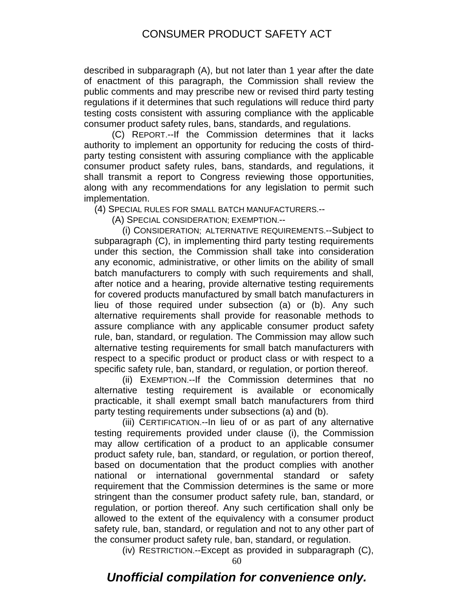described in subparagraph (A), but not later than 1 year after the date of enactment of this paragraph, the Commission shall review the public comments and may prescribe new or revised third party testing regulations if it determines that such regulations will reduce third party testing costs consistent with assuring compliance with the applicable consumer product safety rules, bans, standards, and regulations.

(C) REPORT.--If the Commission determines that it lacks authority to implement an opportunity for reducing the costs of thirdparty testing consistent with assuring compliance with the applicable consumer product safety rules, bans, standards, and regulations, it shall transmit a report to Congress reviewing those opportunities, along with any recommendations for any legislation to permit such implementation.

(4) SPECIAL RULES FOR SMALL BATCH MANUFACTURERS.--

(A) SPECIAL CONSIDERATION; EXEMPTION.--

(i) CONSIDERATION; ALTERNATIVE REQUIREMENTS.--Subject to subparagraph (C), in implementing third party testing requirements under this section, the Commission shall take into consideration any economic, administrative, or other limits on the ability of small batch manufacturers to comply with such requirements and shall, after notice and a hearing, provide alternative testing requirements for covered products manufactured by small batch manufacturers in lieu of those required under subsection (a) or (b). Any such alternative requirements shall provide for reasonable methods to assure compliance with any applicable consumer product safety rule, ban, standard, or regulation. The Commission may allow such alternative testing requirements for small batch manufacturers with respect to a specific product or product class or with respect to a specific safety rule, ban, standard, or regulation, or portion thereof.

(ii) EXEMPTION.--If the Commission determines that no alternative testing requirement is available or economically practicable, it shall exempt small batch manufacturers from third party testing requirements under subsections (a) and (b).

(iii) CERTIFICATION.--In lieu of or as part of any alternative testing requirements provided under clause (i), the Commission may allow certification of a product to an applicable consumer product safety rule, ban, standard, or regulation, or portion thereof, based on documentation that the product complies with another national or international governmental standard or safety requirement that the Commission determines is the same or more stringent than the consumer product safety rule, ban, standard, or regulation, or portion thereof. Any such certification shall only be allowed to the extent of the equivalency with a consumer product safety rule, ban, standard, or regulation and not to any other part of the consumer product safety rule, ban, standard, or regulation.

(iv) RESTRICTION.--Except as provided in subparagraph (C),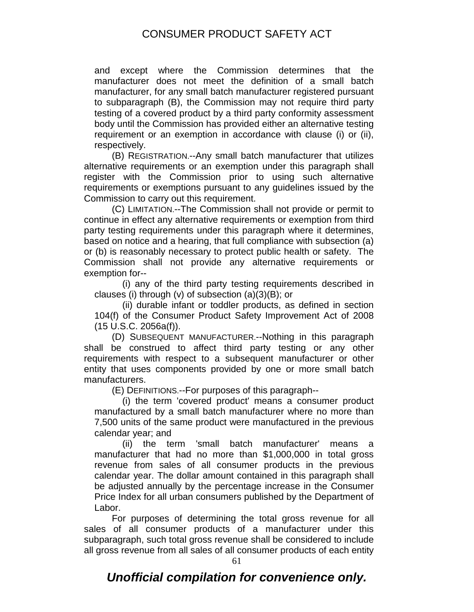and except where the Commission determines that the manufacturer does not meet the definition of a small batch manufacturer, for any small batch manufacturer registered pursuant to subparagraph (B), the Commission may not require third party testing of a covered product by a third party conformity assessment body until the Commission has provided either an alternative testing requirement or an exemption in accordance with clause (i) or (ii), respectively.

(B) REGISTRATION.--Any small batch manufacturer that utilizes alternative requirements or an exemption under this paragraph shall register with the Commission prior to using such alternative requirements or exemptions pursuant to any guidelines issued by the Commission to carry out this requirement.

(C) LIMITATION.--The Commission shall not provide or permit to continue in effect any alternative requirements or exemption from third party testing requirements under this paragraph where it determines, based on notice and a hearing, that full compliance with subsection (a) or (b) is reasonably necessary to protect public health or safety. The Commission shall not provide any alternative requirements or exemption for--

(i) any of the third party testing requirements described in clauses (i) through (v) of subsection (a)(3)(B); or

(ii) durable infant or toddler products, as defined in section 104(f) of the Consumer Product Safety Improvement Act of 2008 (15 U.S.C. 2056a(f)).

(D) SUBSEQUENT MANUFACTURER.--Nothing in this paragraph shall be construed to affect third party testing or any other requirements with respect to a subsequent manufacturer or other entity that uses components provided by one or more small batch manufacturers.

(E) DEFINITIONS.--For purposes of this paragraph--

(i) the term 'covered product' means a consumer product manufactured by a small batch manufacturer where no more than 7,500 units of the same product were manufactured in the previous calendar year; and

(ii) the term 'small batch manufacturer' means a manufacturer that had no more than \$1,000,000 in total gross revenue from sales of all consumer products in the previous calendar year. The dollar amount contained in this paragraph shall be adjusted annually by the percentage increase in the Consumer Price Index for all urban consumers published by the Department of Labor.

For purposes of determining the total gross revenue for all sales of all consumer products of a manufacturer under this subparagraph, such total gross revenue shall be considered to include all gross revenue from all sales of all consumer products of each entity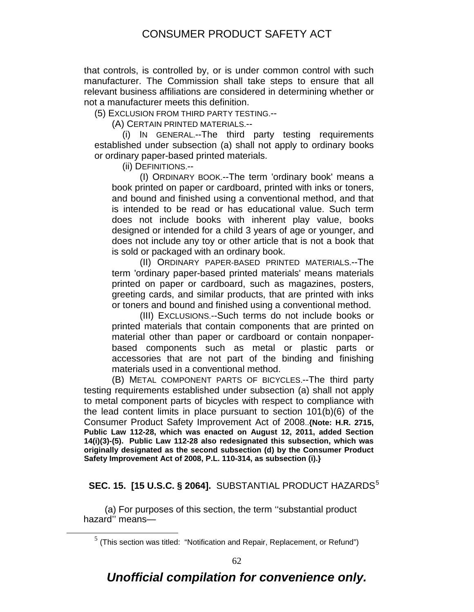that controls, is controlled by, or is under common control with such manufacturer. The Commission shall take steps to ensure that all relevant business affiliations are considered in determining whether or not a manufacturer meets this definition.

(5) EXCLUSION FROM THIRD PARTY TESTING.--

(A) CERTAIN PRINTED MATERIALS.--

(i) IN GENERAL.--The third party testing requirements established under subsection (a) shall not apply to ordinary books or ordinary paper-based printed materials.

(ii) DEFINITIONS.--

(I) ORDINARY BOOK.--The term 'ordinary book' means a book printed on paper or cardboard, printed with inks or toners, and bound and finished using a conventional method, and that is intended to be read or has educational value. Such term does not include books with inherent play value, books designed or intended for a child 3 years of age or younger, and does not include any toy or other article that is not a book that is sold or packaged with an ordinary book.

(II) ORDINARY PAPER-BASED PRINTED MATERIALS.--The term 'ordinary paper-based printed materials' means materials printed on paper or cardboard, such as magazines, posters, greeting cards, and similar products, that are printed with inks or toners and bound and finished using a conventional method.

(III) EXCLUSIONS.--Such terms do not include books or printed materials that contain components that are printed on material other than paper or cardboard or contain nonpaperbased components such as metal or plastic parts or accessories that are not part of the binding and finishing materials used in a conventional method.

(B) METAL COMPONENT PARTS OF BICYCLES.--The third party testing requirements established under subsection (a) shall not apply to metal component parts of bicycles with respect to compliance with the lead content limits in place pursuant to section 101(b)(6) of the Consumer Product Safety Improvement Act of 2008..**{Note: H.R. 2715, Public Law 112-28, which was enacted on August 12, 2011, added Section 14(i)(3)-(5). Public Law 112-28 also redesignated this subsection, which was originally designated as the second subsection (d) by the Consumer Product Safety Improvement Act of 2008, P.L. 110-314, as subsection (i).}**

### **SEC. 1[5](#page-61-0). [15 U.S.C. § 2064].** SUBSTANTIAL PRODUCT HAZARDS<sup>5</sup>

<span id="page-61-0"></span>(a) For purposes of this section, the term ''substantial product hazard'' means—

 $<sup>5</sup>$  (This section was titled: "Notification and Repair, Replacement, or Refund")</sup>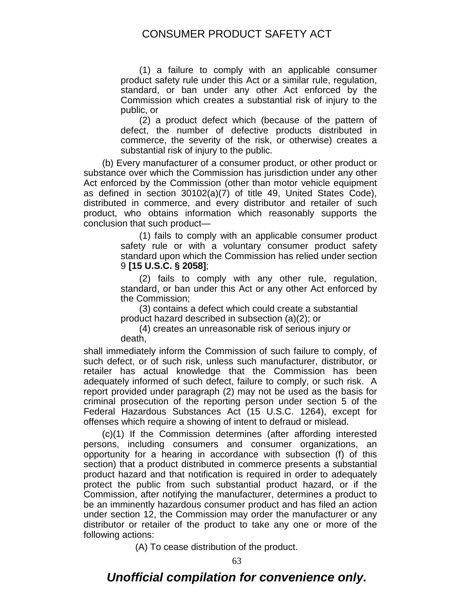(1) a failure to comply with an applicable consumer product safety rule under this Act or a similar rule, regulation, standard, or ban under any other Act enforced by the Commission which creates a substantial risk of injury to the public, or

(2) a product defect which (because of the pattern of defect, the number of defective products distributed in commerce, the severity of the risk, or otherwise) creates a substantial risk of injury to the public.

(b) Every manufacturer of a consumer product, or other product or substance over which the Commission has jurisdiction under any other Act enforced by the Commission (other than motor vehicle equipment as defined in section 30102(a)(7) of title 49, United States Code), distributed in commerce, and every distributor and retailer of such product, who obtains information which reasonably supports the conclusion that such product—

> (1) fails to comply with an applicable consumer product safety rule or with a voluntary consumer product safety standard upon which the Commission has relied under section 9 **[15 U.S.C. § 2058]**;

> (2) fails to comply with any other rule, regulation, standard, or ban under this Act or any other Act enforced by the Commission;

(3) contains a defect which could create a substantial product hazard described in subsection (a)(2); or

(4) creates an unreasonable risk of serious injury or death,

shall immediately inform the Commission of such failure to comply, of such defect, or of such risk, unless such manufacturer, distributor, or retailer has actual knowledge that the Commission has been adequately informed of such defect, failure to comply, or such risk. A report provided under paragraph (2) may not be used as the basis for criminal prosecution of the reporting person under section 5 of the Federal Hazardous Substances Act (15 U.S.C. 1264), except for offenses which require a showing of intent to defraud or mislead.

(c)(1) If the Commission determines (after affording interested persons, including consumers and consumer organizations, an opportunity for a hearing in accordance with subsection (f) of this section) that a product distributed in commerce presents a substantial product hazard and that notification is required in order to adequately protect the public from such substantial product hazard, or if the Commission, after notifying the manufacturer, determines a product to be an imminently hazardous consumer product and has filed an action under section 12, the Commission may order the manufacturer or any distributor or retailer of the product to take any one or more of the following actions:

(A) To cease distribution of the product.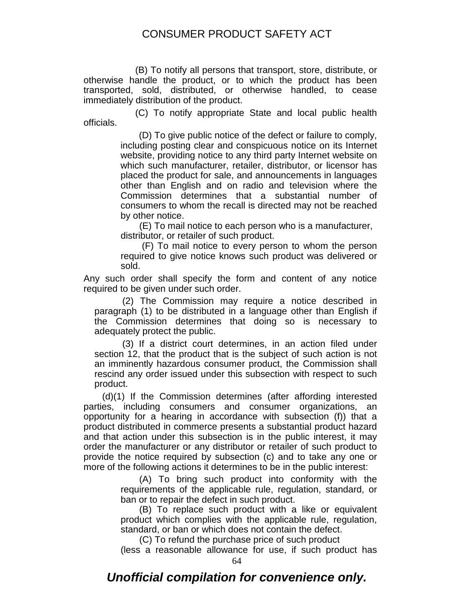(B) To notify all persons that transport, store, distribute, or otherwise handle the product, or to which the product has been transported, sold, distributed, or otherwise handled, to cease immediately distribution of the product.

 (C) To notify appropriate State and local public health officials.

> (D) To give public notice of the defect or failure to comply, including posting clear and conspicuous notice on its Internet website, providing notice to any third party Internet website on which such manufacturer, retailer, distributor, or licensor has placed the product for sale, and announcements in languages other than English and on radio and television where the Commission determines that a substantial number of consumers to whom the recall is directed may not be reached by other notice.

(E) To mail notice to each person who is a manufacturer, distributor, or retailer of such product.

(F) To mail notice to every person to whom the person required to give notice knows such product was delivered or sold.

Any such order shall specify the form and content of any notice required to be given under such order.

(2) The Commission may require a notice described in paragraph (1) to be distributed in a language other than English if the Commission determines that doing so is necessary to adequately protect the public.

(3) If a district court determines, in an action filed under section 12, that the product that is the subject of such action is not an imminently hazardous consumer product, the Commission shall rescind any order issued under this subsection with respect to such product.

(d)(1) If the Commission determines (after affording interested parties, including consumers and consumer organizations, an opportunity for a hearing in accordance with subsection (f)) that a product distributed in commerce presents a substantial product hazard and that action under this subsection is in the public interest, it may order the manufacturer or any distributor or retailer of such product to provide the notice required by subsection (c) and to take any one or more of the following actions it determines to be in the public interest:

> (A) To bring such product into conformity with the requirements of the applicable rule, regulation, standard, or ban or to repair the defect in such product.

> (B) To replace such product with a like or equivalent product which complies with the applicable rule, regulation, standard, or ban or which does not contain the defect.

> (C) To refund the purchase price of such product (less a reasonable allowance for use, if such product has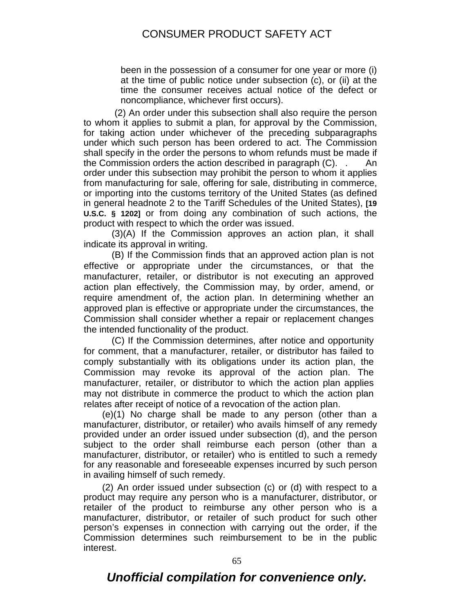been in the possession of a consumer for one year or more (i) at the time of public notice under subsection (c), or (ii) at the time the consumer receives actual notice of the defect or noncompliance, whichever first occurs).

 (2) An order under this subsection shall also require the person to whom it applies to submit a plan, for approval by the Commission, for taking action under whichever of the preceding subparagraphs under which such person has been ordered to act. The Commission shall specify in the order the persons to whom refunds must be made if the Commission orders the action described in paragraph (C). . An order under this subsection may prohibit the person to whom it applies from manufacturing for sale, offering for sale, distributing in commerce, or importing into the customs territory of the United States (as defined in general headnote 2 to the Tariff Schedules of the United States), **[19 U.S.C. § 1202]** or from doing any combination of such actions, the product with respect to which the order was issued.

(3)(A) If the Commission approves an action plan, it shall indicate its approval in writing.

(B) If the Commission finds that an approved action plan is not effective or appropriate under the circumstances, or that the manufacturer, retailer, or distributor is not executing an approved action plan effectively, the Commission may, by order, amend, or require amendment of, the action plan. In determining whether an approved plan is effective or appropriate under the circumstances, the Commission shall consider whether a repair or replacement changes the intended functionality of the product.

(C) If the Commission determines, after notice and opportunity for comment, that a manufacturer, retailer, or distributor has failed to comply substantially with its obligations under its action plan, the Commission may revoke its approval of the action plan. The manufacturer, retailer, or distributor to which the action plan applies may not distribute in commerce the product to which the action plan relates after receipt of notice of a revocation of the action plan.

(e)(1) No charge shall be made to any person (other than a manufacturer, distributor, or retailer) who avails himself of any remedy provided under an order issued under subsection (d), and the person subject to the order shall reimburse each person (other than a manufacturer, distributor, or retailer) who is entitled to such a remedy for any reasonable and foreseeable expenses incurred by such person in availing himself of such remedy.

(2) An order issued under subsection (c) or (d) with respect to a product may require any person who is a manufacturer, distributor, or retailer of the product to reimburse any other person who is a manufacturer, distributor, or retailer of such product for such other person's expenses in connection with carrying out the order, if the Commission determines such reimbursement to be in the public interest.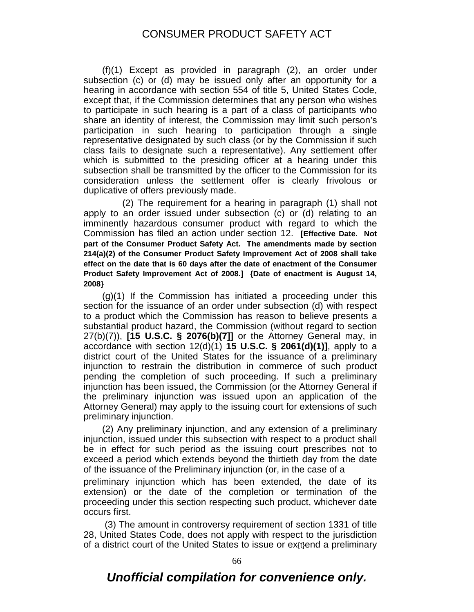(f)(1) Except as provided in paragraph (2), an order under subsection (c) or (d) may be issued only after an opportunity for a hearing in accordance with section 554 of title 5, United States Code, except that, if the Commission determines that any person who wishes to participate in such hearing is a part of a class of participants who share an identity of interest, the Commission may limit such person's participation in such hearing to participation through a single representative designated by such class (or by the Commission if such class fails to designate such a representative). Any settlement offer which is submitted to the presiding officer at a hearing under this subsection shall be transmitted by the officer to the Commission for its consideration unless the settlement offer is clearly frivolous or duplicative of offers previously made.

(2) The requirement for a hearing in paragraph (1) shall not apply to an order issued under subsection (c) or (d) relating to an imminently hazardous consumer product with regard to which the Commission has filed an action under section 12. **[Effective Date. Not part of the Consumer Product Safety Act. The amendments made by section 214(a)(2) of the Consumer Product Safety Improvement Act of 2008 shall take effect on the date that is 60 days after the date of enactment of the Consumer Product Safety Improvement Act of 2008.] {Date of enactment is August 14, 2008}**

(g)(1) If the Commission has initiated a proceeding under this section for the issuance of an order under subsection (d) with respect to a product which the Commission has reason to believe presents a substantial product hazard, the Commission (without regard to section 27(b)(7)), **[15 U.S.C. § 2076(b)(7]]** or the Attorney General may, in accordance with section 12(d)(1) **15 U.S.C. § 2061(d)(1)]**, apply to a district court of the United States for the issuance of a preliminary injunction to restrain the distribution in commerce of such product pending the completion of such proceeding. If such a preliminary injunction has been issued, the Commission (or the Attorney General if the preliminary injunction was issued upon an application of the Attorney General) may apply to the issuing court for extensions of such preliminary injunction.

(2) Any preliminary injunction, and any extension of a preliminary injunction, issued under this subsection with respect to a product shall be in effect for such period as the issuing court prescribes not to exceed a period which extends beyond the thirtieth day from the date of the issuance of the Preliminary injunction (or, in the case of a

preliminary injunction which has been extended, the date of its extension) or the date of the completion or termination of the proceeding under this section respecting such product, whichever date occurs first.

(3) The amount in controversy requirement of section 1331 of title 28, United States Code, does not apply with respect to the jurisdiction of a district court of the United States to issue or ex{t}end a preliminary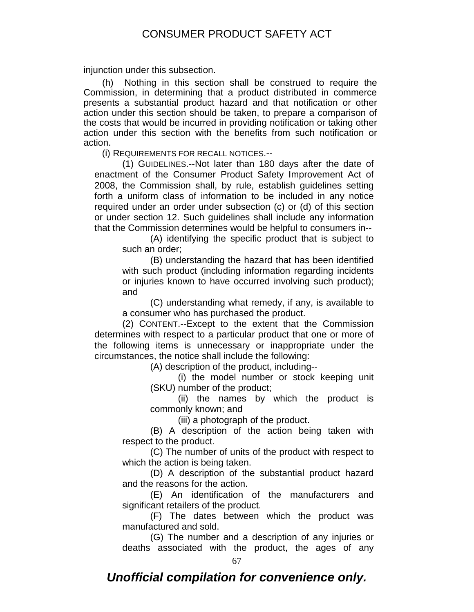injunction under this subsection.

(h) Nothing in this section shall be construed to require the Commission, in determining that a product distributed in commerce presents a substantial product hazard and that notification or other action under this section should be taken, to prepare a comparison of the costs that would be incurred in providing notification or taking other action under this section with the benefits from such notification or action.

(i) REQUIREMENTS FOR RECALL NOTICES.--

(1) GUIDELINES.--Not later than 180 days after the date of enactment of the Consumer Product Safety Improvement Act of 2008, the Commission shall, by rule, establish guidelines setting forth a uniform class of information to be included in any notice required under an order under subsection (c) or (d) of this section or under section 12. Such guidelines shall include any information that the Commission determines would be helpful to consumers in--

(A) identifying the specific product that is subject to such an order;

(B) understanding the hazard that has been identified with such product (including information regarding incidents or injuries known to have occurred involving such product); and

(C) understanding what remedy, if any, is available to a consumer who has purchased the product.

(2) CONTENT.--Except to the extent that the Commission determines with respect to a particular product that one or more of the following items is unnecessary or inappropriate under the circumstances, the notice shall include the following:

(A) description of the product, including--

(i) the model number or stock keeping unit (SKU) number of the product;

(ii) the names by which the product is commonly known; and

(iii) a photograph of the product.

(B) A description of the action being taken with respect to the product.

(C) The number of units of the product with respect to which the action is being taken.

(D) A description of the substantial product hazard and the reasons for the action.

(E) An identification of the manufacturers and significant retailers of the product.

(F) The dates between which the product was manufactured and sold.

(G) The number and a description of any injuries or deaths associated with the product, the ages of any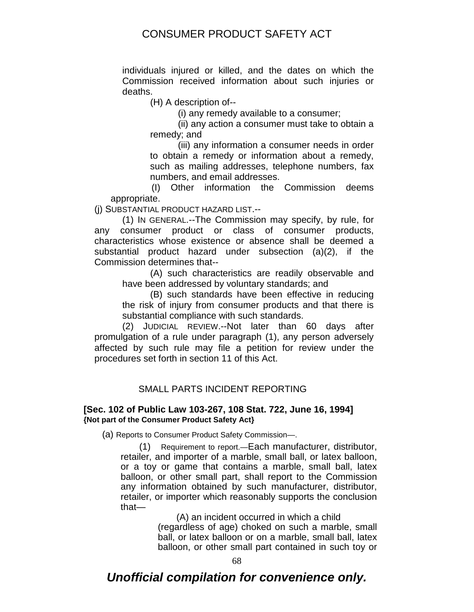individuals injured or killed, and the dates on which the Commission received information about such injuries or deaths.

(H) A description of--

(i) any remedy available to a consumer;

(ii) any action a consumer must take to obtain a remedy; and

(iii) any information a consumer needs in order to obtain a remedy or information about a remedy, such as mailing addresses, telephone numbers, fax numbers, and email addresses.

 (I) Other information the Commission deems appropriate.

(j) SUBSTANTIAL PRODUCT HAZARD LIST.--

(1) IN GENERAL.--The Commission may specify, by rule, for any consumer product or class of consumer products, characteristics whose existence or absence shall be deemed a substantial product hazard under subsection (a)(2), if the Commission determines that--

(A) such characteristics are readily observable and have been addressed by voluntary standards; and

(B) such standards have been effective in reducing the risk of injury from consumer products and that there is substantial compliance with such standards.

(2) JUDICIAL REVIEW.--Not later than 60 days after promulgation of a rule under paragraph (1), any person adversely affected by such rule may file a petition for review under the procedures set forth in section 11 of this Act.

#### SMALL PARTS INCIDENT REPORTING

#### **[Sec. 102 of Public Law 103-267, 108 Stat. 722, June 16, 1994] {Not part of the Consumer Product Safety Act}**

(a) Reports to Consumer Product Safety Commission—.

(1) Requirement to report.—Each manufacturer, distributor, retailer, and importer of a marble, small ball, or latex balloon, or a toy or game that contains a marble, small ball, latex balloon, or other small part, shall report to the Commission any information obtained by such manufacturer, distributor, retailer, or importer which reasonably supports the conclusion that—

> (A) an incident occurred in which a child (regardless of age) choked on such a marble, small ball, or latex balloon or on a marble, small ball, latex balloon, or other small part contained in such toy or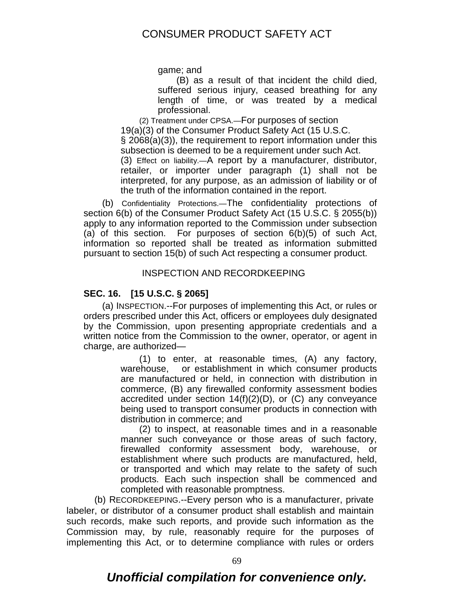game; and

(B) as a result of that incident the child died, suffered serious injury, ceased breathing for any length of time, or was treated by a medical professional.

(2) Treatment under CPSA.—For purposes of section 19(a)(3) of the Consumer Product Safety Act (15 U.S.C. § 2068(a)(3)), the requirement to report information under this subsection is deemed to be a requirement under such Act.

(3) Effect on liability.—A report by a manufacturer, distributor, retailer, or importer under paragraph (1) shall not be interpreted, for any purpose, as an admission of liability or of the truth of the information contained in the report.

(b) Confidentiality Protections.—The confidentiality protections of section 6(b) of the Consumer Product Safety Act (15 U.S.C. § 2055(b)) apply to any information reported to the Commission under subsection (a) of this section. For purposes of section  $6(b)(5)$  of such Act, information so reported shall be treated as information submitted pursuant to section 15(b) of such Act respecting a consumer product.

#### INSPECTION AND RECORDKEEPING

### **SEC. 16. [15 U.S.C. § 2065]**

(a) INSPECTION.--For purposes of implementing this Act, or rules or orders prescribed under this Act, officers or employees duly designated by the Commission, upon presenting appropriate credentials and a written notice from the Commission to the owner, operator, or agent in charge, are authorized—

> (1) to enter, at reasonable times, (A) any factory, warehouse, or establishment in which consumer products are manufactured or held, in connection with distribution in commerce, (B) any firewalled conformity assessment bodies accredited under section 14(f)(2)(D), or (C) any conveyance being used to transport consumer products in connection with distribution in commerce; and

> (2) to inspect, at reasonable times and in a reasonable manner such conveyance or those areas of such factory, firewalled conformity assessment body, warehouse, or establishment where such products are manufactured, held, or transported and which may relate to the safety of such products. Each such inspection shall be commenced and completed with reasonable promptness.

(b) RECORDKEEPING.--Every person who is a manufacturer, private labeler, or distributor of a consumer product shall establish and maintain such records, make such reports, and provide such information as the Commission may, by rule, reasonably require for the purposes of implementing this Act, or to determine compliance with rules or orders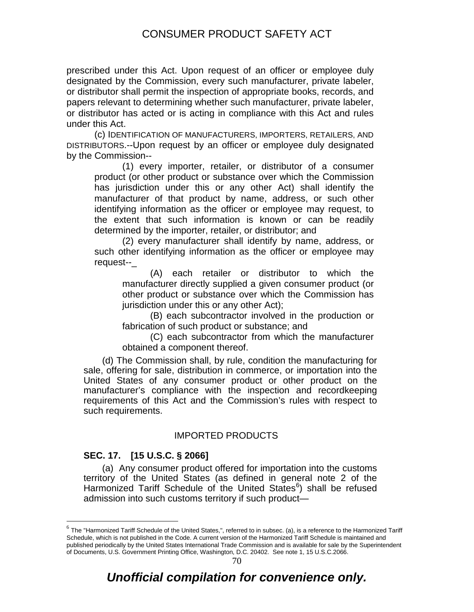prescribed under this Act. Upon request of an officer or employee duly designated by the Commission, every such manufacturer, private labeler, or distributor shall permit the inspection of appropriate books, records, and papers relevant to determining whether such manufacturer, private labeler, or distributor has acted or is acting in compliance with this Act and rules under this Act.

(c) IDENTIFICATION OF MANUFACTURERS, IMPORTERS, RETAILERS, AND DISTRIBUTORS.--Upon request by an officer or employee duly designated by the Commission--

(1) every importer, retailer, or distributor of a consumer product (or other product or substance over which the Commission has jurisdiction under this or any other Act) shall identify the manufacturer of that product by name, address, or such other identifying information as the officer or employee may request, to the extent that such information is known or can be readily determined by the importer, retailer, or distributor; and

(2) every manufacturer shall identify by name, address, or such other identifying information as the officer or employee may request--\_

(A) each retailer or distributor to which the manufacturer directly supplied a given consumer product (or other product or substance over which the Commission has jurisdiction under this or any other Act);

(B) each subcontractor involved in the production or fabrication of such product or substance; and

(C) each subcontractor from which the manufacturer obtained a component thereof.

(d) The Commission shall, by rule, condition the manufacturing for sale, offering for sale, distribution in commerce, or importation into the United States of any consumer product or other product on the manufacturer's compliance with the inspection and recordkeeping requirements of this Act and the Commission's rules with respect to such requirements.

### IMPORTED PRODUCTS

#### **SEC. 17. [15 U.S.C. § 2066]**

(a) Any consumer product offered for importation into the customs territory of the United States (as defined in general note 2 of the Harmonized Tariff Schedule of the United States<sup>[6](#page-69-0)</sup>) shall be refused admission into such customs territory if such product—

<span id="page-69-0"></span> $6$  The "Harmonized Tariff Schedule of the United States,", referred to in subsec. (a), is a reference to the Harmonized Tariff Schedule, which is not published in the Code. A current version of the Harmonized Tariff Schedule is maintained and published periodically by the United States International Trade Commission and is available for sale by the Superintendent of Documents, U.S. Government Printing Office, Washington, D.C. 20402. See note 1, 15 U.S.C.2066.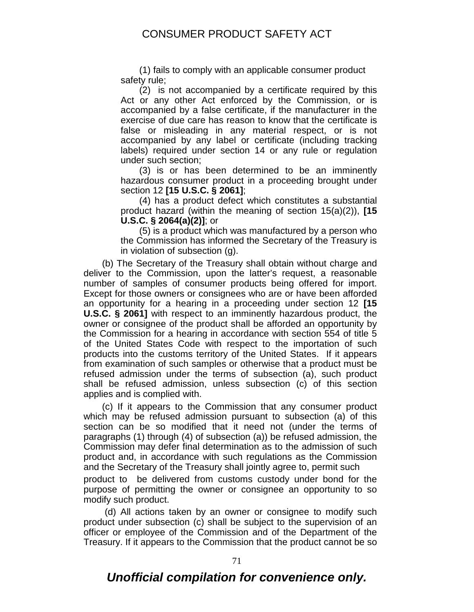(1) fails to comply with an applicable consumer product safety rule;

(2) is not accompanied by a certificate required by this Act or any other Act enforced by the Commission, or is accompanied by a false certificate, if the manufacturer in the exercise of due care has reason to know that the certificate is false or misleading in any material respect, or is not accompanied by any label or certificate (including tracking labels) required under section 14 or any rule or regulation under such section;

(3) is or has been determined to be an imminently hazardous consumer product in a proceeding brought under section 12 **[15 U.S.C. § 2061]**;

(4) has a product defect which constitutes a substantial product hazard (within the meaning of section 15(a)(2)), **[15 U.S.C. § 2064(a)(2)]**; or

(5) is a product which was manufactured by a person who the Commission has informed the Secretary of the Treasury is in violation of subsection (g).

(b) The Secretary of the Treasury shall obtain without charge and deliver to the Commission, upon the latter's request, a reasonable number of samples of consumer products being offered for import. Except for those owners or consignees who are or have been afforded an opportunity for a hearing in a proceeding under section 12 **[15 U.S.C. § 2061]** with respect to an imminently hazardous product, the owner or consignee of the product shall be afforded an opportunity by the Commission for a hearing in accordance with section 554 of title 5 of the United States Code with respect to the importation of such products into the customs territory of the United States. If it appears from examination of such samples or otherwise that a product must be refused admission under the terms of subsection (a), such product shall be refused admission, unless subsection (c) of this section applies and is complied with.

(c) If it appears to the Commission that any consumer product which may be refused admission pursuant to subsection (a) of this section can be so modified that it need not (under the terms of paragraphs (1) through (4) of subsection (a)) be refused admission, the Commission may defer final determination as to the admission of such product and, in accordance with such regulations as the Commission and the Secretary of the Treasury shall jointly agree to, permit such

product to be delivered from customs custody under bond for the purpose of permitting the owner or consignee an opportunity to so modify such product.

(d) All actions taken by an owner or consignee to modify such product under subsection (c) shall be subject to the supervision of an officer or employee of the Commission and of the Department of the Treasury. If it appears to the Commission that the product cannot be so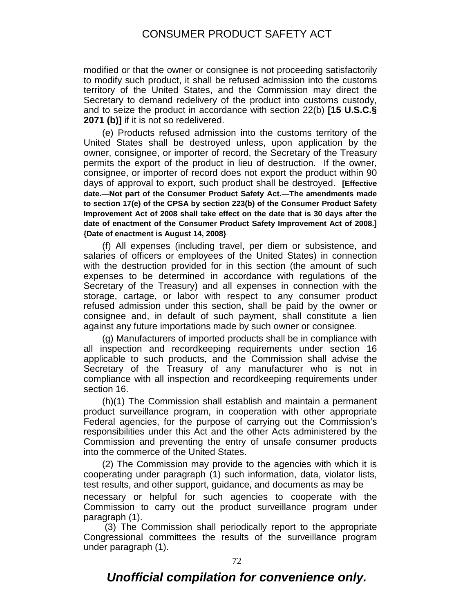modified or that the owner or consignee is not proceeding satisfactorily to modify such product, it shall be refused admission into the customs territory of the United States, and the Commission may direct the Secretary to demand redelivery of the product into customs custody, and to seize the product in accordance with section 22(b) **[15 U.S.C.§ 2071 (b)]** if it is not so redelivered.

(e) Products refused admission into the customs territory of the United States shall be destroyed unless, upon application by the owner, consignee, or importer of record, the Secretary of the Treasury permits the export of the product in lieu of destruction. If the owner, consignee, or importer of record does not export the product within 90 days of approval to export, such product shall be destroyed. **[Effective date.—Not part of the Consumer Product Safety Act.—The amendments made to section 17(e) of the CPSA by section 223(b) of the Consumer Product Safety Improvement Act of 2008 shall take effect on the date that is 30 days after the date of enactment of the Consumer Product Safety Improvement Act of 2008.] {Date of enactment is August 14, 2008}**

(f) All expenses (including travel, per diem or subsistence, and salaries of officers or employees of the United States) in connection with the destruction provided for in this section (the amount of such expenses to be determined in accordance with regulations of the Secretary of the Treasury) and all expenses in connection with the storage, cartage, or labor with respect to any consumer product refused admission under this section, shall be paid by the owner or consignee and, in default of such payment, shall constitute a lien against any future importations made by such owner or consignee.

(g) Manufacturers of imported products shall be in compliance with all inspection and recordkeeping requirements under section 16 applicable to such products, and the Commission shall advise the Secretary of the Treasury of any manufacturer who is not in compliance with all inspection and recordkeeping requirements under section 16.

(h)(1) The Commission shall establish and maintain a permanent product surveillance program, in cooperation with other appropriate Federal agencies, for the purpose of carrying out the Commission's responsibilities under this Act and the other Acts administered by the Commission and preventing the entry of unsafe consumer products into the commerce of the United States.

(2) The Commission may provide to the agencies with which it is cooperating under paragraph (1) such information, data, violator lists, test results, and other support, guidance, and documents as may be

necessary or helpful for such agencies to cooperate with the Commission to carry out the product surveillance program under paragraph (1).

(3) The Commission shall periodically report to the appropriate Congressional committees the results of the surveillance program under paragraph (1).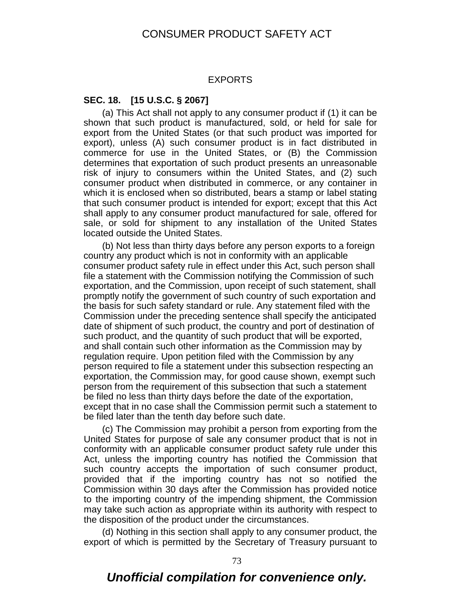#### EXPORTS

#### **SEC. 18. [15 U.S.C. § 2067]**

(a) This Act shall not apply to any consumer product if (1) it can be shown that such product is manufactured, sold, or held for sale for export from the United States (or that such product was imported for export), unless (A) such consumer product is in fact distributed in commerce for use in the United States, or (B) the Commission determines that exportation of such product presents an unreasonable risk of injury to consumers within the United States, and (2) such consumer product when distributed in commerce, or any container in which it is enclosed when so distributed, bears a stamp or label stating that such consumer product is intended for export; except that this Act shall apply to any consumer product manufactured for sale, offered for sale, or sold for shipment to any installation of the United States located outside the United States.

(b) Not less than thirty days before any person exports to a foreign country any product which is not in conformity with an applicable consumer product safety rule in effect under this Act, such person shall file a statement with the Commission notifying the Commission of such exportation, and the Commission, upon receipt of such statement, shall promptly notify the government of such country of such exportation and the basis for such safety standard or rule. Any statement filed with the Commission under the preceding sentence shall specify the anticipated date of shipment of such product, the country and port of destination of such product, and the quantity of such product that will be exported, and shall contain such other information as the Commission may by regulation require. Upon petition filed with the Commission by any person required to file a statement under this subsection respecting an exportation, the Commission may, for good cause shown, exempt such person from the requirement of this subsection that such a statement be filed no less than thirty days before the date of the exportation, except that in no case shall the Commission permit such a statement to be filed later than the tenth day before such date.

(c) The Commission may prohibit a person from exporting from the United States for purpose of sale any consumer product that is not in conformity with an applicable consumer product safety rule under this Act, unless the importing country has notified the Commission that such country accepts the importation of such consumer product, provided that if the importing country has not so notified the Commission within 30 days after the Commission has provided notice to the importing country of the impending shipment, the Commission may take such action as appropriate within its authority with respect to the disposition of the product under the circumstances.

(d) Nothing in this section shall apply to any consumer product, the export of which is permitted by the Secretary of Treasury pursuant to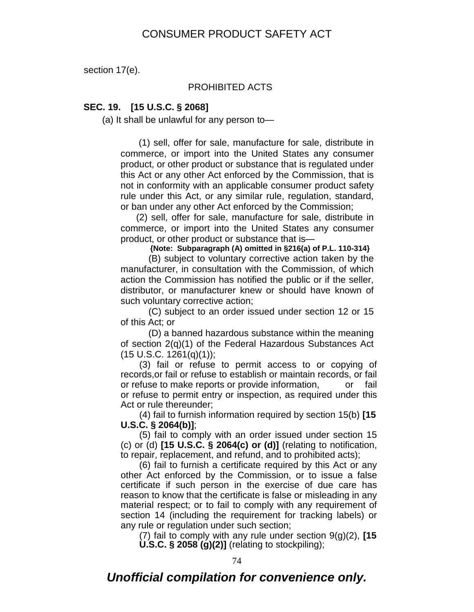section 17(e).

### PROHIBITED ACTS

### **SEC. 19. [15 U.S.C. § 2068]**

(a) It shall be unlawful for any person to—

 (1) sell, offer for sale, manufacture for sale, distribute in commerce, or import into the United States any consumer product, or other product or substance that is regulated under this Act or any other Act enforced by the Commission, that is not in conformity with an applicable consumer product safety rule under this Act, or any similar rule, regulation, standard, or ban under any other Act enforced by the Commission;

 (2) sell, offer for sale, manufacture for sale, distribute in commerce, or import into the United States any consumer product, or other product or substance that is—

**{Note: Subparagraph (A) omitted in §216(a) of P.L. 110-314}**

(B) subject to voluntary corrective action taken by the manufacturer, in consultation with the Commission, of which action the Commission has notified the public or if the seller, distributor, or manufacturer knew or should have known of such voluntary corrective action;

(C) subject to an order issued under section 12 or 15 of this Act; or

(D) a banned hazardous substance within the meaning of section 2(q)(1) of the Federal Hazardous Substances Act  $(15 \text{ U.S.C. } 1261(q)(1))$ ;

(3) fail or refuse to permit access to or copying of records,or fail or refuse to establish or maintain records, or fail or refuse to make reports or provide information, or fail or refuse to permit entry or inspection, as required under this Act or rule thereunder;

(4) fail to furnish information required by section 15(b) **[15 U.S.C. § 2064(b)]**;

(5) fail to comply with an order issued under section 15 (c) or (d) **[15 U.S.C. § 2064(c) or (d)]** (relating to notification, to repair, replacement, and refund, and to prohibited acts);

(6) fail to furnish a certificate required by this Act or any other Act enforced by the Commission, or to issue a false certificate if such person in the exercise of due care has reason to know that the certificate is false or misleading in any material respect; or to fail to comply with any requirement of section 14 (including the requirement for tracking labels) or any rule or regulation under such section;

(7) fail to comply with any rule under section 9(g)(2), **[15 U.S.C. § 2058 (g)(2)]** (relating to stockpiling);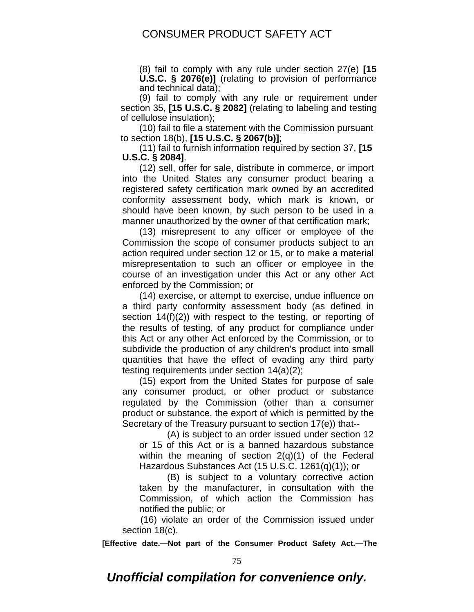(8) fail to comply with any rule under section 27(e) **[15 U.S.C. § 2076(e)]** (relating to provision of performance and technical data);

(9) fail to comply with any rule or requirement under section 35, **[15 U.S.C. § 2082]** (relating to labeling and testing of cellulose insulation);

(10) fail to file a statement with the Commission pursuant to section 18(b), **[15 U.S.C. § 2067(b)]**;

(11) fail to furnish information required by section 37, **[15 U.S.C. § 2084]**.

(12) sell, offer for sale, distribute in commerce, or import into the United States any consumer product bearing a registered safety certification mark owned by an accredited conformity assessment body, which mark is known, or should have been known, by such person to be used in a manner unauthorized by the owner of that certification mark;

(13) misrepresent to any officer or employee of the Commission the scope of consumer products subject to an action required under section 12 or 15, or to make a material misrepresentation to such an officer or employee in the course of an investigation under this Act or any other Act enforced by the Commission; or

(14) exercise, or attempt to exercise, undue influence on a third party conformity assessment body (as defined in section 14(f)(2)) with respect to the testing, or reporting of the results of testing, of any product for compliance under this Act or any other Act enforced by the Commission, or to subdivide the production of any children's product into small quantities that have the effect of evading any third party testing requirements under section 14(a)(2);

(15) export from the United States for purpose of sale any consumer product, or other product or substance regulated by the Commission (other than a consumer product or substance, the export of which is permitted by the Secretary of the Treasury pursuant to section 17(e)) that--

(A) is subject to an order issued under section 12 or 15 of this Act or is a banned hazardous substance within the meaning of section 2(q)(1) of the Federal Hazardous Substances Act (15 U.S.C. 1261(q)(1)); or

(B) is subject to a voluntary corrective action taken by the manufacturer, in consultation with the Commission, of which action the Commission has notified the public; or

 (16) violate an order of the Commission issued under section 18(c).

**[Effective date.—Not part of the Consumer Product Safety Act.—The**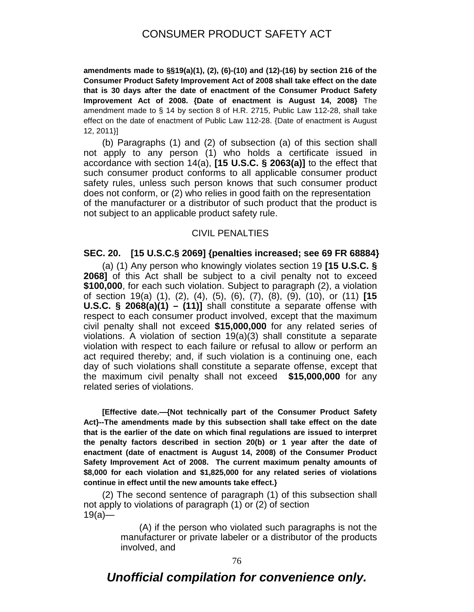**amendments made to §§19(a)(1), (2), (6)-(10) and (12)-(16) by section 216 of the Consumer Product Safety Improvement Act of 2008 shall take effect on the date that is 30 days after the date of enactment of the Consumer Product Safety Improvement Act of 2008. {Date of enactment is August 14, 2008}** The amendment made to § 14 by section 8 of H.R. 2715, Public Law 112-28, shall take effect on the date of enactment of Public Law 112-28. {Date of enactment is August 12, 2011}]

(b) Paragraphs (1) and (2) of subsection (a) of this section shall not apply to any person (1) who holds a certificate issued in accordance with section 14(a), **[15 U.S.C. § 2063(a)]** to the effect that such consumer product conforms to all applicable consumer product safety rules, unless such person knows that such consumer product does not conform, or (2) who relies in good faith on the representation of the manufacturer or a distributor of such product that the product is not subject to an applicable product safety rule.

#### CIVIL PENALTIES

### **SEC. 20. [15 U.S.C.§ 2069] {penalties increased; see 69 FR 68884}**

(a) (1) Any person who knowingly violates section 19 **[15 U.S.C. § 2068]** of this Act shall be subject to a civil penalty not to exceed **\$100,000**, for each such violation. Subject to paragraph (2), a violation of section 19(a) (1), (2), (4), (5), (6), (7), (8), (9), (10), or (11) **[15 U.S.C. § 2068(a)(1) – (11)]** shall constitute a separate offense with respect to each consumer product involved, except that the maximum civil penalty shall not exceed **\$15,000,000** for any related series of violations. A violation of section 19(a)(3) shall constitute a separate violation with respect to each failure or refusal to allow or perform an act required thereby; and, if such violation is a continuing one, each day of such violations shall constitute a separate offense, except that the maximum civil penalty shall not exceed **\$15,000,000** for any related series of violations.

**[Effective date.—{Not technically part of the Consumer Product Safety Act}--The amendments made by this subsection shall take effect on the date that is the earlier of the date on which final regulations are issued to interpret the penalty factors described in section 20(b) or 1 year after the date of enactment (date of enactment is August 14, 2008) of the Consumer Product Safety Improvement Act of 2008. The current maximum penalty amounts of \$8,000 for each violation and \$1,825,000 for any related series of violations continue in effect until the new amounts take effect.}** 

(2) The second sentence of paragraph (1) of this subsection shall not apply to violations of paragraph (1) or (2) of section  $19(a)$ —

> (A) if the person who violated such paragraphs is not the manufacturer or private labeler or a distributor of the products involved, and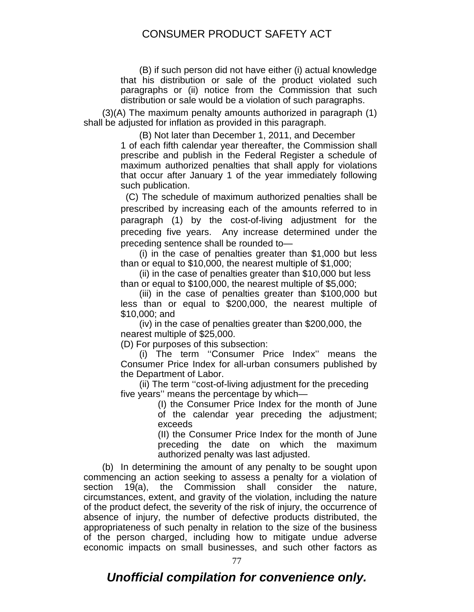(B) if such person did not have either (i) actual knowledge that his distribution or sale of the product violated such paragraphs or (ii) notice from the Commission that such distribution or sale would be a violation of such paragraphs.

(3)(A) The maximum penalty amounts authorized in paragraph (1) shall be adjusted for inflation as provided in this paragraph.

> (B) Not later than December 1, 2011, and December 1 of each fifth calendar year thereafter, the Commission shall prescribe and publish in the Federal Register a schedule of maximum authorized penalties that shall apply for violations that occur after January 1 of the year immediately following such publication.

> (C) The schedule of maximum authorized penalties shall be prescribed by increasing each of the amounts referred to in paragraph (1) by the cost-of-living adjustment for the preceding five years. Any increase determined under the preceding sentence shall be rounded to—

> (i) in the case of penalties greater than \$1,000 but less than or equal to \$10,000, the nearest multiple of \$1,000;

(ii) in the case of penalties greater than \$10,000 but less than or equal to \$100,000, the nearest multiple of \$5,000;

(iii) in the case of penalties greater than \$100,000 but less than or equal to \$200,000, the nearest multiple of \$10,000; and

(iv) in the case of penalties greater than \$200,000, the nearest multiple of \$25,000.

(D) For purposes of this subsection:

(i) The term ''Consumer Price Index'' means the Consumer Price Index for all-urban consumers published by the Department of Labor.

(ii) The term ''cost-of-living adjustment for the preceding five years'' means the percentage by which—

(I) the Consumer Price Index for the month of June of the calendar year preceding the adjustment; exceeds

(II) the Consumer Price Index for the month of June preceding the date on which the maximum authorized penalty was last adjusted.

(b) In determining the amount of any penalty to be sought upon commencing an action seeking to assess a penalty for a violation of section 19(a), the Commission shall consider the nature, circumstances, extent, and gravity of the violation, including the nature of the product defect, the severity of the risk of injury, the occurrence of absence of injury, the number of defective products distributed, the appropriateness of such penalty in relation to the size of the business of the person charged, including how to mitigate undue adverse economic impacts on small businesses, and such other factors as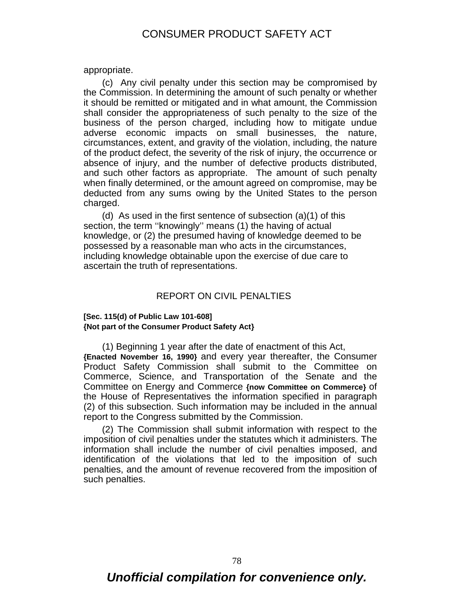#### appropriate.

(c) Any civil penalty under this section may be compromised by the Commission. In determining the amount of such penalty or whether it should be remitted or mitigated and in what amount, the Commission shall consider the appropriateness of such penalty to the size of the business of the person charged, including how to mitigate undue adverse economic impacts on small businesses, the nature, circumstances, extent, and gravity of the violation, including, the nature of the product defect, the severity of the risk of injury, the occurrence or absence of injury, and the number of defective products distributed, and such other factors as appropriate. The amount of such penalty when finally determined, or the amount agreed on compromise, may be deducted from any sums owing by the United States to the person charged.

(d) As used in the first sentence of subsection (a)(1) of this section, the term ''knowingly'' means (1) the having of actual knowledge, or (2) the presumed having of knowledge deemed to be possessed by a reasonable man who acts in the circumstances, including knowledge obtainable upon the exercise of due care to ascertain the truth of representations.

### REPORT ON CIVIL PENALTIES

#### **[Sec. 115(d) of Public Law 101-608] {Not part of the Consumer Product Safety Act}**

(1) Beginning 1 year after the date of enactment of this Act, **{Enacted November 16, 1990}** and every year thereafter, the Consumer Product Safety Commission shall submit to the Committee on Commerce, Science, and Transportation of the Senate and the Committee on Energy and Commerce **{now Committee on Commerce}** of the House of Representatives the information specified in paragraph (2) of this subsection. Such information may be included in the annual report to the Congress submitted by the Commission.

(2) The Commission shall submit information with respect to the imposition of civil penalties under the statutes which it administers. The information shall include the number of civil penalties imposed, and identification of the violations that led to the imposition of such penalties, and the amount of revenue recovered from the imposition of such penalties.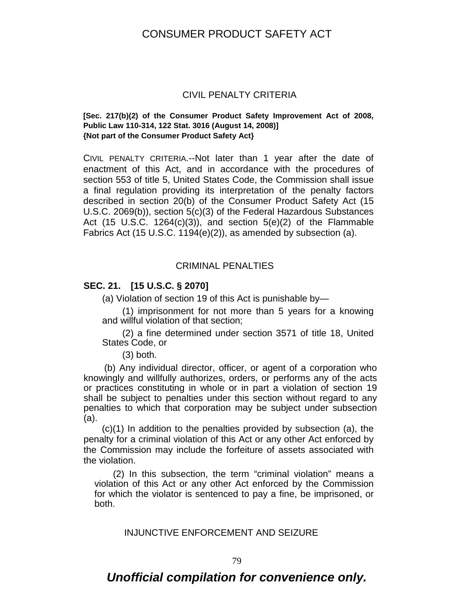### CIVIL PENALTY CRITERIA

### **[Sec. 217(b)(2) of the Consumer Product Safety Improvement Act of 2008, Public Law 110-314, 122 Stat. 3016 (August 14, 2008)] {Not part of the Consumer Product Safety Act}**

CIVIL PENALTY CRITERIA.--Not later than 1 year after the date of enactment of this Act, and in accordance with the procedures of section 553 of title 5, United States Code, the Commission shall issue a final regulation providing its interpretation of the penalty factors described in section 20(b) of the Consumer Product Safety Act (15 U.S.C. 2069(b)), section 5(c)(3) of the Federal Hazardous Substances Act  $(15 \text{ U.S.C. } 1264(c)(3))$ , and section  $5(e)(2)$  of the Flammable Fabrics Act (15 U.S.C. 1194(e)(2)), as amended by subsection (a).

### CRIMINAL PENALTIES

### **SEC. 21. [15 U.S.C. § 2070]**

(a) Violation of section 19 of this Act is punishable by—

(1) imprisonment for not more than 5 years for a knowing and willful violation of that section;

(2) a fine determined under section 3571 of title 18, United States Code, or

(3) both.

(b) Any individual director, officer, or agent of a corporation who knowingly and willfully authorizes, orders, or performs any of the acts or practices constituting in whole or in part a violation of section 19 shall be subject to penalties under this section without regard to any penalties to which that corporation may be subject under subsection (a).

(c)(1) In addition to the penalties provided by subsection (a), the penalty for a criminal violation of this Act or any other Act enforced by the Commission may include the forfeiture of assets associated with the violation.

(2) In this subsection, the term "criminal violation" means a violation of this Act or any other Act enforced by the Commission for which the violator is sentenced to pay a fine, be imprisoned, or both.

### INJUNCTIVE ENFORCEMENT AND SEIZURE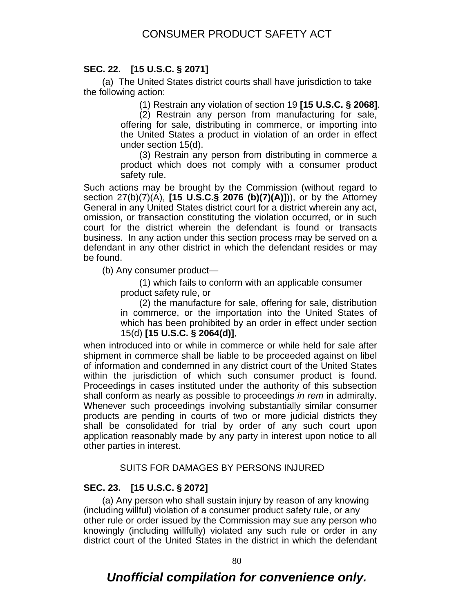## **SEC. 22. [15 U.S.C. § 2071]**

(a) The United States district courts shall have jurisdiction to take the following action:

(1) Restrain any violation of section 19 **[15 U.S.C. § 2068]**.

(2) Restrain any person from manufacturing for sale, offering for sale, distributing in commerce, or importing into the United States a product in violation of an order in effect under section 15(d).

(3) Restrain any person from distributing in commerce a product which does not comply with a consumer product safety rule.

Such actions may be brought by the Commission (without regard to section 27(b)(7)(A), **[15 U.S.C.§ 2076 (b)(7)(A)]**)), or by the Attorney General in any United States district court for a district wherein any act, omission, or transaction constituting the violation occurred, or in such court for the district wherein the defendant is found or transacts business. In any action under this section process may be served on a defendant in any other district in which the defendant resides or may be found.

(b) Any consumer product—

(1) which fails to conform with an applicable consumer product safety rule, or

(2) the manufacture for sale, offering for sale, distribution in commerce, or the importation into the United States of which has been prohibited by an order in effect under section 15(d) **[15 U.S.C. § 2064(d)]**,

when introduced into or while in commerce or while held for sale after shipment in commerce shall be liable to be proceeded against on libel of information and condemned in any district court of the United States within the jurisdiction of which such consumer product is found. Proceedings in cases instituted under the authority of this subsection shall conform as nearly as possible to proceedings *in rem* in admiralty. Whenever such proceedings involving substantially similar consumer products are pending in courts of two or more judicial districts they shall be consolidated for trial by order of any such court upon application reasonably made by any party in interest upon notice to all other parties in interest.

## SUITS FOR DAMAGES BY PERSONS INJURED

## **SEC. 23. [15 U.S.C. § 2072]**

(a) Any person who shall sustain injury by reason of any knowing (including willful) violation of a consumer product safety rule, or any other rule or order issued by the Commission may sue any person who knowingly (including willfully) violated any such rule or order in any district court of the United States in the district in which the defendant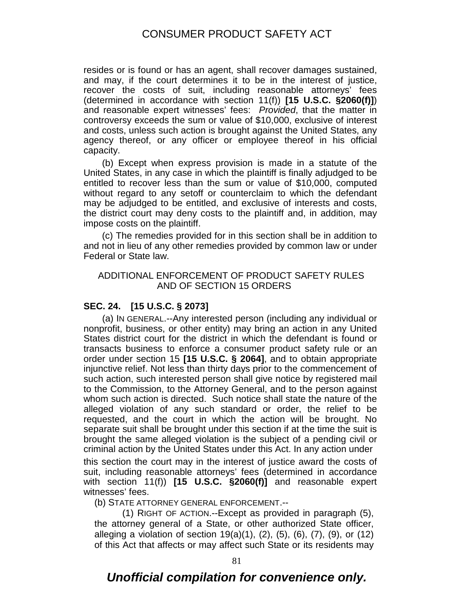resides or is found or has an agent, shall recover damages sustained, and may, if the court determines it to be in the interest of justice, recover the costs of suit, including reasonable attorneys' fees (determined in accordance with section 11(f)) **[15 U.S.C. §2060(f)]**) and reasonable expert witnesses' fees: *Provided*, that the matter in controversy exceeds the sum or value of \$10,000, exclusive of interest and costs, unless such action is brought against the United States, any agency thereof, or any officer or employee thereof in his official capacity.

(b) Except when express provision is made in a statute of the United States, in any case in which the plaintiff is finally adjudged to be entitled to recover less than the sum or value of \$10,000, computed without regard to any setoff or counterclaim to which the defendant may be adjudged to be entitled, and exclusive of interests and costs, the district court may deny costs to the plaintiff and, in addition, may impose costs on the plaintiff.

(c) The remedies provided for in this section shall be in addition to and not in lieu of any other remedies provided by common law or under Federal or State law.

### ADDITIONAL ENFORCEMENT OF PRODUCT SAFETY RULES AND OF SECTION 15 ORDERS

### **SEC. 24. [15 U.S.C. § 2073]**

(a) IN GENERAL.--Any interested person (including any individual or nonprofit, business, or other entity) may bring an action in any United States district court for the district in which the defendant is found or transacts business to enforce a consumer product safety rule or an order under section 15 **[15 U.S.C. § 2064]**, and to obtain appropriate injunctive relief. Not less than thirty days prior to the commencement of such action, such interested person shall give notice by registered mail to the Commission, to the Attorney General, and to the person against whom such action is directed. Such notice shall state the nature of the alleged violation of any such standard or order, the relief to be requested, and the court in which the action will be brought. No separate suit shall be brought under this section if at the time the suit is brought the same alleged violation is the subject of a pending civil or criminal action by the United States under this Act. In any action under this section the court may in the interest of justice award the costs of suit, including reasonable attorneys' fees (determined in accordance

with section 11(f)) **[15 U.S.C. §2060(f)]** and reasonable expert witnesses' fees.

(b) STATE ATTORNEY GENERAL ENFORCEMENT.--

(1) RIGHT OF ACTION.--Except as provided in paragraph (5), the attorney general of a State, or other authorized State officer, alleging a violation of section  $19(a)(1)$ ,  $(2)$ ,  $(5)$ ,  $(6)$ ,  $(7)$ ,  $(9)$ , or  $(12)$ of this Act that affects or may affect such State or its residents may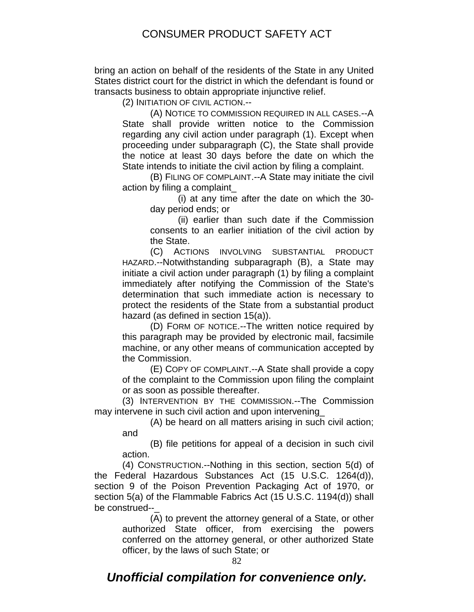bring an action on behalf of the residents of the State in any United States district court for the district in which the defendant is found or transacts business to obtain appropriate injunctive relief.

(2) INITIATION OF CIVIL ACTION.--

(A) NOTICE TO COMMISSION REQUIRED IN ALL CASES.--A State shall provide written notice to the Commission regarding any civil action under paragraph (1). Except when proceeding under subparagraph (C), the State shall provide the notice at least 30 days before the date on which the State intends to initiate the civil action by filing a complaint.

(B) FILING OF COMPLAINT.--A State may initiate the civil action by filing a complaint\_

> (i) at any time after the date on which the 30 day period ends; or

> (ii) earlier than such date if the Commission consents to an earlier initiation of the civil action by the State.

(C) ACTIONS INVOLVING SUBSTANTIAL PRODUCT HAZARD.--Notwithstanding subparagraph (B), a State may initiate a civil action under paragraph (1) by filing a complaint immediately after notifying the Commission of the State's determination that such immediate action is necessary to protect the residents of the State from a substantial product hazard (as defined in section 15(a)).

(D) FORM OF NOTICE.--The written notice required by this paragraph may be provided by electronic mail, facsimile machine, or any other means of communication accepted by the Commission.

(E) COPY OF COMPLAINT.--A State shall provide a copy of the complaint to the Commission upon filing the complaint or as soon as possible thereafter.

(3) INTERVENTION BY THE COMMISSION.--The Commission may intervene in such civil action and upon intervening\_

(A) be heard on all matters arising in such civil action; and

(B) file petitions for appeal of a decision in such civil action.

(4) CONSTRUCTION.--Nothing in this section, section 5(d) of the Federal Hazardous Substances Act (15 U.S.C. 1264(d)), section 9 of the Poison Prevention Packaging Act of 1970, or section 5(a) of the Flammable Fabrics Act (15 U.S.C. 1194(d)) shall be construed--

(A) to prevent the attorney general of a State, or other authorized State officer, from exercising the powers conferred on the attorney general, or other authorized State officer, by the laws of such State; or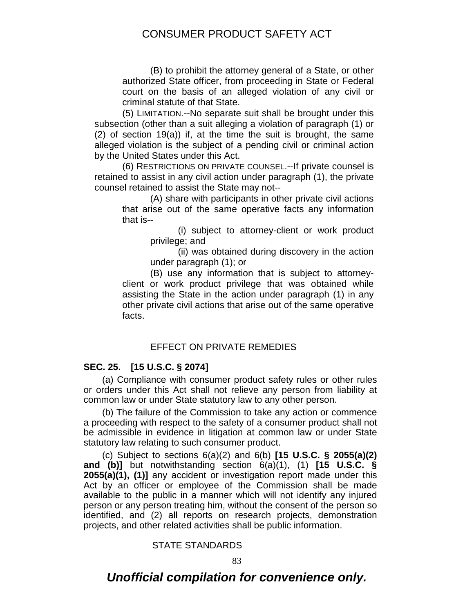(B) to prohibit the attorney general of a State, or other authorized State officer, from proceeding in State or Federal court on the basis of an alleged violation of any civil or criminal statute of that State.

(5) LIMITATION.--No separate suit shall be brought under this subsection (other than a suit alleging a violation of paragraph (1) or (2) of section 19(a)) if, at the time the suit is brought, the same alleged violation is the subject of a pending civil or criminal action by the United States under this Act.

(6) RESTRICTIONS ON PRIVATE COUNSEL.--If private counsel is retained to assist in any civil action under paragraph (1), the private counsel retained to assist the State may not--

(A) share with participants in other private civil actions that arise out of the same operative facts any information that is--

> (i) subject to attorney-client or work product privilege; and

> (ii) was obtained during discovery in the action under paragraph (1); or

(B) use any information that is subject to attorneyclient or work product privilege that was obtained while assisting the State in the action under paragraph (1) in any other private civil actions that arise out of the same operative facts.

## EFFECT ON PRIVATE REMEDIES

### **SEC. 25. [15 U.S.C. § 2074]**

(a) Compliance with consumer product safety rules or other rules or orders under this Act shall not relieve any person from liability at common law or under State statutory law to any other person.

(b) The failure of the Commission to take any action or commence a proceeding with respect to the safety of a consumer product shall not be admissible in evidence in litigation at common law or under State statutory law relating to such consumer product.

(c) Subject to sections 6(a)(2) and 6(b) **[15 U.S.C. § 2055(a)(2) and (b)]** but notwithstanding section 6(a)(1), (1) **[15 U.S.C. § 2055(a)(1), (1)]** any accident or investigation report made under this Act by an officer or employee of the Commission shall be made available to the public in a manner which will not identify any injured person or any person treating him, without the consent of the person so identified, and (2) all reports on research projects, demonstration projects, and other related activities shall be public information.

### STATE STANDARDS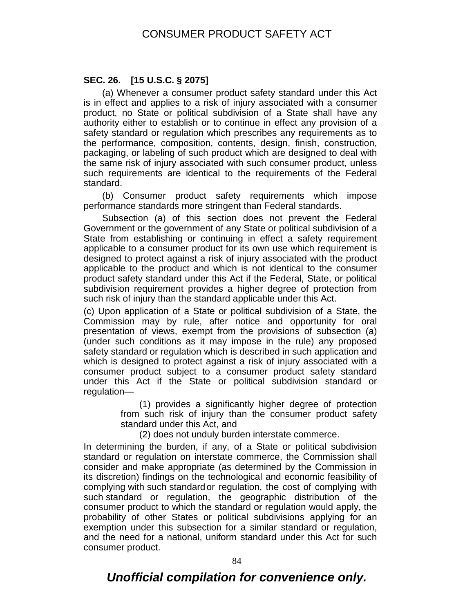### **SEC. 26. [15 U.S.C. § 2075]**

(a) Whenever a consumer product safety standard under this Act is in effect and applies to a risk of injury associated with a consumer product, no State or political subdivision of a State shall have any authority either to establish or to continue in effect any provision of a safety standard or regulation which prescribes any requirements as to the performance, composition, contents, design, finish, construction, packaging, or labeling of such product which are designed to deal with the same risk of injury associated with such consumer product, unless such requirements are identical to the requirements of the Federal standard.

(b) Consumer product safety requirements which impose performance standards more stringent than Federal standards.

Subsection (a) of this section does not prevent the Federal Government or the government of any State or political subdivision of a State from establishing or continuing in effect a safety requirement applicable to a consumer product for its own use which requirement is designed to protect against a risk of injury associated with the product applicable to the product and which is not identical to the consumer product safety standard under this Act if the Federal, State, or political subdivision requirement provides a higher degree of protection from such risk of injury than the standard applicable under this Act.

(c) Upon application of a State or political subdivision of a State, the Commission may by rule, after notice and opportunity for oral presentation of views, exempt from the provisions of subsection (a) (under such conditions as it may impose in the rule) any proposed safety standard or regulation which is described in such application and which is designed to protect against a risk of injury associated with a consumer product subject to a consumer product safety standard under this Act if the State or political subdivision standard or regulation—

> (1) provides a significantly higher degree of protection from such risk of injury than the consumer product safety standard under this Act, and

(2) does not unduly burden interstate commerce.

In determining the burden, if any, of a State or political subdivision standard or regulation on interstate commerce, the Commission shall consider and make appropriate (as determined by the Commission in its discretion) findings on the technological and economic feasibility of complying with such standardor regulation, the cost of complying with such standard or regulation, the geographic distribution of the consumer product to which the standard or regulation would apply, the probability of other States or political subdivisions applying for an exemption under this subsection for a similar standard or regulation, and the need for a national, uniform standard under this Act for such consumer product.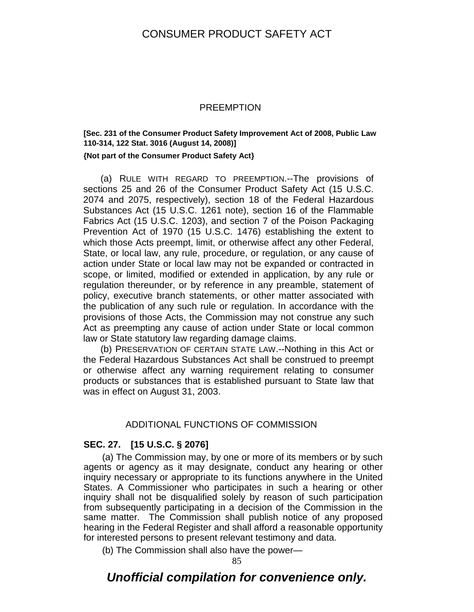### **PREEMPTION**

### **[Sec. 231 of the Consumer Product Safety Improvement Act of 2008, Public Law 110-314, 122 Stat. 3016 (August 14, 2008)]**

#### **{Not part of the Consumer Product Safety Act}**

(a) RULE WITH REGARD TO PREEMPTION.--The provisions of sections 25 and 26 of the Consumer Product Safety Act (15 U.S.C. 2074 and 2075, respectively), section 18 of the Federal Hazardous Substances Act (15 U.S.C. 1261 note), section 16 of the Flammable Fabrics Act (15 U.S.C. 1203), and section 7 of the Poison Packaging Prevention Act of 1970 (15 U.S.C. 1476) establishing the extent to which those Acts preempt, limit, or otherwise affect any other Federal, State, or local law, any rule, procedure, or regulation, or any cause of action under State or local law may not be expanded or contracted in scope, or limited, modified or extended in application, by any rule or regulation thereunder, or by reference in any preamble, statement of policy, executive branch statements, or other matter associated with the publication of any such rule or regulation. In accordance with the provisions of those Acts, the Commission may not construe any such Act as preempting any cause of action under State or local common law or State statutory law regarding damage claims.

(b) PRESERVATION OF CERTAIN STATE LAW.--Nothing in this Act or the Federal Hazardous Substances Act shall be construed to preempt or otherwise affect any warning requirement relating to consumer products or substances that is established pursuant to State law that was in effect on August 31, 2003.

### ADDITIONAL FUNCTIONS OF COMMISSION

### **SEC. 27. [15 U.S.C. § 2076]**

(a) The Commission may, by one or more of its members or by such agents or agency as it may designate, conduct any hearing or other inquiry necessary or appropriate to its functions anywhere in the United States. A Commissioner who participates in such a hearing or other inquiry shall not be disqualified solely by reason of such participation from subsequently participating in a decision of the Commission in the same matter. The Commission shall publish notice of any proposed hearing in the Federal Register and shall afford a reasonable opportunity for interested persons to present relevant testimony and data.

(b) The Commission shall also have the power—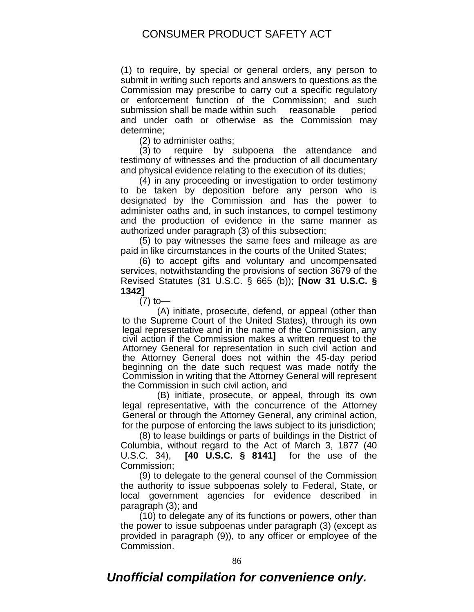(1) to require, by special or general orders, any person to submit in writing such reports and answers to questions as the Commission may prescribe to carry out a specific regulatory or enforcement function of the Commission; and such submission shall be made within such reasonable period and under oath or otherwise as the Commission may determine;

(2) to administer oaths;

(3) to require by subpoena the attendance and testimony of witnesses and the production of all documentary and physical evidence relating to the execution of its duties;

(4) in any proceeding or investigation to order testimony to be taken by deposition before any person who is designated by the Commission and has the power to administer oaths and, in such instances, to compel testimony and the production of evidence in the same manner as authorized under paragraph (3) of this subsection;

(5) to pay witnesses the same fees and mileage as are paid in like circumstances in the courts of the United States;

(6) to accept gifts and voluntary and uncompensated services, notwithstanding the provisions of section 3679 of the Revised Statutes (31 U.S.C. § 665 (b)); **[Now 31 U.S.C. § 1342]**

(7) to—

(A) initiate, prosecute, defend, or appeal (other than to the Supreme Court of the United States), through its own legal representative and in the name of the Commission, any civil action if the Commission makes a written request to the Attorney General for representation in such civil action and the Attorney General does not within the 45-day period beginning on the date such request was made notify the Commission in writing that the Attorney General will represent the Commission in such civil action, and

(B) initiate, prosecute, or appeal, through its own legal representative, with the concurrence of the Attorney General or through the Attorney General, any criminal action, for the purpose of enforcing the laws subject to its jurisdiction;

(8) to lease buildings or parts of buildings in the District of Columbia, without regard to the Act of March 3, 1877 (40 U.S.C. 34), **[40 U.S.C. § 8141]** for the use of the Commission;

(9) to delegate to the general counsel of the Commission the authority to issue subpoenas solely to Federal, State, or local government agencies for evidence described in paragraph (3); and

(10) to delegate any of its functions or powers, other than the power to issue subpoenas under paragraph (3) (except as provided in paragraph (9)), to any officer or employee of the Commission.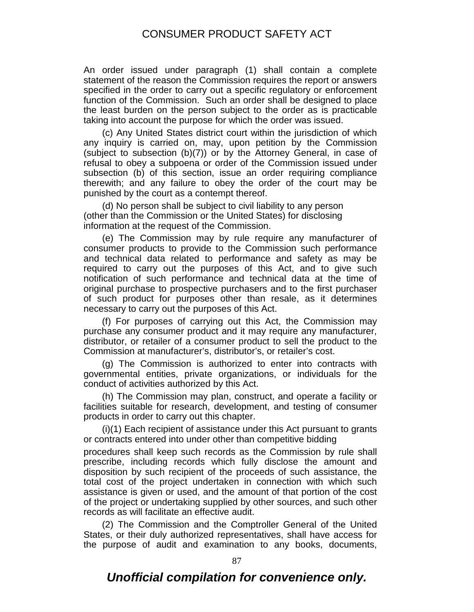An order issued under paragraph (1) shall contain a complete statement of the reason the Commission requires the report or answers specified in the order to carry out a specific regulatory or enforcement function of the Commission. Such an order shall be designed to place the least burden on the person subject to the order as is practicable taking into account the purpose for which the order was issued.

(c) Any United States district court within the jurisdiction of which any inquiry is carried on, may, upon petition by the Commission (subject to subsection (b)(7)) or by the Attorney General, in case of refusal to obey a subpoena or order of the Commission issued under subsection (b) of this section, issue an order requiring compliance therewith; and any failure to obey the order of the court may be punished by the court as a contempt thereof.

(d) No person shall be subject to civil liability to any person (other than the Commission or the United States) for disclosing information at the request of the Commission.

(e) The Commission may by rule require any manufacturer of consumer products to provide to the Commission such performance and technical data related to performance and safety as may be required to carry out the purposes of this Act, and to give such notification of such performance and technical data at the time of original purchase to prospective purchasers and to the first purchaser of such product for purposes other than resale, as it determines necessary to carry out the purposes of this Act.

(f) For purposes of carrying out this Act, the Commission may purchase any consumer product and it may require any manufacturer, distributor, or retailer of a consumer product to sell the product to the Commission at manufacturer's, distributor's, or retailer's cost.

(g) The Commission is authorized to enter into contracts with governmental entities, private organizations, or individuals for the conduct of activities authorized by this Act.

(h) The Commission may plan, construct, and operate a facility or facilities suitable for research, development, and testing of consumer products in order to carry out this chapter.

(i)(1) Each recipient of assistance under this Act pursuant to grants or contracts entered into under other than competitive bidding

procedures shall keep such records as the Commission by rule shall prescribe, including records which fully disclose the amount and disposition by such recipient of the proceeds of such assistance, the total cost of the project undertaken in connection with which such assistance is given or used, and the amount of that portion of the cost of the project or undertaking supplied by other sources, and such other records as will facilitate an effective audit.

(2) The Commission and the Comptroller General of the United States, or their duly authorized representatives, shall have access for the purpose of audit and examination to any books, documents,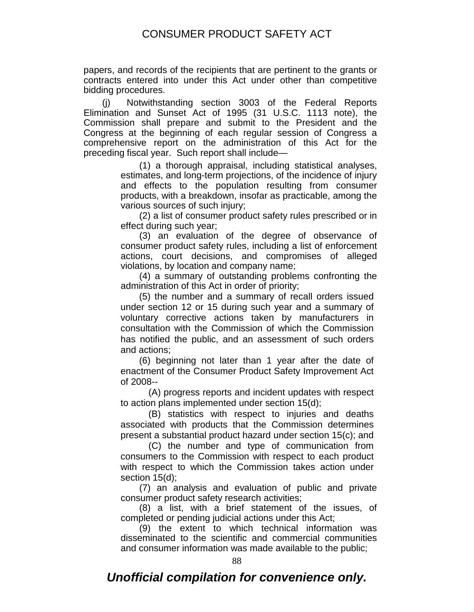papers, and records of the recipients that are pertinent to the grants or contracts entered into under this Act under other than competitive bidding procedures.

(j) Notwithstanding section 3003 of the Federal Reports Elimination and Sunset Act of 1995 (31 U.S.C. 1113 note), the Commission shall prepare and submit to the President and the Congress at the beginning of each regular session of Congress a comprehensive report on the administration of this Act for the preceding fiscal year. Such report shall include—

> (1) a thorough appraisal, including statistical analyses, estimates, and long-term projections, of the incidence of injury and effects to the population resulting from consumer products, with a breakdown, insofar as practicable, among the various sources of such injury;

> (2) a list of consumer product safety rules prescribed or in effect during such year;

> (3) an evaluation of the degree of observance of consumer product safety rules, including a list of enforcement actions, court decisions, and compromises of alleged violations, by location and company name;

> (4) a summary of outstanding problems confronting the administration of this Act in order of priority;

> (5) the number and a summary of recall orders issued under section 12 or 15 during such year and a summary of voluntary corrective actions taken by manufacturers in consultation with the Commission of which the Commission has notified the public, and an assessment of such orders and actions;

> (6) beginning not later than 1 year after the date of enactment of the Consumer Product Safety Improvement Act of 2008--

> (A) progress reports and incident updates with respect to action plans implemented under section 15(d);

> (B) statistics with respect to injuries and deaths associated with products that the Commission determines present a substantial product hazard under section 15(c); and

> (C) the number and type of communication from consumers to the Commission with respect to each product with respect to which the Commission takes action under section 15(d);

> (7) an analysis and evaluation of public and private consumer product safety research activities;

> (8) a list, with a brief statement of the issues, of completed or pending judicial actions under this Act;

> (9) the extent to which technical information was disseminated to the scientific and commercial communities and consumer information was made available to the public;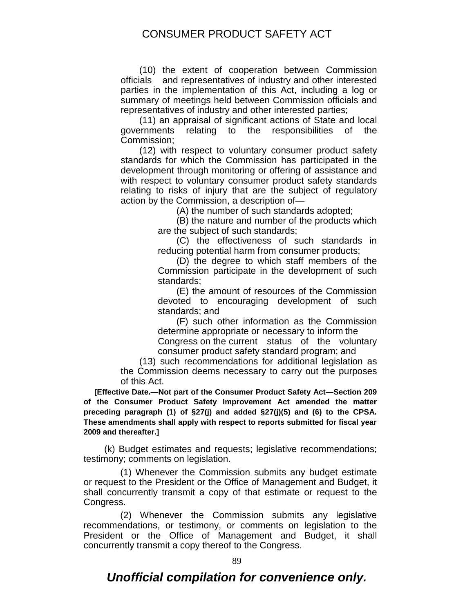(10) the extent of cooperation between Commission officials and representatives of industry and other interested parties in the implementation of this Act, including a log or summary of meetings held between Commission officials and representatives of industry and other interested parties;

(11) an appraisal of significant actions of State and local governments relating to the responsibilities of the Commission;

(12) with respect to voluntary consumer product safety standards for which the Commission has participated in the development through monitoring or offering of assistance and with respect to voluntary consumer product safety standards relating to risks of injury that are the subject of regulatory action by the Commission, a description of—

(A) the number of such standards adopted;

(B) the nature and number of the products which are the subject of such standards;

(C) the effectiveness of such standards in reducing potential harm from consumer products;

(D) the degree to which staff members of the Commission participate in the development of such standards;

(E) the amount of resources of the Commission devoted to encouraging development of such standards; and

(F) such other information as the Commission determine appropriate or necessary to inform the

Congress on the current status of the voluntary consumer product safety standard program; and

(13) such recommendations for additional legislation as the Commission deems necessary to carry out the purposes of this Act.

**[Effective Date.—Not part of the Consumer Product Safety Act—Section 209 of the Consumer Product Safety Improvement Act amended the matter preceding paragraph (1) of §27(j) and added §27(j)(5) and (6) to the CPSA. These amendments shall apply with respect to reports submitted for fiscal year 2009 and thereafter.]**

(k) Budget estimates and requests; legislative recommendations; testimony; comments on legislation.

 (1) Whenever the Commission submits any budget estimate or request to the President or the Office of Management and Budget, it shall concurrently transmit a copy of that estimate or request to the Congress.

 (2) Whenever the Commission submits any legislative recommendations, or testimony, or comments on legislation to the President or the Office of Management and Budget, it shall concurrently transmit a copy thereof to the Congress.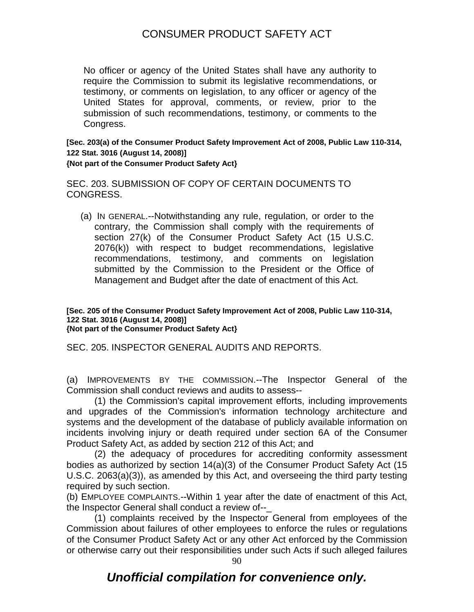No officer or agency of the United States shall have any authority to require the Commission to submit its legislative recommendations, or testimony, or comments on legislation, to any officer or agency of the United States for approval, comments, or review, prior to the submission of such recommendations, testimony, or comments to the Congress.

**[Sec. 203(a) of the Consumer Product Safety Improvement Act of 2008, Public Law 110-314, 122 Stat. 3016 (August 14, 2008)] {Not part of the Consumer Product Safety Act}**

SEC. 203. SUBMISSION OF COPY OF CERTAIN DOCUMENTS TO CONGRESS.

(a) IN GENERAL.--Notwithstanding any rule, regulation, or order to the contrary, the Commission shall comply with the requirements of section 27(k) of the Consumer Product Safety Act (15 U.S.C. 2076(k)) with respect to budget recommendations, legislative recommendations, testimony, and comments on legislation submitted by the Commission to the President or the Office of Management and Budget after the date of enactment of this Act.

**[Sec. 205 of the Consumer Product Safety Improvement Act of 2008, Public Law 110-314, 122 Stat. 3016 (August 14, 2008)] {Not part of the Consumer Product Safety Act}**

SEC. 205. INSPECTOR GENERAL AUDITS AND REPORTS.

(a) IMPROVEMENTS BY THE COMMISSION.--The Inspector General of the Commission shall conduct reviews and audits to assess--

(1) the Commission's capital improvement efforts, including improvements and upgrades of the Commission's information technology architecture and systems and the development of the database of publicly available information on incidents involving injury or death required under section 6A of the Consumer Product Safety Act, as added by section 212 of this Act; and

(2) the adequacy of procedures for accrediting conformity assessment bodies as authorized by section 14(a)(3) of the Consumer Product Safety Act (15 U.S.C. 2063(a)(3)), as amended by this Act, and overseeing the third party testing required by such section.

(b) EMPLOYEE COMPLAINTS.--Within 1 year after the date of enactment of this Act, the Inspector General shall conduct a review of--

(1) complaints received by the Inspector General from employees of the Commission about failures of other employees to enforce the rules or regulations of the Consumer Product Safety Act or any other Act enforced by the Commission or otherwise carry out their responsibilities under such Acts if such alleged failures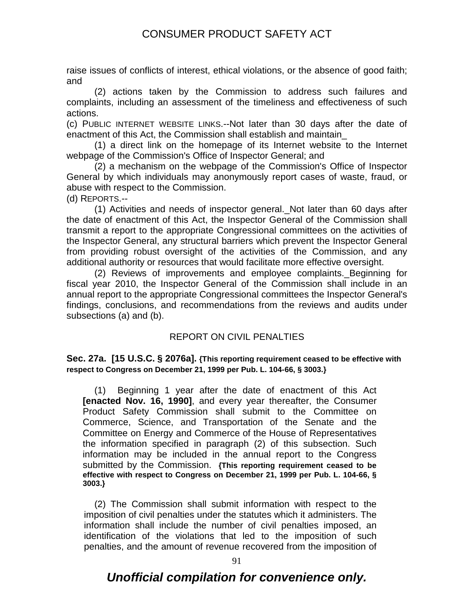raise issues of conflicts of interest, ethical violations, or the absence of good faith; and

(2) actions taken by the Commission to address such failures and complaints, including an assessment of the timeliness and effectiveness of such actions.

(c) PUBLIC INTERNET WEBSITE LINKS.--Not later than 30 days after the date of enactment of this Act, the Commission shall establish and maintain\_

(1) a direct link on the homepage of its Internet website to the Internet webpage of the Commission's Office of Inspector General; and

(2) a mechanism on the webpage of the Commission's Office of Inspector General by which individuals may anonymously report cases of waste, fraud, or abuse with respect to the Commission.

(d) REPORTS.--

(1) Activities and needs of inspector general.\_Not later than 60 days after the date of enactment of this Act, the Inspector General of the Commission shall transmit a report to the appropriate Congressional committees on the activities of the Inspector General, any structural barriers which prevent the Inspector General from providing robust oversight of the activities of the Commission, and any additional authority or resources that would facilitate more effective oversight.

(2) Reviews of improvements and employee complaints.\_Beginning for fiscal year 2010, the Inspector General of the Commission shall include in an annual report to the appropriate Congressional committees the Inspector General's findings, conclusions, and recommendations from the reviews and audits under subsections (a) and (b).

## REPORT ON CIVIL PENALTIES

### **Sec. 27a. [15 U.S.C. § 2076a]. {This reporting requirement ceased to be effective with respect to Congress on December 21, 1999 per Pub. L. 104-66, § 3003.}**

(1) Beginning 1 year after the date of enactment of this Act **[enacted Nov. 16, 1990]**, and every year thereafter, the Consumer Product Safety Commission shall submit to the Committee on Commerce, Science, and Transportation of the Senate and the Committee on Energy and Commerce of the House of Representatives the information specified in paragraph (2) of this subsection. Such information may be included in the annual report to the Congress submitted by the Commission. **{This reporting requirement ceased to be effective with respect to Congress on December 21, 1999 per Pub. L. 104-66, § 3003.}**

(2) The Commission shall submit information with respect to the imposition of civil penalties under the statutes which it administers. The information shall include the number of civil penalties imposed, an identification of the violations that led to the imposition of such penalties, and the amount of revenue recovered from the imposition of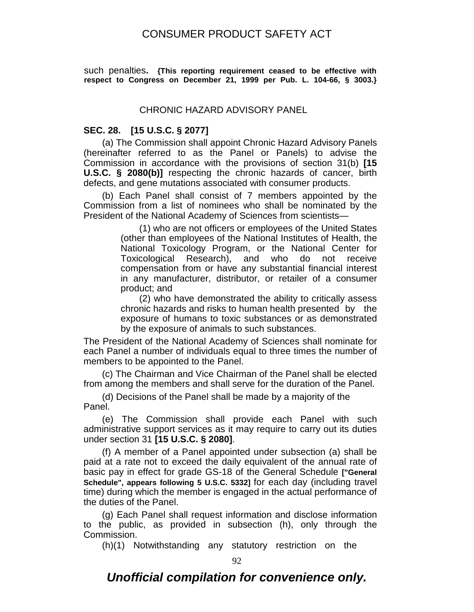such penalties**. {This reporting requirement ceased to be effective with respect to Congress on December 21, 1999 per Pub. L. 104-66, § 3003.}**

### CHRONIC HAZARD ADVISORY PANEL

### **SEC. 28. [15 U.S.C. § 2077]**

(a) The Commission shall appoint Chronic Hazard Advisory Panels (hereinafter referred to as the Panel or Panels) to advise the Commission in accordance with the provisions of section 31(b) **[15 U.S.C. § 2080(b)]** respecting the chronic hazards of cancer, birth defects, and gene mutations associated with consumer products.

(b) Each Panel shall consist of 7 members appointed by the Commission from a list of nominees who shall be nominated by the President of the National Academy of Sciences from scientists—

> (1) who are not officers or employees of the United States (other than employees of the National Institutes of Health, the National Toxicology Program, or the National Center for Toxicological Research), and who do not receive compensation from or have any substantial financial interest in any manufacturer, distributor, or retailer of a consumer product; and

> (2) who have demonstrated the ability to critically assess chronic hazards and risks to human health presented by the exposure of humans to toxic substances or as demonstrated by the exposure of animals to such substances.

The President of the National Academy of Sciences shall nominate for each Panel a number of individuals equal to three times the number of members to be appointed to the Panel.

(c) The Chairman and Vice Chairman of the Panel shall be elected from among the members and shall serve for the duration of the Panel.

(d) Decisions of the Panel shall be made by a majority of the Panel.

(e) The Commission shall provide each Panel with such administrative support services as it may require to carry out its duties under section 31 **[15 U.S.C. § 2080]**.

(f) A member of a Panel appointed under subsection (a) shall be paid at a rate not to exceed the daily equivalent of the annual rate of basic pay in effect for grade GS-18 of the General Schedule **["General Schedule", appears following 5 U.S.C. 5332]** for each day (including travel time) during which the member is engaged in the actual performance of the duties of the Panel.

(g) Each Panel shall request information and disclose information to the public, as provided in subsection (h), only through the Commission.

(h)(1) Notwithstanding any statutory restriction on the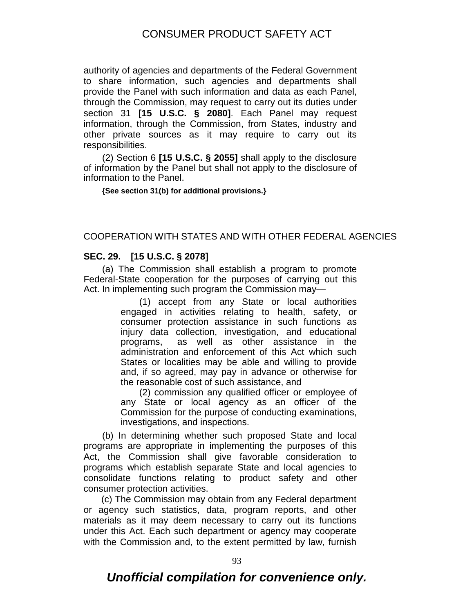authority of agencies and departments of the Federal Government to share information, such agencies and departments shall provide the Panel with such information and data as each Panel, through the Commission, may request to carry out its duties under section 31 **[15 U.S.C. § 2080]**. Each Panel may request information, through the Commission, from States, industry and other private sources as it may require to carry out its responsibilities.

(2) Section 6 **[15 U.S.C. § 2055]** shall apply to the disclosure of information by the Panel but shall not apply to the disclosure of information to the Panel.

**{See section 31(b) for additional provisions.}**

### COOPERATION WITH STATES AND WITH OTHER FEDERAL AGENCIES

### **SEC. 29. [15 U.S.C. § 2078]**

(a) The Commission shall establish a program to promote Federal-State cooperation for the purposes of carrying out this Act. In implementing such program the Commission may—

> (1) accept from any State or local authorities engaged in activities relating to health, safety, or consumer protection assistance in such functions as injury data collection, investigation, and educational programs, as well as other assistance in the administration and enforcement of this Act which such States or localities may be able and willing to provide and, if so agreed, may pay in advance or otherwise for the reasonable cost of such assistance, and

> (2) commission any qualified officer or employee of any State or local agency as an officer of the Commission for the purpose of conducting examinations, investigations, and inspections.

(b) In determining whether such proposed State and local programs are appropriate in implementing the purposes of this Act, the Commission shall give favorable consideration to programs which establish separate State and local agencies to consolidate functions relating to product safety and other consumer protection activities.

(c) The Commission may obtain from any Federal department or agency such statistics, data, program reports, and other materials as it may deem necessary to carry out its functions under this Act. Each such department or agency may cooperate with the Commission and, to the extent permitted by law, furnish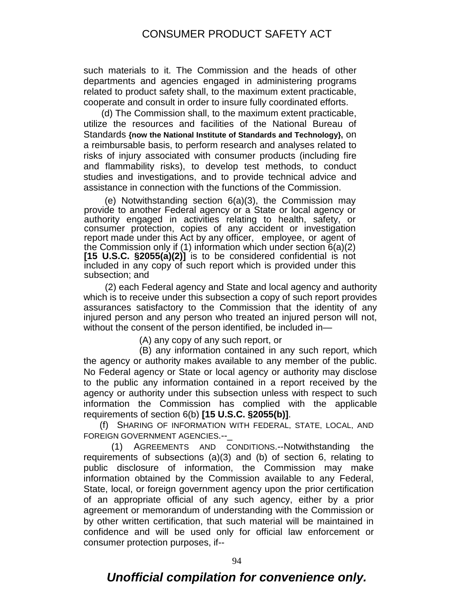such materials to it. The Commission and the heads of other departments and agencies engaged in administering programs related to product safety shall, to the maximum extent practicable, cooperate and consult in order to insure fully coordinated efforts.

(d) The Commission shall, to the maximum extent practicable, utilize the resources and facilities of the National Bureau of Standards **{now the National Institute of Standards and Technology},** on a reimbursable basis, to perform research and analyses related to risks of injury associated with consumer products (including fire and flammability risks), to develop test methods, to conduct studies and investigations, and to provide technical advice and assistance in connection with the functions of the Commission.

(e) Notwithstanding section 6(a)(3), the Commission may provide to another Federal agency or a State or local agency or authority engaged in activities relating to health, safety, or consumer protection, copies of any accident or investigation report made under this Act by any officer, employee, or agent of the Commission only if (1) information which under section 6(a)(2) **[15 U.S.C. §2055(a)(2)]** is to be considered confidential is not included in any copy of such report which is provided under this subsection; and

(2) each Federal agency and State and local agency and authority which is to receive under this subsection a copy of such report provides assurances satisfactory to the Commission that the identity of any injured person and any person who treated an injured person will not, without the consent of the person identified, be included in—

(A) any copy of any such report, or

(B) any information contained in any such report, which the agency or authority makes available to any member of the public. No Federal agency or State or local agency or authority may disclose to the public any information contained in a report received by the agency or authority under this subsection unless with respect to such information the Commission has complied with the applicable requirements of section 6(b) **[15 U.S.C. §2055(b)]**.

 (f) SHARING OF INFORMATION WITH FEDERAL, STATE, LOCAL, AND FOREIGN GOVERNMENT AGENCIES.--

(1) AGREEMENTS AND CONDITIONS.--Notwithstanding the requirements of subsections (a)(3) and (b) of section 6, relating to public disclosure of information, the Commission may make information obtained by the Commission available to any Federal, State, local, or foreign government agency upon the prior certification of an appropriate official of any such agency, either by a prior agreement or memorandum of understanding with the Commission or by other written certification, that such material will be maintained in confidence and will be used only for official law enforcement or consumer protection purposes, if--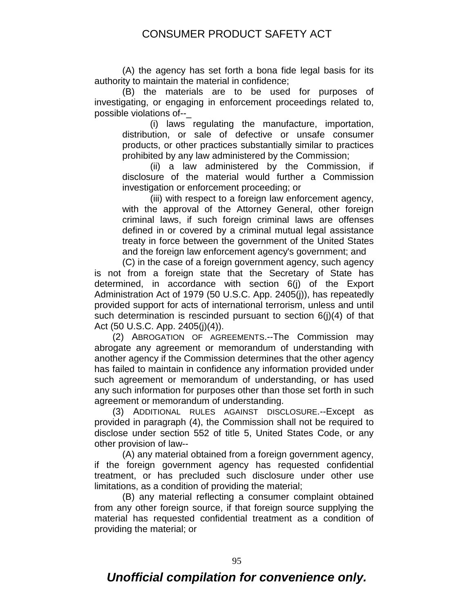(A) the agency has set forth a bona fide legal basis for its authority to maintain the material in confidence;

(B) the materials are to be used for purposes of investigating, or engaging in enforcement proceedings related to, possible violations of--\_

(i) laws regulating the manufacture, importation, distribution, or sale of defective or unsafe consumer products, or other practices substantially similar to practices prohibited by any law administered by the Commission;

(ii) a law administered by the Commission, if disclosure of the material would further a Commission investigation or enforcement proceeding; or

(iii) with respect to a foreign law enforcement agency, with the approval of the Attorney General, other foreign criminal laws, if such foreign criminal laws are offenses defined in or covered by a criminal mutual legal assistance treaty in force between the government of the United States and the foreign law enforcement agency's government; and

(C) in the case of a foreign government agency, such agency is not from a foreign state that the Secretary of State has determined, in accordance with section 6(j) of the Export Administration Act of 1979 (50 U.S.C. App. 2405(j)), has repeatedly provided support for acts of international terrorism, unless and until such determination is rescinded pursuant to section 6(j)(4) of that Act (50 U.S.C. App. 2405(j)(4)).

 (2) ABROGATION OF AGREEMENTS.--The Commission may abrogate any agreement or memorandum of understanding with another agency if the Commission determines that the other agency has failed to maintain in confidence any information provided under such agreement or memorandum of understanding, or has used any such information for purposes other than those set forth in such agreement or memorandum of understanding.

 (3) ADDITIONAL RULES AGAINST DISCLOSURE.--Except as provided in paragraph (4), the Commission shall not be required to disclose under section 552 of title 5, United States Code, or any other provision of law--

(A) any material obtained from a foreign government agency, if the foreign government agency has requested confidential treatment, or has precluded such disclosure under other use limitations, as a condition of providing the material;

(B) any material reflecting a consumer complaint obtained from any other foreign source, if that foreign source supplying the material has requested confidential treatment as a condition of providing the material; or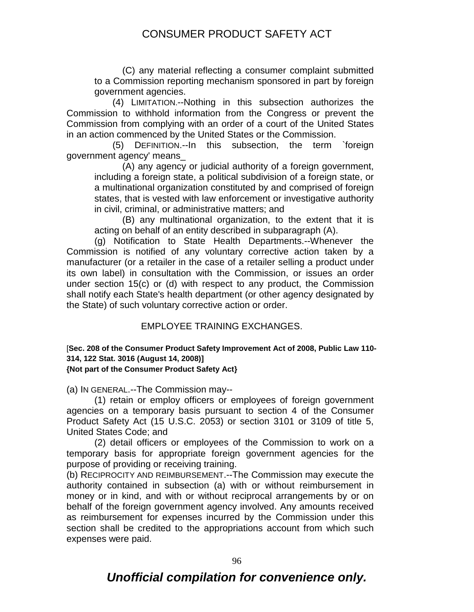(C) any material reflecting a consumer complaint submitted to a Commission reporting mechanism sponsored in part by foreign government agencies.

 (4) LIMITATION.--Nothing in this subsection authorizes the Commission to withhold information from the Congress or prevent the Commission from complying with an order of a court of the United States in an action commenced by the United States or the Commission.

 (5) DEFINITION.--In this subsection, the term `foreign government agency' means\_

(A) any agency or judicial authority of a foreign government, including a foreign state, a political subdivision of a foreign state, or a multinational organization constituted by and comprised of foreign states, that is vested with law enforcement or investigative authority in civil, criminal, or administrative matters; and

(B) any multinational organization, to the extent that it is acting on behalf of an entity described in subparagraph (A).

(g) Notification to State Health Departments.--Whenever the Commission is notified of any voluntary corrective action taken by a manufacturer (or a retailer in the case of a retailer selling a product under its own label) in consultation with the Commission, or issues an order under section 15(c) or (d) with respect to any product, the Commission shall notify each State's health department (or other agency designated by the State) of such voluntary corrective action or order.

### EMPLOYEE TRAINING EXCHANGES.

[**Sec. 208 of the Consumer Product Safety Improvement Act of 2008, Public Law 110- 314, 122 Stat. 3016 (August 14, 2008)] {Not part of the Consumer Product Safety Act}**

(a) IN GENERAL.--The Commission may--

(1) retain or employ officers or employees of foreign government agencies on a temporary basis pursuant to section 4 of the Consumer Product Safety Act (15 U.S.C. 2053) or section 3101 or 3109 of title 5, United States Code; and

(2) detail officers or employees of the Commission to work on a temporary basis for appropriate foreign government agencies for the purpose of providing or receiving training.

(b) RECIPROCITY AND REIMBURSEMENT.--The Commission may execute the authority contained in subsection (a) with or without reimbursement in money or in kind, and with or without reciprocal arrangements by or on behalf of the foreign government agency involved. Any amounts received as reimbursement for expenses incurred by the Commission under this section shall be credited to the appropriations account from which such expenses were paid.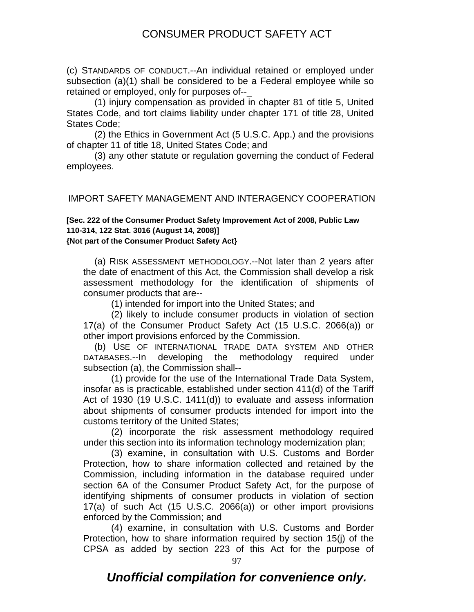(c) STANDARDS OF CONDUCT.--An individual retained or employed under subsection (a)(1) shall be considered to be a Federal employee while so retained or employed, only for purposes of--

(1) injury compensation as provided in chapter 81 of title 5, United States Code, and tort claims liability under chapter 171 of title 28, United States Code;

(2) the Ethics in Government Act (5 U.S.C. App.) and the provisions of chapter 11 of title 18, United States Code; and

(3) any other statute or regulation governing the conduct of Federal employees.

### IMPORT SAFETY MANAGEMENT AND INTERAGENCY COOPERATION

### **[Sec. 222 of the Consumer Product Safety Improvement Act of 2008, Public Law 110-314, 122 Stat. 3016 (August 14, 2008)] {Not part of the Consumer Product Safety Act}**

(a) RISK ASSESSMENT METHODOLOGY.--Not later than 2 years after the date of enactment of this Act, the Commission shall develop a risk assessment methodology for the identification of shipments of consumer products that are--

(1) intended for import into the United States; and

(2) likely to include consumer products in violation of section 17(a) of the Consumer Product Safety Act (15 U.S.C. 2066(a)) or other import provisions enforced by the Commission.

(b) USE OF INTERNATIONAL TRADE DATA SYSTEM AND OTHER DATABASES.--In developing the methodology required under subsection (a), the Commission shall--

(1) provide for the use of the International Trade Data System, insofar as is practicable, established under section 411(d) of the Tariff Act of 1930 (19 U.S.C. 1411(d)) to evaluate and assess information about shipments of consumer products intended for import into the customs territory of the United States;

(2) incorporate the risk assessment methodology required under this section into its information technology modernization plan;

(3) examine, in consultation with U.S. Customs and Border Protection, how to share information collected and retained by the Commission, including information in the database required under section 6A of the Consumer Product Safety Act, for the purpose of identifying shipments of consumer products in violation of section 17(a) of such Act (15 U.S.C. 2066(a)) or other import provisions enforced by the Commission; and

(4) examine, in consultation with U.S. Customs and Border Protection, how to share information required by section 15(j) of the CPSA as added by section 223 of this Act for the purpose of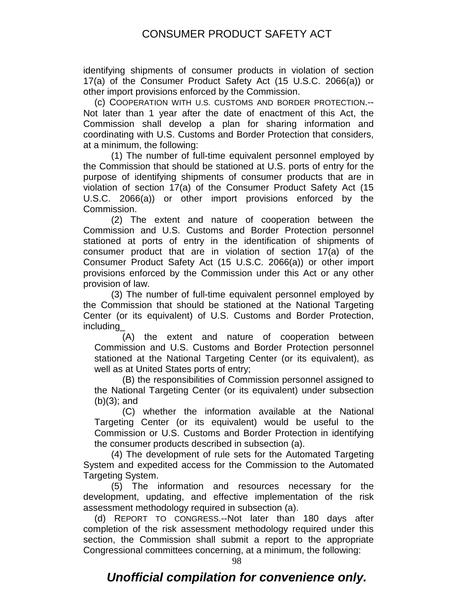identifying shipments of consumer products in violation of section 17(a) of the Consumer Product Safety Act (15 U.S.C. 2066(a)) or other import provisions enforced by the Commission.

(c) COOPERATION WITH U.S. CUSTOMS AND BORDER PROTECTION.-- Not later than 1 year after the date of enactment of this Act, the Commission shall develop a plan for sharing information and coordinating with U.S. Customs and Border Protection that considers, at a minimum, the following:

(1) The number of full-time equivalent personnel employed by the Commission that should be stationed at U.S. ports of entry for the purpose of identifying shipments of consumer products that are in violation of section 17(a) of the Consumer Product Safety Act (15 U.S.C. 2066(a)) or other import provisions enforced by the Commission.

(2) The extent and nature of cooperation between the Commission and U.S. Customs and Border Protection personnel stationed at ports of entry in the identification of shipments of consumer product that are in violation of section 17(a) of the Consumer Product Safety Act (15 U.S.C. 2066(a)) or other import provisions enforced by the Commission under this Act or any other provision of law.

(3) The number of full-time equivalent personnel employed by the Commission that should be stationed at the National Targeting Center (or its equivalent) of U.S. Customs and Border Protection, including\_

(A) the extent and nature of cooperation between Commission and U.S. Customs and Border Protection personnel stationed at the National Targeting Center (or its equivalent), as well as at United States ports of entry;

(B) the responsibilities of Commission personnel assigned to the National Targeting Center (or its equivalent) under subsection (b)(3); and

(C) whether the information available at the National Targeting Center (or its equivalent) would be useful to the Commission or U.S. Customs and Border Protection in identifying the consumer products described in subsection (a).

(4) The development of rule sets for the Automated Targeting System and expedited access for the Commission to the Automated Targeting System.

(5) The information and resources necessary for the development, updating, and effective implementation of the risk assessment methodology required in subsection (a).

(d) REPORT TO CONGRESS.--Not later than 180 days after completion of the risk assessment methodology required under this section, the Commission shall submit a report to the appropriate Congressional committees concerning, at a minimum, the following: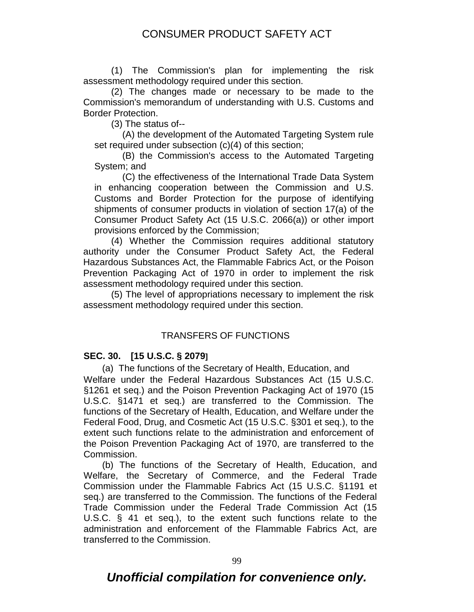(1) The Commission's plan for implementing the risk assessment methodology required under this section.

(2) The changes made or necessary to be made to the Commission's memorandum of understanding with U.S. Customs and Border Protection.

(3) The status of--

(A) the development of the Automated Targeting System rule set required under subsection (c)(4) of this section;

(B) the Commission's access to the Automated Targeting System; and

(C) the effectiveness of the International Trade Data System in enhancing cooperation between the Commission and U.S. Customs and Border Protection for the purpose of identifying shipments of consumer products in violation of section 17(a) of the Consumer Product Safety Act (15 U.S.C. 2066(a)) or other import provisions enforced by the Commission;

(4) Whether the Commission requires additional statutory authority under the Consumer Product Safety Act, the Federal Hazardous Substances Act, the Flammable Fabrics Act, or the Poison Prevention Packaging Act of 1970 in order to implement the risk assessment methodology required under this section.

(5) The level of appropriations necessary to implement the risk assessment methodology required under this section.

### TRANSFERS OF FUNCTIONS

### **SEC. 30. [15 U.S.C. § 2079]**

(a) The functions of the Secretary of Health, Education, and Welfare under the Federal Hazardous Substances Act (15 U.S.C. §1261 et seq.) and the Poison Prevention Packaging Act of 1970 (15 U.S.C. §1471 et seq.) are transferred to the Commission. The functions of the Secretary of Health, Education, and Welfare under the Federal Food, Drug, and Cosmetic Act (15 U.S.C. §301 et seq.), to the extent such functions relate to the administration and enforcement of the Poison Prevention Packaging Act of 1970, are transferred to the Commission.

(b) The functions of the Secretary of Health, Education, and Welfare, the Secretary of Commerce, and the Federal Trade Commission under the Flammable Fabrics Act (15 U.S.C. §1191 et seq.) are transferred to the Commission. The functions of the Federal Trade Commission under the Federal Trade Commission Act (15 U.S.C. § 41 et seq.), to the extent such functions relate to the administration and enforcement of the Flammable Fabrics Act, are transferred to the Commission.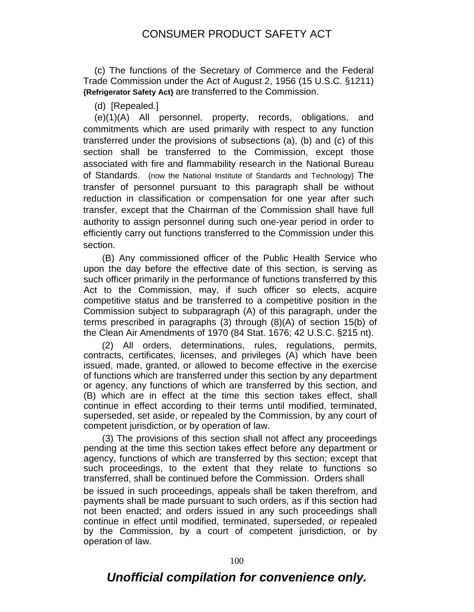(c) The functions of the Secretary of Commerce and the Federal Trade Commission under the Act of August 2, 1956 (15 U.S.C. §1211) **{Refrigerator Safety Act}** are transferred to the Commission.

(d) [Repealed.]

(e)(1)(A) All personnel, property, records, obligations, and commitments which are used primarily with respect to any function transferred under the provisions of subsections (a), (b) and (c) of this section shall be transferred to the Commission, except those associated with fire and flammability research in the National Bureau of Standards. {now the National Institute of Standards and Technology} The transfer of personnel pursuant to this paragraph shall be without reduction in classification or compensation for one year after such transfer, except that the Chairman of the Commission shall have full authority to assign personnel during such one-year period in order to efficiently carry out functions transferred to the Commission under this section.

(B) Any commissioned officer of the Public Health Service who upon the day before the effective date of this section, is serving as such officer primarily in the performance of functions transferred by this Act to the Commission, may, if such officer so elects, acquire competitive status and be transferred to a competitive position in the Commission subject to subparagraph (A) of this paragraph, under the terms prescribed in paragraphs (3) through (8)(A) of section 15(b) of the Clean Air Amendments of 1970 (84 Stat. 1676; 42 U.S.C. §215 nt).

(2) All orders, determinations, rules, regulations, permits, contracts, certificates, licenses, and privileges (A) which have been issued, made, granted, or allowed to become effective in the exercise of functions which are transferred under this section by any department or agency, any functions of which are transferred by this section, and (B) which are in effect at the time this section takes effect, shall continue in effect according to their terms until modified, terminated, superseded, set aside, or repealed by the Commission, by any court of competent jurisdiction, or by operation of law.

(3) The provisions of this section shall not affect any proceedings pending at the time this section takes effect before any department or agency, functions of which are transferred by this section; except that such proceedings, to the extent that they relate to functions so transferred, shall be continued before the Commission. Orders shall

be issued in such proceedings, appeals shall be taken therefrom, and payments shall be made pursuant to such orders, as if this section had not been enacted; and orders issued in any such proceedings shall continue in effect until modified, terminated, superseded, or repealed by the Commission, by a court of competent jurisdiction, or by operation of law.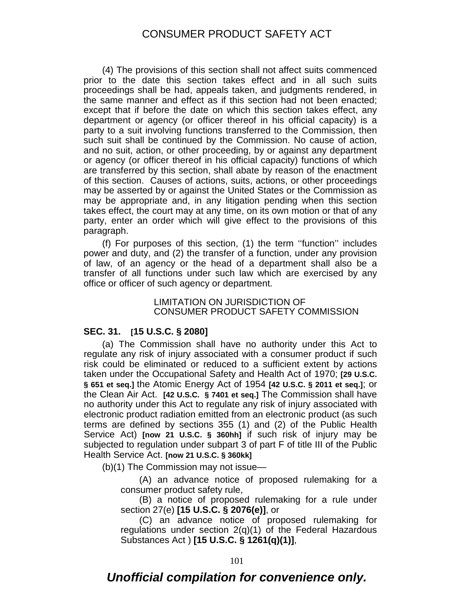(4) The provisions of this section shall not affect suits commenced prior to the date this section takes effect and in all such suits proceedings shall be had, appeals taken, and judgments rendered, in the same manner and effect as if this section had not been enacted; except that if before the date on which this section takes effect, any department or agency (or officer thereof in his official capacity) is a party to a suit involving functions transferred to the Commission, then such suit shall be continued by the Commission. No cause of action, and no suit, action, or other proceeding, by or against any department or agency (or officer thereof in his official capacity) functions of which are transferred by this section, shall abate by reason of the enactment of this section. Causes of actions, suits, actions, or other proceedings may be asserted by or against the United States or the Commission as may be appropriate and, in any litigation pending when this section takes effect, the court may at any time, on its own motion or that of any party, enter an order which will give effect to the provisions of this paragraph.

(f) For purposes of this section, (1) the term ''function'' includes power and duty, and (2) the transfer of a function, under any provision of law, of an agency or the head of a department shall also be a transfer of all functions under such law which are exercised by any office or officer of such agency or department.

### LIMITATION ON JURISDICTION OF CONSUMER PRODUCT SAFETY COMMISSION

### **SEC. 31. [15 U.S.C. § 2080]**

(a) The Commission shall have no authority under this Act to regulate any risk of injury associated with a consumer product if such risk could be eliminated or reduced to a sufficient extent by actions taken under the Occupational Safety and Health Act of 1970; **[29 U.S.C. § 651 et seq.]** the Atomic Energy Act of 1954 **[42 U.S.C. § 2011 et seq.]**; or the Clean Air Act. **[42 U.S.C. § 7401 et seq.]** The Commission shall have no authority under this Act to regulate any risk of injury associated with electronic product radiation emitted from an electronic product (as such terms are defined by sections 355 (1) and (2) of the Public Health Service Act) **[now 21 U.S.C. § 360hh]** if such risk of injury may be subjected to regulation under subpart 3 of part F of title III of the Public Health Service Act. **[now 21 U.S.C. § 360kk]**

(b)(1) The Commission may not issue—

(A) an advance notice of proposed rulemaking for a consumer product safety rule,

(B) a notice of proposed rulemaking for a rule under section 27(e) **[15 U.S.C. § 2076(e)]**, or

(C) an advance notice of proposed rulemaking for regulations under section  $2(q)(1)$  of the Federal Hazardous Substances Act ) **[15 U.S.C. § 1261(q)(1)]**,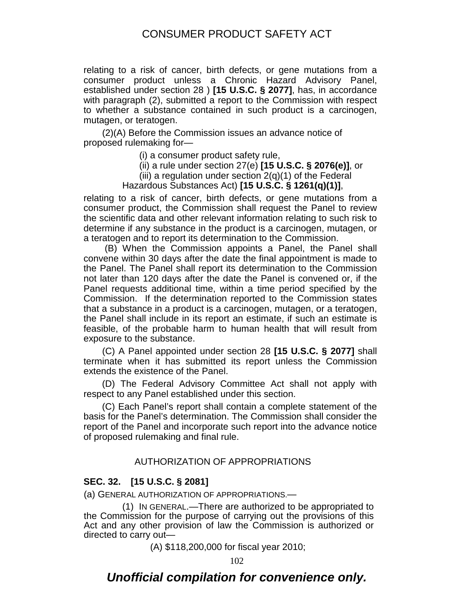relating to a risk of cancer, birth defects, or gene mutations from a consumer product unless a Chronic Hazard Advisory Panel, established under section 28 ) **[15 U.S.C. § 2077]**, has, in accordance with paragraph (2), submitted a report to the Commission with respect to whether a substance contained in such product is a carcinogen, mutagen, or teratogen.

(2)(A) Before the Commission issues an advance notice of proposed rulemaking for—

(i) a consumer product safety rule,

(ii) a rule under section 27(e) **[15 U.S.C. § 2076(e)]**, or

(iii) a regulation under section  $2(q)(1)$  of the Federal

### Hazardous Substances Act) **[15 U.S.C. § 1261(q)(1)]**,

relating to a risk of cancer, birth defects, or gene mutations from a consumer product, the Commission shall request the Panel to review the scientific data and other relevant information relating to such risk to determine if any substance in the product is a carcinogen, mutagen, or a teratogen and to report its determination to the Commission.

(B) When the Commission appoints a Panel, the Panel shall convene within 30 days after the date the final appointment is made to the Panel. The Panel shall report its determination to the Commission not later than 120 days after the date the Panel is convened or, if the Panel requests additional time, within a time period specified by the Commission. If the determination reported to the Commission states that a substance in a product is a carcinogen, mutagen, or a teratogen, the Panel shall include in its report an estimate, if such an estimate is feasible, of the probable harm to human health that will result from exposure to the substance.

(C) A Panel appointed under section 28 **[15 U.S.C. § 2077]** shall terminate when it has submitted its report unless the Commission extends the existence of the Panel.

(D) The Federal Advisory Committee Act shall not apply with respect to any Panel established under this section.

(C) Each Panel's report shall contain a complete statement of the basis for the Panel's determination. The Commission shall consider the report of the Panel and incorporate such report into the advance notice of proposed rulemaking and final rule.

### AUTHORIZATION OF APPROPRIATIONS

### **SEC. 32. [15 U.S.C. § 2081]**

(a) GENERAL AUTHORIZATION OF APPROPRIATIONS.—

(1) IN GENERAL.—There are authorized to be appropriated to the Commission for the purpose of carrying out the provisions of this Act and any other provision of law the Commission is authorized or directed to carry out—

(A) \$118,200,000 for fiscal year 2010;

102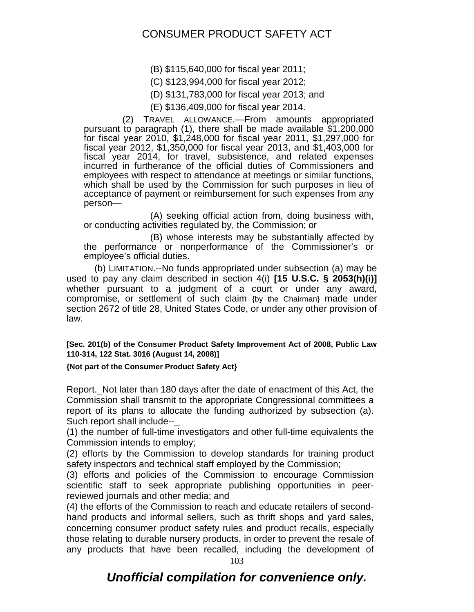(B) \$115,640,000 for fiscal year 2011;

(C) \$123,994,000 for fiscal year 2012;

(D) \$131,783,000 for fiscal year 2013; and

(E) \$136,409,000 for fiscal year 2014.

(2) TRAVEL ALLOWANCE.—From amounts appropriated pursuant to paragraph (1), there shall be made available \$1,200,000 for fiscal year 2010, \$1,248,000 for fiscal year 2011, \$1,297,000 for fiscal year 2012, \$1,350,000 for fiscal year 2013, and \$1,403,000 for fiscal year 2014, for travel, subsistence, and related expenses incurred in furtherance of the official duties of Commissioners and employees with respect to attendance at meetings or similar functions, which shall be used by the Commission for such purposes in lieu of acceptance of payment or reimbursement for such expenses from any person—

(A) seeking official action from, doing business with, or conducting activities regulated by, the Commission; or

(B) whose interests may be substantially affected by the performance or nonperformance of the Commissioner's or employee's official duties.

(b) LIMITATION.--No funds appropriated under subsection (a) may be used to pay any claim described in section 4(i) **[15 U.S.C. § 2053(h)(i)]** whether pursuant to a judgment of a court or under any award, compromise, or settlement of such claim {by the Chairman} made under section 2672 of title 28, United States Code, or under any other provision of law.

### **[Sec. 201(b) of the Consumer Product Safety Improvement Act of 2008, Public Law 110-314, 122 Stat. 3016 (August 14, 2008)]**

**{Not part of the Consumer Product Safety Act}**

Report.\_Not later than 180 days after the date of enactment of this Act, the Commission shall transmit to the appropriate Congressional committees a report of its plans to allocate the funding authorized by subsection (a). Such report shall include--

(1) the number of full-time investigators and other full-time equivalents the Commission intends to employ;

(2) efforts by the Commission to develop standards for training product safety inspectors and technical staff employed by the Commission;

(3) efforts and policies of the Commission to encourage Commission scientific staff to seek appropriate publishing opportunities in peerreviewed journals and other media; and

(4) the efforts of the Commission to reach and educate retailers of secondhand products and informal sellers, such as thrift shops and yard sales, concerning consumer product safety rules and product recalls, especially those relating to durable nursery products, in order to prevent the resale of any products that have been recalled, including the development of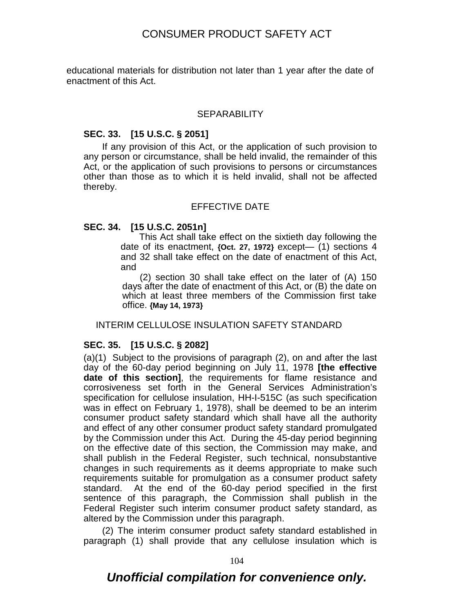educational materials for distribution not later than 1 year after the date of enactment of this Act.

### **SEPARABILITY**

### **SEC. 33. [15 U.S.C. § 2051]**

If any provision of this Act, or the application of such provision to any person or circumstance, shall be held invalid, the remainder of this Act, or the application of such provisions to persons or circumstances other than those as to which it is held invalid, shall not be affected thereby.

### EFFECTIVE DATE

### **SEC. 34. [15 U.S.C. 2051n]**

This Act shall take effect on the sixtieth day following the date of its enactment, **{Oct. 27, 1972}** except— (1) sections 4 and 32 shall take effect on the date of enactment of this Act, and

(2) section 30 shall take effect on the later of (A) 150 days after the date of enactment of this Act, or (B) the date on which at least three members of the Commission first take office. **{May 14, 1973}**

### INTERIM CELLULOSE INSULATION SAFETY STANDARD

### **SEC. 35. [15 U.S.C. § 2082]**

(a)(1) Subject to the provisions of paragraph (2), on and after the last day of the 60-day period beginning on July 11, 1978 **[the effective date of this section]**, the requirements for flame resistance and corrosiveness set forth in the General Services Administration's specification for cellulose insulation, HH-I-515C (as such specification was in effect on February 1, 1978), shall be deemed to be an interim consumer product safety standard which shall have all the authority and effect of any other consumer product safety standard promulgated by the Commission under this Act. During the 45-day period beginning on the effective date of this section, the Commission may make, and shall publish in the Federal Register, such technical, nonsubstantive changes in such requirements as it deems appropriate to make such requirements suitable for promulgation as a consumer product safety standard. At the end of the 60-day period specified in the first sentence of this paragraph, the Commission shall publish in the Federal Register such interim consumer product safety standard, as altered by the Commission under this paragraph.

(2) The interim consumer product safety standard established in paragraph (1) shall provide that any cellulose insulation which is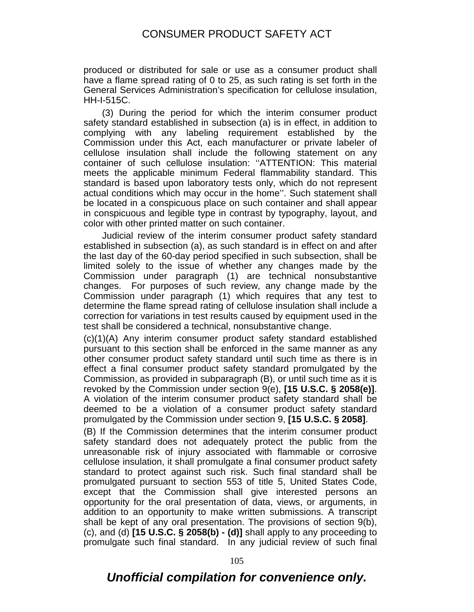produced or distributed for sale or use as a consumer product shall have a flame spread rating of 0 to 25, as such rating is set forth in the General Services Administration's specification for cellulose insulation, HH-I-515C.

(3) During the period for which the interim consumer product safety standard established in subsection (a) is in effect, in addition to complying with any labeling requirement established by the Commission under this Act, each manufacturer or private labeler of cellulose insulation shall include the following statement on any container of such cellulose insulation: ''ATTENTION: This material meets the applicable minimum Federal flammability standard. This standard is based upon laboratory tests only, which do not represent actual conditions which may occur in the home''. Such statement shall be located in a conspicuous place on such container and shall appear in conspicuous and legible type in contrast by typography, layout, and color with other printed matter on such container.

Judicial review of the interim consumer product safety standard established in subsection (a), as such standard is in effect on and after the last day of the 60-day period specified in such subsection, shall be limited solely to the issue of whether any changes made by the Commission under paragraph (1) are technical nonsubstantive changes. For purposes of such review, any change made by the Commission under paragraph (1) which requires that any test to determine the flame spread rating of cellulose insulation shall include a correction for variations in test results caused by equipment used in the test shall be considered a technical, nonsubstantive change.

(c)(1)(A) Any interim consumer product safety standard established pursuant to this section shall be enforced in the same manner as any other consumer product safety standard until such time as there is in effect a final consumer product safety standard promulgated by the Commission, as provided in subparagraph (B), or until such time as it is revoked by the Commission under section 9(e), **[15 U.S.C. § 2058(e)]**. A violation of the interim consumer product safety standard shall be deemed to be a violation of a consumer product safety standard promulgated by the Commission under section 9, **[15 U.S.C. § 2058]**.

(B) If the Commission determines that the interim consumer product safety standard does not adequately protect the public from the unreasonable risk of injury associated with flammable or corrosive cellulose insulation, it shall promulgate a final consumer product safety standard to protect against such risk. Such final standard shall be promulgated pursuant to section 553 of title 5, United States Code, except that the Commission shall give interested persons an opportunity for the oral presentation of data, views, or arguments, in addition to an opportunity to make written submissions. A transcript shall be kept of any oral presentation. The provisions of section 9(b), (c), and (d) **[15 U.S.C. § 2058(b) - (d)]** shall apply to any proceeding to promulgate such final standard. In any judicial review of such final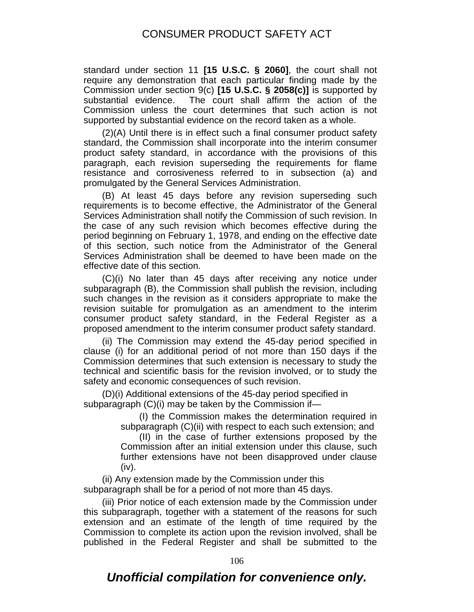standard under section 11 **[15 U.S.C. § 2060]**, the court shall not require any demonstration that each particular finding made by the Commission under section 9(c) **[15 U.S.C. § 2058(c)]** is supported by substantial evidence. The court shall affirm the action of the Commission unless the court determines that such action is not supported by substantial evidence on the record taken as a whole.

(2)(A) Until there is in effect such a final consumer product safety standard, the Commission shall incorporate into the interim consumer product safety standard, in accordance with the provisions of this paragraph, each revision superseding the requirements for flame resistance and corrosiveness referred to in subsection (a) and promulgated by the General Services Administration.

(B) At least 45 days before any revision superseding such requirements is to become effective, the Administrator of the General Services Administration shall notify the Commission of such revision. In the case of any such revision which becomes effective during the period beginning on February 1, 1978, and ending on the effective date of this section, such notice from the Administrator of the General Services Administration shall be deemed to have been made on the effective date of this section.

(C)(i) No later than 45 days after receiving any notice under subparagraph (B), the Commission shall publish the revision, including such changes in the revision as it considers appropriate to make the revision suitable for promulgation as an amendment to the interim consumer product safety standard, in the Federal Register as a proposed amendment to the interim consumer product safety standard.

(ii) The Commission may extend the 45-day period specified in clause (i) for an additional period of not more than 150 days if the Commission determines that such extension is necessary to study the technical and scientific basis for the revision involved, or to study the safety and economic consequences of such revision.

(D)(i) Additional extensions of the 45-day period specified in subparagraph (C)(i) may be taken by the Commission if—

> (I) the Commission makes the determination required in subparagraph (C)(ii) with respect to each such extension; and

> (II) in the case of further extensions proposed by the Commission after an initial extension under this clause, such further extensions have not been disapproved under clause (iv).

(ii) Any extension made by the Commission under this subparagraph shall be for a period of not more than 45 days.

(iii) Prior notice of each extension made by the Commission under this subparagraph, together with a statement of the reasons for such extension and an estimate of the length of time required by the Commission to complete its action upon the revision involved, shall be published in the Federal Register and shall be submitted to the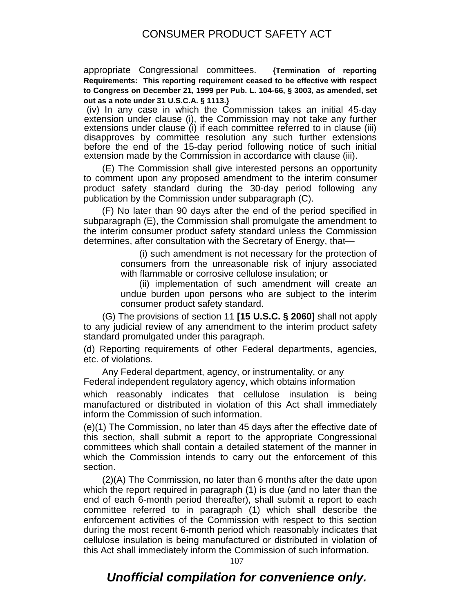appropriate Congressional committees. **{Termination of reporting Requirements: This reporting requirement ceased to be effective with respect to Congress on December 21, 1999 per Pub. L. 104-66, § 3003, as amended, set out as a note under 31 U.S.C.A. § 1113.}**

(iv) In any case in which the Commission takes an initial 45-day extension under clause (i), the Commission may not take any further extensions under clause (i) if each committee referred to in clause (iii) disapproves by committee resolution any such further extensions before the end of the 15-day period following notice of such initial extension made by the Commission in accordance with clause (iii).

(E) The Commission shall give interested persons an opportunity to comment upon any proposed amendment to the interim consumer product safety standard during the 30-day period following any publication by the Commission under subparagraph (C).

(F) No later than 90 days after the end of the period specified in subparagraph (E), the Commission shall promulgate the amendment to the interim consumer product safety standard unless the Commission determines, after consultation with the Secretary of Energy, that—

> (i) such amendment is not necessary for the protection of consumers from the unreasonable risk of injury associated with flammable or corrosive cellulose insulation; or

> (ii) implementation of such amendment will create an undue burden upon persons who are subject to the interim consumer product safety standard.

(G) The provisions of section 11 **[15 U.S.C. § 2060]** shall not apply to any judicial review of any amendment to the interim product safety standard promulgated under this paragraph.

(d) Reporting requirements of other Federal departments, agencies, etc. of violations.

Any Federal department, agency, or instrumentality, or any Federal independent regulatory agency, which obtains information

which reasonably indicates that cellulose insulation is being manufactured or distributed in violation of this Act shall immediately inform the Commission of such information.

(e)(1) The Commission, no later than 45 days after the effective date of this section, shall submit a report to the appropriate Congressional committees which shall contain a detailed statement of the manner in which the Commission intends to carry out the enforcement of this section.

(2)(A) The Commission, no later than 6 months after the date upon which the report required in paragraph (1) is due (and no later than the end of each 6-month period thereafter), shall submit a report to each committee referred to in paragraph (1) which shall describe the enforcement activities of the Commission with respect to this section during the most recent 6-month period which reasonably indicates that cellulose insulation is being manufactured or distributed in violation of this Act shall immediately inform the Commission of such information.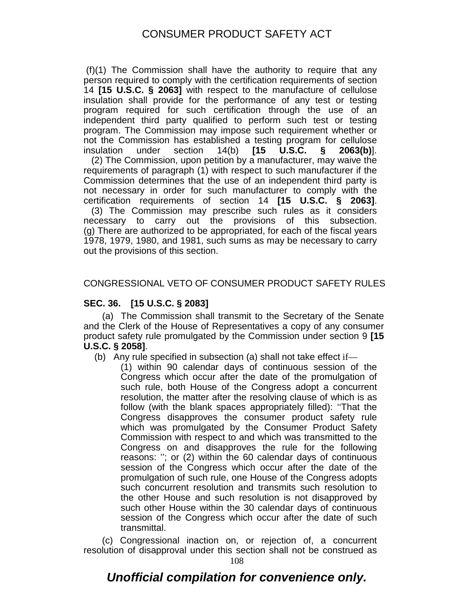(f)(1) The Commission shall have the authority to require that any person required to comply with the certification requirements of section 14 **[15 U.S.C. § 2063]** with respect to the manufacture of cellulose insulation shall provide for the performance of any test or testing program required for such certification through the use of an independent third party qualified to perform such test or testing program. The Commission may impose such requirement whether or not the Commission has established a testing program for cellulose insulation under section 14(b) **[15 U.S.C. § 2063(b)**].

 (2) The Commission, upon petition by a manufacturer, may waive the requirements of paragraph (1) with respect to such manufacturer if the Commission determines that the use of an independent third party is not necessary in order for such manufacturer to comply with the certification requirements of section 14 **[15 U.S.C. § 2063]**.

 (3) The Commission may prescribe such rules as it considers necessary to carry out the provisions of this subsection. (g) There are authorized to be appropriated, for each of the fiscal years 1978, 1979, 1980, and 1981, such sums as may be necessary to carry out the provisions of this section.

### CONGRESSIONAL VETO OF CONSUMER PRODUCT SAFETY RULES

### **SEC. 36. [15 U.S.C. § 2083]**

(a) The Commission shall transmit to the Secretary of the Senate and the Clerk of the House of Representatives a copy of any consumer product safety rule promulgated by the Commission under section 9 **[15 U.S.C. § 2058]**.

(b) Any rule specified in subsection (a) shall not take effect if—

(1) within 90 calendar days of continuous session of the Congress which occur after the date of the promulgation of such rule, both House of the Congress adopt a concurrent resolution, the matter after the resolving clause of which is as follow (with the blank spaces appropriately filled): ''That the Congress disapproves the consumer product safety rule which was promulgated by the Consumer Product Safety Commission with respect to and which was transmitted to the Congress on and disapproves the rule for the following reasons: ''; or (2) within the 60 calendar days of continuous session of the Congress which occur after the date of the promulgation of such rule, one House of the Congress adopts such concurrent resolution and transmits such resolution to the other House and such resolution is not disapproved by such other House within the 30 calendar days of continuous session of the Congress which occur after the date of such transmittal.

(c) Congressional inaction on, or rejection of, a concurrent resolution of disapproval under this section shall not be construed as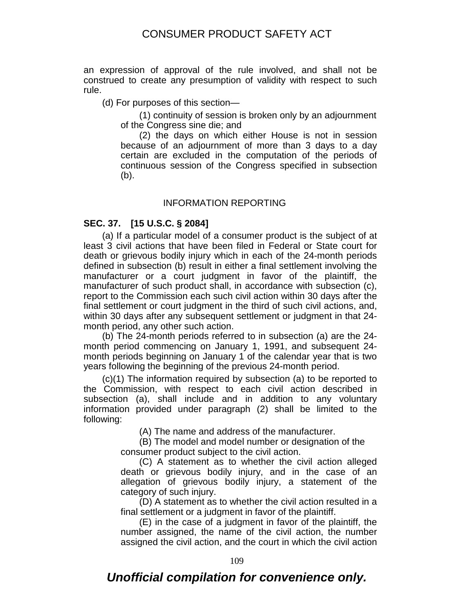an expression of approval of the rule involved, and shall not be construed to create any presumption of validity with respect to such rule.

(d) For purposes of this section—

(1) continuity of session is broken only by an adjournment of the Congress sine die; and

(2) the days on which either House is not in session because of an adjournment of more than 3 days to a day certain are excluded in the computation of the periods of continuous session of the Congress specified in subsection (b).

#### INFORMATION REPORTING

#### **SEC. 37. [15 U.S.C. § 2084]**

(a) If a particular model of a consumer product is the subject of at least 3 civil actions that have been filed in Federal or State court for death or grievous bodily injury which in each of the 24-month periods defined in subsection (b) result in either a final settlement involving the manufacturer or a court judgment in favor of the plaintiff, the manufacturer of such product shall, in accordance with subsection (c), report to the Commission each such civil action within 30 days after the final settlement or court judgment in the third of such civil actions, and, within 30 days after any subsequent settlement or judgment in that 24 month period, any other such action.

(b) The 24-month periods referred to in subsection (a) are the 24 month period commencing on January 1, 1991, and subsequent 24 month periods beginning on January 1 of the calendar year that is two years following the beginning of the previous 24-month period.

(c)(1) The information required by subsection (a) to be reported to the Commission, with respect to each civil action described in subsection (a), shall include and in addition to any voluntary information provided under paragraph (2) shall be limited to the following:

(A) The name and address of the manufacturer.

(B) The model and model number or designation of the consumer product subject to the civil action.

(C) A statement as to whether the civil action alleged death or grievous bodily injury, and in the case of an allegation of grievous bodily injury, a statement of the category of such injury.

(D) A statement as to whether the civil action resulted in a final settlement or a judgment in favor of the plaintiff.

(E) in the case of a judgment in favor of the plaintiff, the number assigned, the name of the civil action, the number assigned the civil action, and the court in which the civil action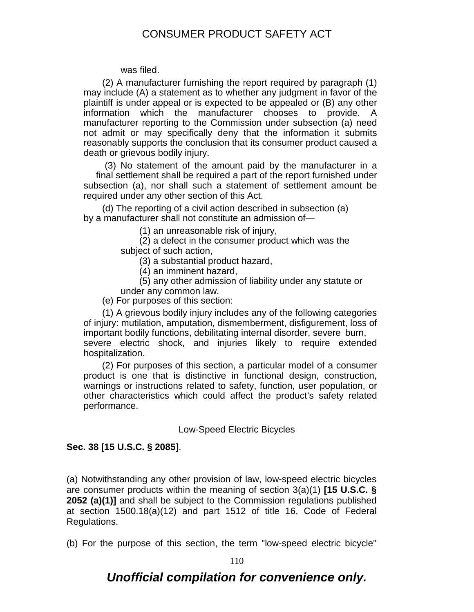#### was filed.

(2) A manufacturer furnishing the report required by paragraph (1) may include (A) a statement as to whether any judgment in favor of the plaintiff is under appeal or is expected to be appealed or (B) any other information which the manufacturer chooses to provide. A manufacturer reporting to the Commission under subsection (a) need not admit or may specifically deny that the information it submits reasonably supports the conclusion that its consumer product caused a death or grievous bodily injury.

(3) No statement of the amount paid by the manufacturer in a final settlement shall be required a part of the report furnished under subsection (a), nor shall such a statement of settlement amount be required under any other section of this Act.

(d) The reporting of a civil action described in subsection (a) by a manufacturer shall not constitute an admission of—

(1) an unreasonable risk of injury,

(2) a defect in the consumer product which was the subject of such action,

(3) a substantial product hazard,

(4) an imminent hazard,

(5) any other admission of liability under any statute or under any common law.

(e) For purposes of this section:

(1) A grievous bodily injury includes any of the following categories of injury: mutilation, amputation, dismemberment, disfigurement, loss of important bodily functions, debilitating internal disorder, severe burn, severe electric shock, and injuries likely to require extended hospitalization.

(2) For purposes of this section, a particular model of a consumer product is one that is distinctive in functional design, construction, warnings or instructions related to safety, function, user population, or other characteristics which could affect the product's safety related performance.

Low-Speed Electric Bicycles

#### **Sec. 38 [15 U.S.C. § 2085]**.

(a) Notwithstanding any other provision of law, low-speed electric bicycles are consumer products within the meaning of section 3(a)(1) **[15 U.S.C. § 2052 (a)(1)]** and shall be subject to the Commission regulations published at section 1500.18(a)(12) and part 1512 of title 16, Code of Federal Regulations.

(b) For the purpose of this section, the term "low-speed electric bicycle"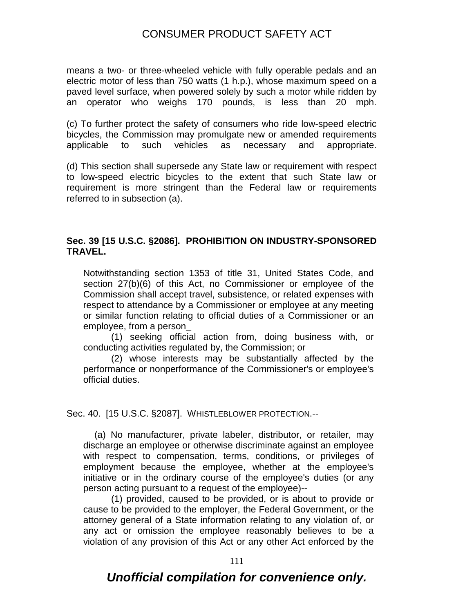#### CONSUMER PRODUCT SAFETY ACT

means a two- or three-wheeled vehicle with fully operable pedals and an electric motor of less than 750 watts (1 h.p.), whose maximum speed on a paved level surface, when powered solely by such a motor while ridden by an operator who weighs 170 pounds, is less than 20 mph.

(c) To further protect the safety of consumers who ride low-speed electric bicycles, the Commission may promulgate new or amended requirements applicable to such vehicles as necessary and appropriate.

(d) This section shall supersede any State law or requirement with respect to low-speed electric bicycles to the extent that such State law or requirement is more stringent than the Federal law or requirements referred to in subsection (a).

#### **Sec. 39 [15 U.S.C. §2086]. PROHIBITION ON INDUSTRY-SPONSORED TRAVEL.**

Notwithstanding section 1353 of title 31, United States Code, and section 27(b)(6) of this Act, no Commissioner or employee of the Commission shall accept travel, subsistence, or related expenses with respect to attendance by a Commissioner or employee at any meeting or similar function relating to official duties of a Commissioner or an employee, from a person\_

(1) seeking official action from, doing business with, or conducting activities regulated by, the Commission; or

(2) whose interests may be substantially affected by the performance or nonperformance of the Commissioner's or employee's official duties.

Sec. 40. [15 U.S.C. §2087]. WHISTLEBLOWER PROTECTION.--

(a) No manufacturer, private labeler, distributor, or retailer, may discharge an employee or otherwise discriminate against an employee with respect to compensation, terms, conditions, or privileges of employment because the employee, whether at the employee's initiative or in the ordinary course of the employee's duties (or any person acting pursuant to a request of the employee)--

(1) provided, caused to be provided, or is about to provide or cause to be provided to the employer, the Federal Government, or the attorney general of a State information relating to any violation of, or any act or omission the employee reasonably believes to be a violation of any provision of this Act or any other Act enforced by the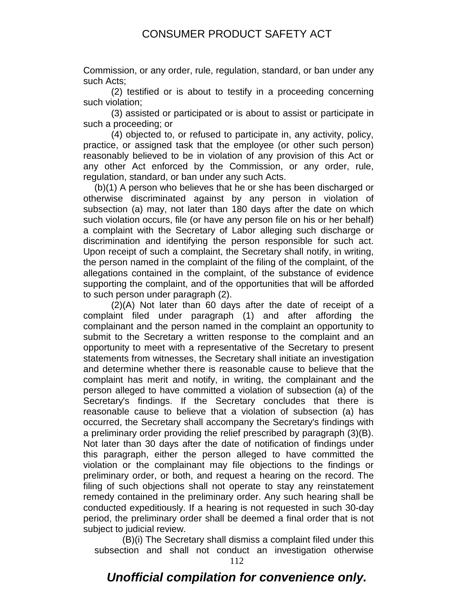Commission, or any order, rule, regulation, standard, or ban under any such Acts;

(2) testified or is about to testify in a proceeding concerning such violation;

(3) assisted or participated or is about to assist or participate in such a proceeding; or

(4) objected to, or refused to participate in, any activity, policy, practice, or assigned task that the employee (or other such person) reasonably believed to be in violation of any provision of this Act or any other Act enforced by the Commission, or any order, rule, regulation, standard, or ban under any such Acts.

(b)(1) A person who believes that he or she has been discharged or otherwise discriminated against by any person in violation of subsection (a) may, not later than 180 days after the date on which such violation occurs, file (or have any person file on his or her behalf) a complaint with the Secretary of Labor alleging such discharge or discrimination and identifying the person responsible for such act. Upon receipt of such a complaint, the Secretary shall notify, in writing, the person named in the complaint of the filing of the complaint, of the allegations contained in the complaint, of the substance of evidence supporting the complaint, and of the opportunities that will be afforded to such person under paragraph (2).

(2)(A) Not later than 60 days after the date of receipt of a complaint filed under paragraph (1) and after affording the complainant and the person named in the complaint an opportunity to submit to the Secretary a written response to the complaint and an opportunity to meet with a representative of the Secretary to present statements from witnesses, the Secretary shall initiate an investigation and determine whether there is reasonable cause to believe that the complaint has merit and notify, in writing, the complainant and the person alleged to have committed a violation of subsection (a) of the Secretary's findings. If the Secretary concludes that there is reasonable cause to believe that a violation of subsection (a) has occurred, the Secretary shall accompany the Secretary's findings with a preliminary order providing the relief prescribed by paragraph (3)(B). Not later than 30 days after the date of notification of findings under this paragraph, either the person alleged to have committed the violation or the complainant may file objections to the findings or preliminary order, or both, and request a hearing on the record. The filing of such objections shall not operate to stay any reinstatement remedy contained in the preliminary order. Any such hearing shall be conducted expeditiously. If a hearing is not requested in such 30-day period, the preliminary order shall be deemed a final order that is not subject to judicial review.

(B)(i) The Secretary shall dismiss a complaint filed under this subsection and shall not conduct an investigation otherwise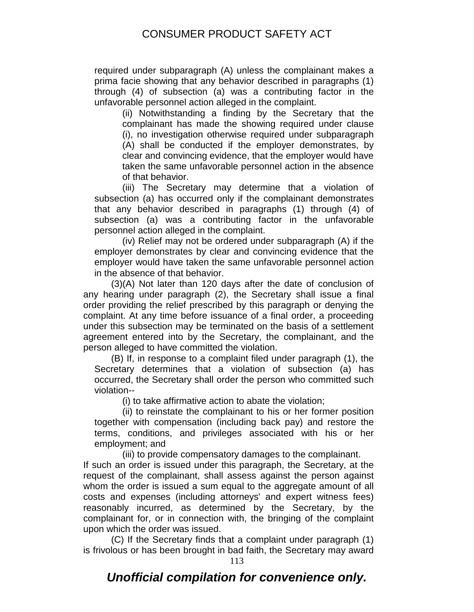required under subparagraph (A) unless the complainant makes a prima facie showing that any behavior described in paragraphs (1) through (4) of subsection (a) was a contributing factor in the unfavorable personnel action alleged in the complaint.

(ii) Notwithstanding a finding by the Secretary that the complainant has made the showing required under clause (i), no investigation otherwise required under subparagraph (A) shall be conducted if the employer demonstrates, by clear and convincing evidence, that the employer would have taken the same unfavorable personnel action in the absence of that behavior.

(iii) The Secretary may determine that a violation of subsection (a) has occurred only if the complainant demonstrates that any behavior described in paragraphs (1) through (4) of subsection (a) was a contributing factor in the unfavorable personnel action alleged in the complaint.

(iv) Relief may not be ordered under subparagraph (A) if the employer demonstrates by clear and convincing evidence that the employer would have taken the same unfavorable personnel action in the absence of that behavior.

(3)(A) Not later than 120 days after the date of conclusion of any hearing under paragraph (2), the Secretary shall issue a final order providing the relief prescribed by this paragraph or denying the complaint. At any time before issuance of a final order, a proceeding under this subsection may be terminated on the basis of a settlement agreement entered into by the Secretary, the complainant, and the person alleged to have committed the violation.

(B) If, in response to a complaint filed under paragraph (1), the Secretary determines that a violation of subsection (a) has occurred, the Secretary shall order the person who committed such violation--

(i) to take affirmative action to abate the violation;

(ii) to reinstate the complainant to his or her former position together with compensation (including back pay) and restore the terms, conditions, and privileges associated with his or her employment; and

(iii) to provide compensatory damages to the complainant.

If such an order is issued under this paragraph, the Secretary, at the request of the complainant, shall assess against the person against whom the order is issued a sum equal to the aggregate amount of all costs and expenses (including attorneys' and expert witness fees) reasonably incurred, as determined by the Secretary, by the complainant for, or in connection with, the bringing of the complaint upon which the order was issued.

(C) If the Secretary finds that a complaint under paragraph (1) is frivolous or has been brought in bad faith, the Secretary may award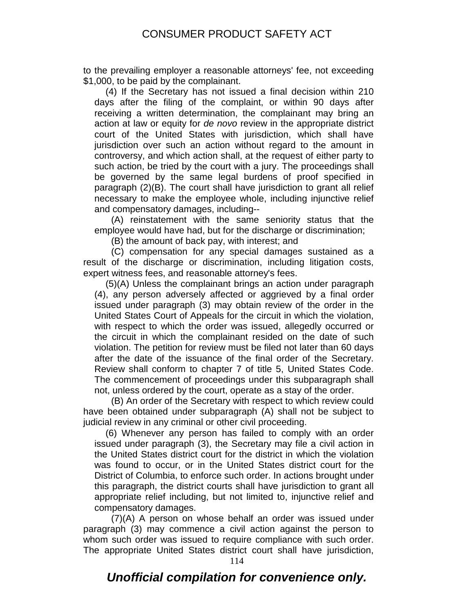to the prevailing employer a reasonable attorneys' fee, not exceeding \$1,000, to be paid by the complainant.

(4) If the Secretary has not issued a final decision within 210 days after the filing of the complaint, or within 90 days after receiving a written determination, the complainant may bring an action at law or equity for *de novo* review in the appropriate district court of the United States with jurisdiction, which shall have jurisdiction over such an action without regard to the amount in controversy, and which action shall, at the request of either party to such action, be tried by the court with a jury. The proceedings shall be governed by the same legal burdens of proof specified in paragraph (2)(B). The court shall have jurisdiction to grant all relief necessary to make the employee whole, including injunctive relief and compensatory damages, including--

(A) reinstatement with the same seniority status that the employee would have had, but for the discharge or discrimination;

(B) the amount of back pay, with interest; and

(C) compensation for any special damages sustained as a result of the discharge or discrimination, including litigation costs, expert witness fees, and reasonable attorney's fees.

(5)(A) Unless the complainant brings an action under paragraph (4), any person adversely affected or aggrieved by a final order issued under paragraph (3) may obtain review of the order in the United States Court of Appeals for the circuit in which the violation, with respect to which the order was issued, allegedly occurred or the circuit in which the complainant resided on the date of such violation. The petition for review must be filed not later than 60 days after the date of the issuance of the final order of the Secretary. Review shall conform to chapter 7 of title 5, United States Code. The commencement of proceedings under this subparagraph shall not, unless ordered by the court, operate as a stay of the order.

(B) An order of the Secretary with respect to which review could have been obtained under subparagraph (A) shall not be subject to judicial review in any criminal or other civil proceeding.

(6) Whenever any person has failed to comply with an order issued under paragraph (3), the Secretary may file a civil action in the United States district court for the district in which the violation was found to occur, or in the United States district court for the District of Columbia, to enforce such order. In actions brought under this paragraph, the district courts shall have jurisdiction to grant all appropriate relief including, but not limited to, injunctive relief and compensatory damages.

(7)(A) A person on whose behalf an order was issued under paragraph (3) may commence a civil action against the person to whom such order was issued to require compliance with such order. The appropriate United States district court shall have jurisdiction,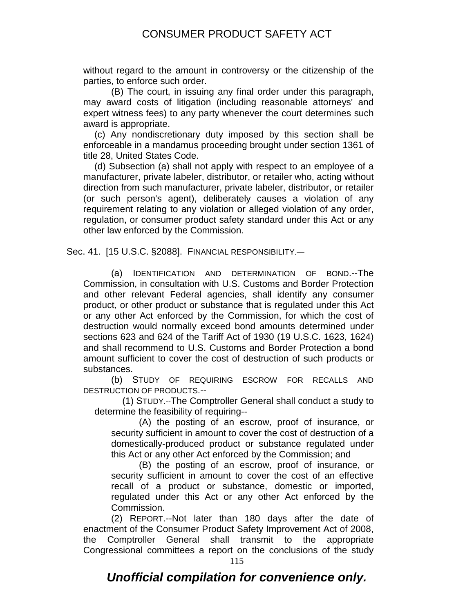without regard to the amount in controversy or the citizenship of the parties, to enforce such order.

(B) The court, in issuing any final order under this paragraph, may award costs of litigation (including reasonable attorneys' and expert witness fees) to any party whenever the court determines such award is appropriate.

(c) Any nondiscretionary duty imposed by this section shall be enforceable in a mandamus proceeding brought under section 1361 of title 28, United States Code.

(d) Subsection (a) shall not apply with respect to an employee of a manufacturer, private labeler, distributor, or retailer who, acting without direction from such manufacturer, private labeler, distributor, or retailer (or such person's agent), deliberately causes a violation of any requirement relating to any violation or alleged violation of any order, regulation, or consumer product safety standard under this Act or any other law enforced by the Commission.

Sec. 41. [15 U.S.C. §2088]. FINANCIAL RESPONSIBILITY.—

(a) IDENTIFICATION AND DETERMINATION OF BOND.--The Commission, in consultation with U.S. Customs and Border Protection and other relevant Federal agencies, shall identify any consumer product, or other product or substance that is regulated under this Act or any other Act enforced by the Commission, for which the cost of destruction would normally exceed bond amounts determined under sections 623 and 624 of the Tariff Act of 1930 (19 U.S.C. 1623, 1624) and shall recommend to U.S. Customs and Border Protection a bond amount sufficient to cover the cost of destruction of such products or substances.

(b) STUDY OF REQUIRING ESCROW FOR RECALLS AND DESTRUCTION OF PRODUCTS.--

(1) STUDY.--The Comptroller General shall conduct a study to determine the feasibility of requiring--

(A) the posting of an escrow, proof of insurance, or security sufficient in amount to cover the cost of destruction of a domestically-produced product or substance regulated under this Act or any other Act enforced by the Commission; and

(B) the posting of an escrow, proof of insurance, or security sufficient in amount to cover the cost of an effective recall of a product or substance, domestic or imported, regulated under this Act or any other Act enforced by the Commission.

(2) REPORT.--Not later than 180 days after the date of enactment of the Consumer Product Safety Improvement Act of 2008, the Comptroller General shall transmit to the appropriate Congressional committees a report on the conclusions of the study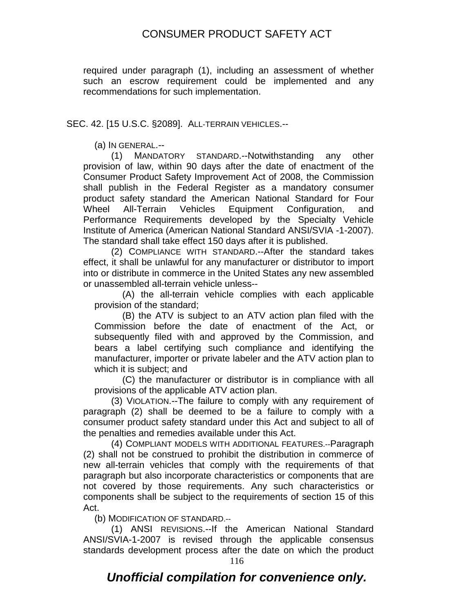### CONSUMER PRODUCT SAFETY ACT

required under paragraph (1), including an assessment of whether such an escrow requirement could be implemented and any recommendations for such implementation.

SEC. 42. [15 U.S.C. §2089]. ALL-TERRAIN VEHICLES.--

(a) IN GENERAL.--

(1) MANDATORY STANDARD.--Notwithstanding any other provision of law, within 90 days after the date of enactment of the Consumer Product Safety Improvement Act of 2008, the Commission shall publish in the Federal Register as a mandatory consumer product safety standard the American National Standard for Four Wheel All-Terrain Vehicles Equipment Configuration, and Performance Requirements developed by the Specialty Vehicle Institute of America (American National Standard ANSI/SVIA -1-2007). The standard shall take effect 150 days after it is published.

(2) COMPLIANCE WITH STANDARD.--After the standard takes effect, it shall be unlawful for any manufacturer or distributor to import into or distribute in commerce in the United States any new assembled or unassembled all-terrain vehicle unless--

(A) the all-terrain vehicle complies with each applicable provision of the standard;

(B) the ATV is subject to an ATV action plan filed with the Commission before the date of enactment of the Act, or subsequently filed with and approved by the Commission, and bears a label certifying such compliance and identifying the manufacturer, importer or private labeler and the ATV action plan to which it is subject; and

(C) the manufacturer or distributor is in compliance with all provisions of the applicable ATV action plan.

(3) VIOLATION.--The failure to comply with any requirement of paragraph (2) shall be deemed to be a failure to comply with a consumer product safety standard under this Act and subject to all of the penalties and remedies available under this Act.

(4) COMPLIANT MODELS WITH ADDITIONAL FEATURES.--Paragraph (2) shall not be construed to prohibit the distribution in commerce of new all-terrain vehicles that comply with the requirements of that paragraph but also incorporate characteristics or components that are not covered by those requirements. Any such characteristics or components shall be subject to the requirements of section 15 of this Act.

(b) MODIFICATION OF STANDARD.--

(1) ANSI REVISIONS.--If the American National Standard ANSI/SVIA-1-2007 is revised through the applicable consensus standards development process after the date on which the product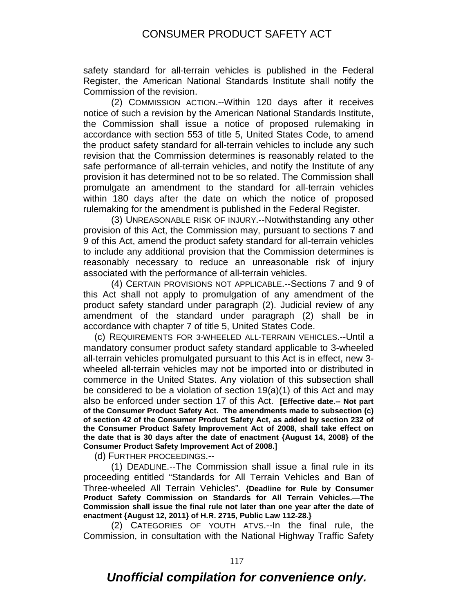#### CONSUMER PRODUCT SAFETY ACT

safety standard for all-terrain vehicles is published in the Federal Register, the American National Standards Institute shall notify the Commission of the revision.

(2) COMMISSION ACTION.--Within 120 days after it receives notice of such a revision by the American National Standards Institute, the Commission shall issue a notice of proposed rulemaking in accordance with section 553 of title 5, United States Code, to amend the product safety standard for all-terrain vehicles to include any such revision that the Commission determines is reasonably related to the safe performance of all-terrain vehicles, and notify the Institute of any provision it has determined not to be so related. The Commission shall promulgate an amendment to the standard for all-terrain vehicles within 180 days after the date on which the notice of proposed rulemaking for the amendment is published in the Federal Register.

(3) UNREASONABLE RISK OF INJURY.--Notwithstanding any other provision of this Act, the Commission may, pursuant to sections 7 and 9 of this Act, amend the product safety standard for all-terrain vehicles to include any additional provision that the Commission determines is reasonably necessary to reduce an unreasonable risk of injury associated with the performance of all-terrain vehicles.

(4) CERTAIN PROVISIONS NOT APPLICABLE.--Sections 7 and 9 of this Act shall not apply to promulgation of any amendment of the product safety standard under paragraph (2). Judicial review of any amendment of the standard under paragraph (2) shall be in accordance with chapter 7 of title 5, United States Code.

(c) REQUIREMENTS FOR 3-WHEELED ALL-TERRAIN VEHICLES.--Until a mandatory consumer product safety standard applicable to 3-wheeled all-terrain vehicles promulgated pursuant to this Act is in effect, new 3 wheeled all-terrain vehicles may not be imported into or distributed in commerce in the United States. Any violation of this subsection shall be considered to be a violation of section 19(a)(1) of this Act and may also be enforced under section 17 of this Act. **[Effective date.-- Not part of the Consumer Product Safety Act. The amendments made to subsection (c) of section 42 of the Consumer Product Safety Act, as added by section 232 of the Consumer Product Safety Improvement Act of 2008, shall take effect on the date that is 30 days after the date of enactment {August 14, 2008} of the Consumer Product Safety Improvement Act of 2008.]**

(d) FURTHER PROCEEDINGS.--

(1) DEADLINE.--The Commission shall issue a final rule in its proceeding entitled "Standards for All Terrain Vehicles and Ban of Three-wheeled All Terrain Vehicles". **{Deadline for Rule by Consumer Product Safety Commission on Standards for All Terrain Vehicles.—The Commission shall issue the final rule not later than one year after the date of enactment {August 12, 2011} of H.R. 2715, Public Law 112-28.}**

(2) CATEGORIES OF YOUTH ATVS.--In the final rule, the Commission, in consultation with the National Highway Traffic Safety